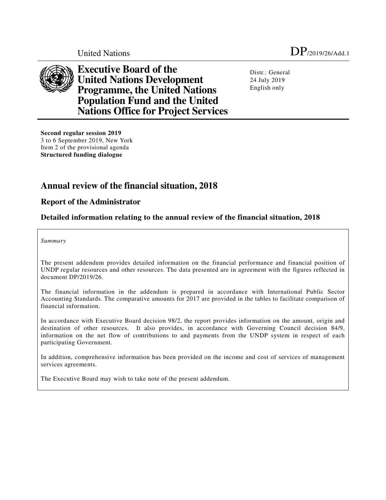

**Executive Board of the United Nations Development Programme, the United Nations Population Fund and the United Nations Office for Project Services** 

Distr.: General 24 July 2019 English only

**Second regular session 2019**  3 to 6 September 2019, New York Item 2 of the provisional agenda **Structured funding dialogue** 

# **Annual review of the financial situation, 2018**

# **Report of the Administrator**

# **Detailed information relating to the annual review of the financial situation, 2018**

*Summary*

The present addendum provides detailed information on the financial performance and financial position of UNDP regular resources and other resources. The data presented are in agreement with the figures reflected in document DP/2019/26.

The financial information in the addendum is prepared in accordance with International Public Sector Accounting Standards. The comparative amounts for 2017 are provided in the tables to facilitate comparison of financial information.

In accordance with Executive Board decision 98/2, the report provides information on the amount, origin and destination of other resources. It also provides, in accordance with Governing Council decision 84/9, information on the net flow of contributions to and payments from the UNDP system in respect of each participating Government.

In addition, comprehensive information has been provided on the income and cost of services of management services agreements.

The Executive Board may wish to take note of the present addendum.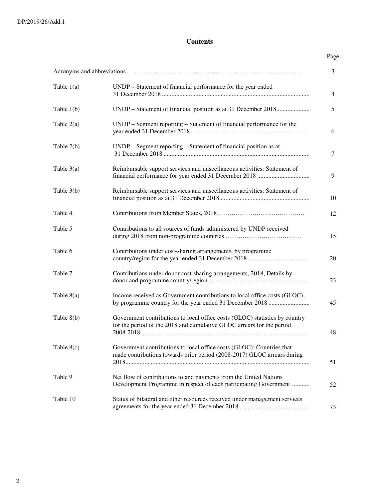#### **Contents**

# Page Acronyms and abbreviations …………………………………………………………………….... 3 Table 1(a) UNDP – Statement of financial performance for the year ended 31 December 2018 ................................................................................................ 4 Table 1(b) UNDP – Statement of financial position as at 31 December 2018................................ 5 Table 2(a) UNDP – Segment reporting – Statement of financial performance for the year ended 31 December 2018 ................................................................................................ 6 Table 2(b) UNDP – Segment reporting – Statement of financial position as at 31 December 2018 ................................................................................................ 7 Table 3(a) Reimbursable support services and miscellaneous activities: Statement of financial performance for year ended 31 December 2018 ................................ 9 Table 3(b) Reimbursable support services and miscellaneous activities: Statement of financial position as at 31 December 2018 ................................................................ 10 Table 4 Contributions from Member States, 2018…………………………………… 12 Table 5 Contributions to all sources of funds administered by UNDP received during 2018 from non-programme countries ……………………………… 15 Table 6 Contributions under cost-sharing arrangements, by programme country/region for the year ended 31 December 2018 ................................................................ 20 Table 7 Contributions under donor cost-sharing arrangements, 2018, Details by donor and programme country/region................................................................ 23 Table 8(a) Income received as Government contributions to local office costs (GLOC), by programme country for the year ended 31 December 2018 ................................ 45 Table 8(b) Government contributions to local office costs (GLOC) statistics by country for the period of the 2018 and cumulative GLOC arrears for the period 2008-2018 ................................................................................................................................ 48 Table 8(c) Government contributions to local office costs (GLOC): Countries that made contributions towards prior period (2008-2017) GLOC arrears during 2018................................................................................................................................ 51 Table 9 Net flow of contributions to and payments from the United Nations Development Programme in respect of each participating Government ................................ 52 Table 10 Status of bilateral and other resources received under management services agreements for the year ended 31 December 2018 ................................................................ 73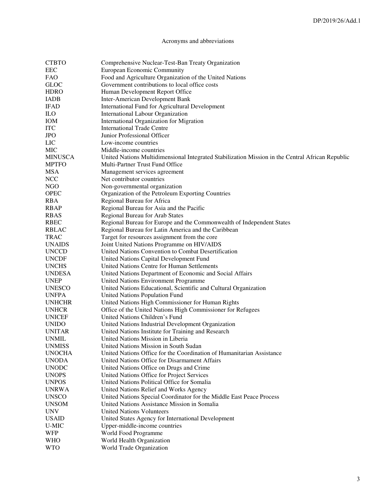# Acronyms and abbreviations

| <b>CTBTO</b>   | Comprehensive Nuclear-Test-Ban Treaty Organization                                               |
|----------------|--------------------------------------------------------------------------------------------------|
| EEC            | European Economic Community                                                                      |
| <b>FAO</b>     | Food and Agriculture Organization of the United Nations                                          |
| <b>GLOC</b>    | Government contributions to local office costs                                                   |
| <b>HDRO</b>    | Human Development Report Office                                                                  |
| <b>IADB</b>    | Inter-American Development Bank                                                                  |
| <b>IFAD</b>    | International Fund for Agricultural Development                                                  |
| ILO            | International Labour Organization                                                                |
| IOM            | International Organization for Migration                                                         |
| <b>ITC</b>     | <b>International Trade Centre</b>                                                                |
| <b>JPO</b>     | Junior Professional Officer                                                                      |
| LIC            | Low-income countries                                                                             |
| <b>MIC</b>     |                                                                                                  |
|                | Middle-income countries                                                                          |
| <b>MINUSCA</b> | United Nations Multidimensional Integrated Stabilization Mission in the Central African Republic |
| <b>MPTFO</b>   | Multi-Partner Trust Fund Office                                                                  |
| <b>MSA</b>     | Management services agreement                                                                    |
| <b>NCC</b>     | Net contributor countries                                                                        |
| <b>NGO</b>     | Non-governmental organization                                                                    |
| <b>OPEC</b>    | Organization of the Petroleum Exporting Countries                                                |
| <b>RBA</b>     | Regional Bureau for Africa                                                                       |
| <b>RBAP</b>    | Regional Bureau for Asia and the Pacific                                                         |
| <b>RBAS</b>    | Regional Bureau for Arab States                                                                  |
| <b>RBEC</b>    | Regional Bureau for Europe and the Commonwealth of Independent States                            |
| <b>RBLAC</b>   | Regional Bureau for Latin America and the Caribbean                                              |
| <b>TRAC</b>    | Target for resources assignment from the core                                                    |
| <b>UNAIDS</b>  | Joint United Nations Programme on HIV/AIDS                                                       |
| <b>UNCCD</b>   | United Nations Convention to Combat Desertification                                              |
| <b>UNCDF</b>   | United Nations Capital Development Fund                                                          |
| <b>UNCHS</b>   | United Nations Centre for Human Settlements                                                      |
| <b>UNDESA</b>  | United Nations Department of Economic and Social Affairs                                         |
| <b>UNEP</b>    | United Nations Environment Programme                                                             |
| <b>UNESCO</b>  | United Nations Educational, Scientific and Cultural Organization                                 |
| <b>UNFPA</b>   | United Nations Population Fund                                                                   |
| <b>UNHCHR</b>  | United Nations High Commissioner for Human Rights                                                |
| <b>UNHCR</b>   | Office of the United Nations High Commissioner for Refugees                                      |
| <b>UNICEF</b>  | United Nations Children's Fund                                                                   |
| <b>UNIDO</b>   | United Nations Industrial Development Organization                                               |
| <b>UNITAR</b>  | United Nations Institute for Training and Research                                               |
| <b>UNMIL</b>   | United Nations Mission in Liberia                                                                |
| <b>UNMISS</b>  | United Nations Mission in South Sudan                                                            |
| <b>UNOCHA</b>  | United Nations Office for the Coordination of Humanitarian Assistance                            |
| <b>UNODA</b>   | United Nations Office for Disarmament Affairs                                                    |
| <b>UNODC</b>   | United Nations Office on Drugs and Crime                                                         |
| <b>UNOPS</b>   | United Nations Office for Project Services                                                       |
| <b>UNPOS</b>   | United Nations Political Office for Somalia                                                      |
| <b>UNRWA</b>   | United Nations Relief and Works Agency                                                           |
| <b>UNSCO</b>   | United Nations Special Coordinator for the Middle East Peace Process                             |
| <b>UNSOM</b>   | United Nations Assistance Mission in Somalia                                                     |
|                |                                                                                                  |
| <b>UNV</b>     | <b>United Nations Volunteers</b>                                                                 |
| <b>USAID</b>   | United States Agency for International Development                                               |
| U-MIC          | Upper-middle-income countries                                                                    |
| <b>WFP</b>     | World Food Programme                                                                             |
| <b>WHO</b>     | World Health Organization                                                                        |
| <b>WTO</b>     | World Trade Organization                                                                         |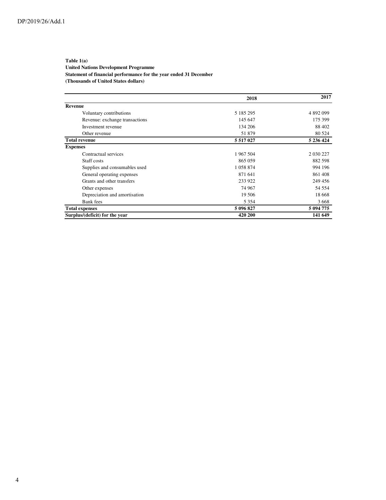#### **Table 1(a) United Nations Development Programme Statement of financial performance for the year ended 31 December (Thousands of United States dollars)**

|                                | 2018          | 2017      |
|--------------------------------|---------------|-----------|
| Revenue                        |               |           |
| Voluntary contributions        | 5 185 295     | 4 892 099 |
| Revenue: exchange transactions | 145 647       | 175 399   |
| Investment revenue             | 134 206       | 88 402    |
| Other revenue                  | 51 879        | 80 5 24   |
| <b>Total revenue</b>           | 5 5 1 7 0 2 7 | 5 236 424 |
| <b>Expenses</b>                |               |           |
| Contractual services           | 1 967 504     | 2 030 227 |
| Staff costs                    | 865 059       | 882 598   |
| Supplies and consumables used  | 1 058 874     | 994 196   |
| General operating expenses     | 871 641       | 861408    |
| Grants and other transfers     | 233 922       | 249 456   |
| Other expenses                 | 74 967        | 54 554    |
| Depreciation and amortisation  | 19 506        | 18 6 68   |
| Bank fees                      | 5 3 5 4       | 3668      |
| <b>Total expenses</b>          | 5 096 827     | 5 094 775 |
| Surplus/(deficit) for the year | 420 200       | 141 649   |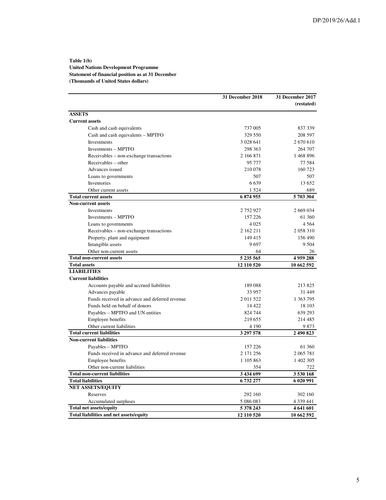#### **Table 1(b) United Nations Development Programme Statement of financial position as at 31 December (Thousands of United States dollars)**

|                                                | 31 December 2018 | 31 December 2017 |
|------------------------------------------------|------------------|------------------|
|                                                |                  | (restated)       |
| <b>ASSETS</b>                                  |                  |                  |
| <b>Current assets</b>                          |                  |                  |
| Cash and cash equivalents                      | 737 005          | 837 339          |
| Cash and cash equivalents - MPTFO              | 329 550          | 208 597          |
| <b>Investments</b>                             | 3 0 28 6 41      | 2670610          |
| Investments - MPTFO                            | 298 363          | 264 707          |
| Receivables – non-exchange transactions        | 2 166 871        | 1468896          |
| Receivables – other                            | 95 777           | 77 584           |
| Advances issued                                | 210 078          | 160723           |
| Loans to governments                           | 507              | 507              |
| Inventories                                    | 6639             | 13 652           |
| Other current assets                           | 1524             | 689              |
| <b>Total current assets</b>                    | 6874955          | 5703304          |
| <b>Non-current assets</b>                      |                  |                  |
| Investments                                    | 2 7 5 2 9 2 7    | 2 669 034        |
| Investments - MPTFO                            | 157 226          | 61 360           |
| Loans to governments                           | 4 0 25           | 4 5 6 4          |
| Receivables – non-exchange transactions        | 2 162 211        | 2058310          |
| Property, plant and equipment                  | 149 415          | 156 490          |
| Intangible assets                              | 9697             | 9 5 0 4          |
| Other non-current assets                       | 64               | 26               |
| <b>Total non-current assets</b>                | 5 235 565        | 4959288          |
| <b>Total assets</b>                            | 12 110 520       | 10 662 592       |
| <b>LIABILITIES</b>                             |                  |                  |
| <b>Current liabilities</b>                     |                  |                  |
| Accounts payable and accrued liabilities       | 189088           | 213 825          |
| Advances payable                               | 33 957           | 31 449           |
| Funds received in advance and deferred revenue | 2011522          | 1 363 795        |
| Funds held on behalf of donors                 | 14 4 22          | 18 103           |
| Payables – MPTFO and UN entities               | 824 744          | 639 293          |
| Employee benefits                              | 219 655          | 214 485          |
| Other current liabilities                      | 4 1 9 0          | 9873             |
| <b>Total current liabilities</b>               | 3 297 578        | 2 490 823        |
| <b>Non-current liabilities</b>                 |                  |                  |
| Payables - MPTFO                               | 157 226          | 61 360           |
| Funds received in advance and deferred revenue | 2 171 256        | 2 065 781        |
| Employee benefits                              | 1 105 863        | 1 402 305        |
| Other non-current liabilities                  | 354              | 722              |
| <b>Total non-current liabilities</b>           | 3 434 699        | 3 530 168        |
| <b>Total liabilities</b>                       | 6732277          | 6 020 991        |
| <b>NET ASSETS/EQUITY</b>                       |                  |                  |
| Reserves                                       | 292 160          | 302 160          |
| Accumulated surpluses                          | 5 086 083        | 4 3 3 9 4 4 1    |
| <b>Total net assets/equity</b>                 | 5 378 243        | 4 641 601        |
| Total liabilities and net assets/equity        | 12 110 520       | 10 662 592       |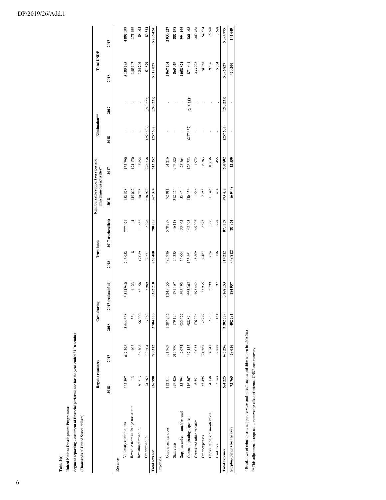|                                   | Regular resources |         | Cost-sharing |                     | <b>Trust funds</b> |                     | Reimbursable support services and<br>miscellaneous activities* |         | Elimination** |           | <b>Total UNDP</b> |           |
|-----------------------------------|-------------------|---------|--------------|---------------------|--------------------|---------------------|----------------------------------------------------------------|---------|---------------|-----------|-------------------|-----------|
|                                   | 2018              | 2017    | 2018         | 2017 (reclassified) | 2018               | 2017 (reclassified) | 2018                                                           | 2017    | 2018          | 2017      | 2018              | 2017      |
| Revenue                           |                   |         |              |                     |                    |                     |                                                                |         |               |           |                   |           |
| Voluntary contributions           | 662397            | 647 298 | 3644 368     | 3314940             | 745952             | 777071              | 132578                                                         | 152790  |               |           | 5185295           | 4892099   |
| Revenue from exchange transaction | $\mathbf{r}$      | 102     | 534          | 1123                | ∞                  |                     | 145092                                                         | 174170  |               |           | 145 647           | 175399    |
| Investment revenue                | 50313             | 36708   | 56009        | 32158               | 17089              | 11682               | 10795                                                          | 7854    |               |           | 134 206           | 88402     |
| Other revenue                     | 24 267            | 39 204  | 3969         | 3989                | 2351               | 2028                | 278929                                                         | 278538  | (257637)      | (243 235) | 51879             | 80524     |
| <b>Total revenue</b>              | 736990            | 723312  | 3704880      | 3352210             | 765 400            | 790785              | 567394                                                         | 613352  | (257637)      | (243 235) | 5 517 027         | 5 236 424 |
| <b>Expenses</b>                   |                   |         |              |                     |                    |                     |                                                                |         |               |           |                   |           |
| Contractual services              | 112311            | 131969  | 1 287 246    | 1 245 155           | 495936             | 578887              | 72011                                                          | 74 216  |               |           | 1967504           | 2030227   |
| Staff costs                       | 319426            | 315790  | 179 134      | 171167              | 54335              | 46118               | 312164                                                         | 349 523 |               |           | 865 059           | 882598    |
| Supplies and consumables used     | 35794             | 42074   | 933 622      | 868 193             | 56004              | 55065               | 33 454                                                         | 28864   |               |           | 1058874           | 94196     |
| General operating expenses        | 146367            | 167432  | 688894       | 663365              | 153861             | 145093              | 140156                                                         | 128753  | (257637)      | (243 235) | 871 641           | 861408    |
| Grants and other transfers        | 6551              | 9035    | 176996       | 193 442             | 48809              | 45007               | 1566                                                           | 1972    |               |           | 233 922           | 249456    |
| Other expenses                    | 35 495            | 21561   | 32747        | 23935               | 4467               | 2675                | 2258                                                           | 6383    |               |           | 74967             | 54554     |
| Depreciation and amortisation     | 4738              | 4547    | 2799         | 2799                | 624                | 686                 | 11345                                                          | 10636   |               |           | 19506             | 18668     |
| <b>Bank</b> fees                  | 3543              | 2888    | 1151         | 50                  | 176                | 228                 | 484                                                            | 455     |               |           | 5354              | 3668      |
| <b>Total expenses</b>             | 664 225           | 695296  | 3302589      | 3168153             | 814212             | 873759              | 573438                                                         | 600802  | (257637)      | (243 235) | 5 096 827         | 5 094 775 |
| Surplus/(deficit) for the year    | 72765             | 28016   | 402 291      | 184 057             | (48812)            | (82974)             | (6044)                                                         | 12550   |               |           | 420 200           | 141 649   |

\* Breakdown of reimbursable support services and miscellaneous activities shown in table 3(a) \* Breakdown of reimbursable support services and miscellaneous activities shown in table 3(a)

\*\* This adjustment is required to remove the effect of internal UNDP cost recovery \*\* This adjustment is required to remove the effect of internal UNDP cost recovery

# DP/2019/26/Add.1

**Table 2(a)**

**United Nations Development Programme**

United Nations Development Programme

**(Thousands of United States dollars)**

(Thousands of United States dollars)

**Segment reporting - statement of financial performance for the year ended 31 December**

Segment reporting - statement of financial performance for the year ended 31 December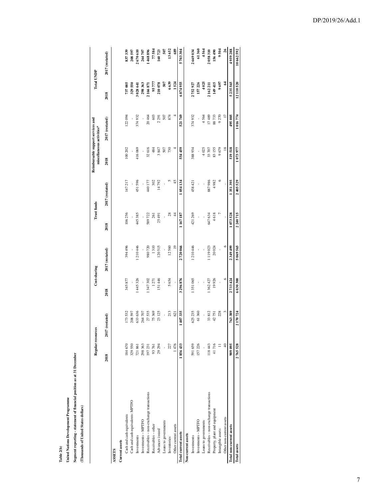**Table 2(b)**

# **United Nations Development Programme United Nations Development Programme**

Segment reporting - statement of financial position as at 31 December **Segment reporting - statement of financial position as at 31 December** 

(Thousands of United States dollars) **(Thousands of United States dollars)**

 $\overline{\phantom{a}}$ 

|                                         | Regular resources |                     | Cost-sharing |                 | <b>Trust funds</b> |                 |                | Reimbursable support services and<br>miscellaneous activities* | <b>Total UNDP</b> |                 |
|-----------------------------------------|-------------------|---------------------|--------------|-----------------|--------------------|-----------------|----------------|----------------------------------------------------------------|-------------------|-----------------|
|                                         | 2018              | restated)<br>2017 ( | 2018         | 2017 (restated) | 2018               | 2017 (restated) | 2018           | 2017 (restated)                                                | 2018              | 2017 (restated) |
| <b>ASSETS</b>                           |                   |                     |              |                 |                    |                 |                |                                                                |                   |                 |
| Current assets                          |                   |                     |              |                 |                    |                 |                |                                                                |                   |                 |
| Cash and cash equivalents               | 184670            | 173532              | 345877       | 394 496         | 106256             | 147 217         | 100 202        | 122094                                                         | 737005            | 837339          |
| Cash and cash equivalents: MPTFO        | 329550            | 208 597             |              |                 |                    |                 |                |                                                                | 329 550           | 208 597         |
| Investments                             | 721861            | 633 636             | 1445326      | .210446         | 445385             | 451596          | 416069         | 374932                                                         | 3 028 641         | 2670610         |
| Investments - MPTFO                     | 298 363           | 264707              |              | ı               | ,                  |                 |                | ı                                                              | 298363            | 264707          |
| Receivables - non-exchange transactions | 197231            | 27535               | 347 302      | 980720          | 589722             | 440 177         | 32616          | 20464                                                          | 2166871           | 1468896         |
| Receivables-other                       | 93761             | 75369               | 1271         | 1310            | 261                | 302             | 484            | 603                                                            | 95777             | 77584           |
| Advances issued                         | 29 294            | 23 125              | 151446       | 120515          | 25491              | 14792           | 3847           | 2291                                                           | 210078            | 160723          |
| Loans to governments                    |                   |                     |              |                 |                    |                 | 507            | 507                                                            | 507               | 507             |
| Inventories                             | 227               | 213                 | 5654         | 12560           | $^{8}$             |                 | 730            | 874                                                            | 6639              | 13652           |
| Other current assets                    | 1476              | 621                 |              | $\overline{a}$  | 4                  | 45              |                |                                                                | 1524              | 689             |
| <b>Total current assets</b>             | 1856433           | 1407335             | 3296876      | 2720066         | 1167187            | 1054134         | 554459         | 521769                                                         | 6874955           | 5703304         |
| Non-current assets                      |                   |                     |              |                 |                    |                 |                |                                                                |                   |                 |
| Investments                             | 591659            | 625 235             | 1351065      | 1210446         | 421269             | 458 421         | 388934         | 374932                                                         | 2752927           | 2669034         |
| Investments - MPTFO                     | 157 226           | 61360               |              |                 |                    |                 |                |                                                                | 157226            | 61360           |
| Loans to governments                    |                   |                     |              |                 |                    |                 | 4025           | 4564                                                           | 4025              | 4564            |
| Receivables - non-exchange transactions | 118443            | 33812               | 1 362 427    | 1119023         | 647634             | 887986          | 33 707         | 17489                                                          | 2162211           | 2058310         |
| Property, plant and equipment           | 41716             | 42751               | 19926        | 20024           | 4618               | 4982            | 83155          | 88733                                                          | 149415            | 156490          |
| Intangible assets                       | F                 | 228                 |              |                 |                    | $\circ$         | 9679           | 9270                                                           | 9697              | 9504            |
| Other non-current assets                | $\frac{4}{3}$     |                     | $\circ$      | $\circ$         |                    |                 | $\frac{8}{18}$ | $\overline{1}$                                                 | 2                 | $\frac{26}{5}$  |
| <b>Total non-current assets</b>         | 909 095           | 763389              | 2733 424     | 2349499         | 1073528            | 1351395         | 519518         | 495005                                                         | 5235565           | 4959288         |
| <b>Total assets</b>                     | 2765528           | 2170724             | 6030300      | 5069565         | 2 240 715          | 2405529         | 1073977        | 1016774                                                        | 12110520          | 10662592        |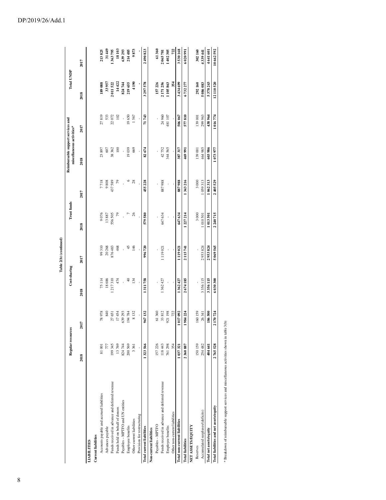|                                                                                          |                   |         |                | Table 2(b) (continued) |                    |         |                                                                |         |                   |             |
|------------------------------------------------------------------------------------------|-------------------|---------|----------------|------------------------|--------------------|---------|----------------------------------------------------------------|---------|-------------------|-------------|
|                                                                                          | Regular resources |         | Cost-sharing   |                        | <b>Trust funds</b> |         | Reimbursable support services and<br>miscellaneous activities* |         | <b>Total UNDP</b> |             |
|                                                                                          | 2018              | 2017    | 2018           | 2017                   | 2018               | 2017    | 2018                                                           | 2017    | 2018              | 2017        |
| <b>LIABILITIES</b>                                                                       |                   |         |                |                        |                    |         |                                                                |         |                   |             |
| <b>Current liabilities</b>                                                               |                   |         |                |                        |                    |         |                                                                |         |                   |             |
| Accounts payable and accrued liabilities                                                 | 81001             | 78978   | 75 114         | 99 310                 | 9076               | 7718    | 23897                                                          | 27819   | 189 088           | 213825      |
| Advances payable                                                                         | 777               | 840     | 18686          | 20268                  | 13887              | 9808    | 607                                                            | 533     | 33957             | 31449       |
| Funds received in advance and deferred revenue                                           | 199345            | 27651   | 1217310        | 876483                 | 556505             | 437589  | 38 362                                                         | 22072   | 2011522           | 1363795     |
| Funds held on behalf of donors                                                           | 13769             | 17454   | 474            | 468                    | $\mathcal{L}$      | 79      | $\overline{100}$                                               | 102     | 14422             | 18103       |
| Payables - MPTFO and UN entities                                                         | 824744            | 539 293 |                |                        |                    |         | ï                                                              |         | 824744            | 639 293     |
| Employee benefits                                                                        | 200569            | 194784  | $\overline{4}$ | 45                     | r                  | $\circ$ | 19039                                                          | 19650   | 219655            | 214 485     |
| Other current liabilities                                                                | 3361              | 8132    | 134            | 146                    | 26                 | 28      | 669                                                            | 1567    | 4190              | 9873        |
| Provision for restructuring                                                              |                   |         |                |                        |                    |         |                                                                |         |                   |             |
| <b>Total current liabilities</b>                                                         | 1323566           | 967132  | 1311758        | 996720                 | 579580             | 455228  | 82674                                                          | 71743   | 3297578           | 2490823     |
| Non-current liabilities                                                                  |                   |         |                |                        |                    |         |                                                                |         |                   |             |
| Payables - MPTFO                                                                         | 157226            | 61360   |                |                        |                    |         |                                                                |         | 157226            | 61360       |
| Funds received in advance and deferred revenue                                           | 118443            | 33812   | 1362427        | 1119021                | 647634             | 887988  | 42752                                                          | 24 960  | 2171256           | 2065781     |
| Employee benefits                                                                        | 761298            | 921198  |                |                        |                    |         | 344565                                                         | 481 107 | 1105863           | 1402305     |
| Other non-current liabilities                                                            | 354               | 722     |                |                        |                    |         |                                                                |         | 354               | 722         |
| <b>Total non-current liabilities</b>                                                     | 1037321           | 1017092 | 1362427        | 1 1 1 9 0 2 1          | 647634             | 887988  | 387 317                                                        | 506 067 | 3434699           | 3530168     |
| <b>Total liabilities</b>                                                                 | 2360887           | 1984224 | 2674185        | 2115741                | 1227214            | 1343216 | 469 991                                                        | 577810  | 6732277           | 6 0 20 9 91 |
| NET ASSETS/EQUITY                                                                        |                   |         |                |                        |                    |         |                                                                |         |                   |             |
| Reserves                                                                                 | 150159            | 160159  |                |                        | 3000               | 3000    | 139 001                                                        | 139 001 | 292160            | 302160      |
| Accumulated surpluses/(deficits)                                                         | 254482            | 26341   | 3356115        | 2953824                | 1010501            | 1059313 | 464985                                                         | 299 963 | 5086083           | 4339 441    |
| Total net assets/equity                                                                  | 404 641           | 186500  | 3356115        | 2953824                | 1013501            | 1062313 | 603986                                                         | 438964  | 5378243           | 4641601     |
| Total liabilities and net assets/equity                                                  | 2765528           | 2170724 | 6030300        | 5069565                | 2240715            | 2405529 | 1073977                                                        | 1016774 | 12110520          | 10662592    |
| * Breakdown of reimbursable support services and miscellaneous activities shown in table |                   | 3(b)    |                |                        |                    |         |                                                                |         |                   |             |
|                                                                                          |                   |         |                |                        |                    |         |                                                                |         |                   |             |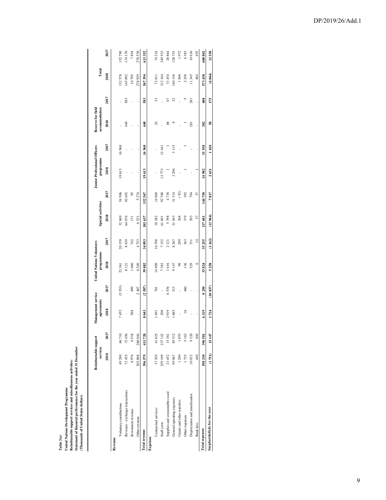**Table 3(a)**<br>United Nations Development Programme<br>Reimbursable support services and miscellaneous activities:<br>Statement of financial performance for the year ended 31 December<br>(Thousands of United States dollars) **United Nations Development Programme Reimbursable support services and miscellaneous activities:** 

**Statement of financial performance for the year ended 31 December** 

**(Thousands of United States dollars)**

|                                 | Reimbursable support<br>services |         | Management service<br>agreements |                 | <b>United Nations Volunteers</b><br>programme |                | Special activities |                       | <b>Junior Professional Officers</b><br>programme |       | Reserve for field<br>accommodation |                 | Total  |         |
|---------------------------------|----------------------------------|---------|----------------------------------|-----------------|-----------------------------------------------|----------------|--------------------|-----------------------|--------------------------------------------------|-------|------------------------------------|-----------------|--------|---------|
|                                 | 2018                             | 2017    | 2018                             | 2017            | 2018                                          | 2017           | 2018               | 2017                  | 2018                                             | 2017  | 2018                               | 2017            | 2018   | 2017    |
| Revenue                         |                                  |         |                                  |                 |                                               |                |                    |                       |                                                  |       |                                    |                 |        |         |
| Voluntary contributions         | 49280                            | 66710   | 7455                             | (5553)          | 23361                                         | 20159          | 32869              | 54 506                | 19613                                            | 16968 |                                    |                 | 132578 | 152790  |
| Revenue - exchange transactions | 72455                            | 72456   |                                  |                 | 8121                                          | 8439           | 64076              | 92 692                |                                                  |       | 440                                | 583             | 145092 | 174170  |
| Investment revenue              | 8976                             | 6518    | 588                              | 499             | 1060                                          | 742            | $\overline{1}$     | 95                    |                                                  |       |                                    |                 | 10795  | 7854    |
| Other revenue                   | 265868                           | 266 044 |                                  | 2467            | 6540                                          | 4753           | 6521               | 5 274                 |                                                  |       |                                    |                 | 278929 | 278 538 |
| <b>Total</b> revenue            | 396579                           | 411728  | 8043                             | (2.587)         | 39082                                         | 34 093         | 103637             | 567<br>$\overline{2}$ | 19613                                            | 16968 | $\frac{4}{3}$                      | 583             | 567394 | 613352  |
| Expenses                        |                                  |         |                                  |                 |                                               |                |                    |                       |                                                  |       |                                    |                 |        |         |
| Contractual services            | 37305                            | 41825   | 1491                             | $\overline{10}$ | 14909                                         | 16798          | 18282              | 14869                 |                                                  |       | 24                                 | 23              | 72011  | 74 216  |
| Staff costs                     | 229109                           | 237 142 | 208                              | ï               | 7383                                          | 7152           | 61 691             | 92788                 | 13773                                            | 12.44 |                                    |                 | 312164 | 349 523 |
| Supplies and consumables used   | 23452                            | 15361   | 2919                             | 6576            | 1616                                          | 2121           | 5398               | 4738                  |                                                  |       | 8                                  | 67              | 33454  | 28864   |
| General operating expenses      | 95067                            | 85 512  | 1685                             | 513             | 9147                                          | 8 267          | 31043              | 31314                 | 3206                                             | 3115  | $\infty$                           | 32              | 140156 | 128753  |
| Grants and other transfers      | 1200                             | 1855    |                                  |                 | 98                                            | 209            | 268                | (92)                  |                                                  |       |                                    |                 | 1566   | 1972    |
| Other expenses                  | 1725                             | 5162    | $\leq$                           | 460             | 136                                           | 363            | 379                | 392                   |                                                  |       |                                    |                 | 2258   | 6383    |
| Depreciation and amortisation   | 10032                            | 9320    |                                  |                 | 529                                           | 331            | 503                | 704                   |                                                  |       | 281                                | 281             | 11345  | 10636   |
| <b>Bank</b> fees                | 440                              | 404     |                                  |                 | G                                             | $\overline{4}$ | 37                 | 57                    |                                                  |       |                                    |                 | 484    | 455     |
| <b>Total expenses</b>           | 398330                           | 396 581 | 6319                             | 8250            | 33824                                         | 35 255         | 117601             | 144750                | 16982                                            | 15558 | 382                                | $\frac{408}{2}$ | 573438 | 600802  |
| Surplus/(deficit) for the year  | (1751)                           | 15 147  | 1724                             | (10837)         | 5258                                          | (1162)         | (13964)            | 7817                  | 2631                                             | 1410  | 58                                 | 175             | (6044) | 12,550  |
|                                 |                                  |         |                                  |                 |                                               |                |                    |                       |                                                  |       |                                    |                 |        |         |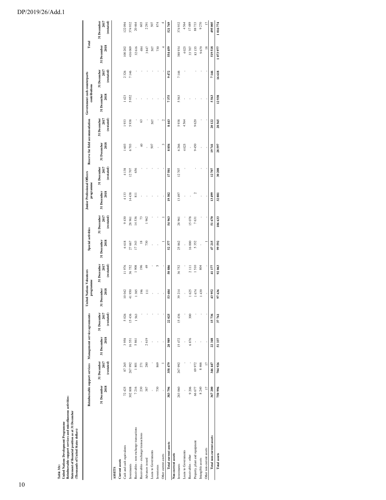# DP/2019/26/Add.1

| Reimbursable support services and miscellaneous activities:<br>Statement of financial position as at 31 December<br>United Nations Development Programme<br>(Thousands of United States dollars)<br>l'able 3(b) |                     |                                   |                                                             |                                   |                                               |                                   |                     |                                   |                                                  |                                   |                                 |                                   |                                               |                                   |                     |                                   |
|-----------------------------------------------------------------------------------------------------------------------------------------------------------------------------------------------------------------|---------------------|-----------------------------------|-------------------------------------------------------------|-----------------------------------|-----------------------------------------------|-----------------------------------|---------------------|-----------------------------------|--------------------------------------------------|-----------------------------------|---------------------------------|-----------------------------------|-----------------------------------------------|-----------------------------------|---------------------|-----------------------------------|
|                                                                                                                                                                                                                 |                     |                                   | Reimbursable support services Management service agreements |                                   | <b>United Nations Volunteers</b><br>programme |                                   | Special activities  |                                   | <b>Junior Professional Officers</b><br>programme |                                   | Reserve for field accommodation |                                   | Government cash counterparts<br>contributions |                                   | Total               |                                   |
|                                                                                                                                                                                                                 | 31 December<br>2018 | 31 December<br>2017<br>(restated) | 31 December<br>2018                                         | 31 December<br>2017<br>(restated) | 31 December<br>2018                           | 31 December<br>2017<br>(restated) | 31 December<br>2018 | 31 December<br>2017<br>(restated) | 31 December<br>2018                              | 31 December<br>2017<br>(restated) | 31 December<br>2018             | 31 December<br>2017<br>(restated) | 2018<br>31 December                           | 31 December<br>2017<br>(restated) | 31 December<br>2018 | 31 December<br>2017<br>(restated) |
| ASSETS                                                                                                                                                                                                          |                     |                                   |                                                             |                                   |                                               |                                   |                     |                                   |                                                  |                                   |                                 |                                   |                                               |                                   |                     |                                   |
| Current assets                                                                                                                                                                                                  |                     |                                   |                                                             |                                   |                                               |                                   |                     |                                   |                                                  |                                   |                                 |                                   |                                               |                                   |                     |                                   |
| Cash and cash equivalents<br>Investments                                                                                                                                                                        | 72 425<br>302808    | 87265<br>267992                   | 3958<br>16551                                               | 15436<br>5026                     | 10042<br>41950                                | 11976<br>36752                    | 6618<br>27 667      | 9430<br>28 961                    | 4133<br>14438                                    | 4138<br>12707                     | 1603<br>6703                    | 1933<br>5938                      | 1423<br>5952                                  | 2326<br>7146                      | 100 202<br>416069   | 122094<br>374932                  |
| Receivables - non-exchange transactions                                                                                                                                                                         | 7216                | 1801                              | 5861                                                        | 1563                              | 1385                                          | 1908                              | 17343               | 14536                             | $\overline{8}$                                   | 656                               |                                 |                                   |                                               |                                   | 32 616              | 20464                             |
| Receivables - exchange transactions                                                                                                                                                                             | 230                 | 271                               |                                                             |                                   | 196                                           | 196                               | $\frac{8}{18}$      | 13                                |                                                  |                                   | $\overline{a}$                  | S                                 |                                               |                                   | 484                 | 603                               |
| Advances issued                                                                                                                                                                                                 | 387                 | 280                               | 2619                                                        |                                   | $\Xi$                                         | 49                                | 730                 | 1962                              |                                                  |                                   |                                 |                                   |                                               |                                   | 3847                | 2291                              |
| Loans to Governments                                                                                                                                                                                            |                     |                                   |                                                             |                                   |                                               |                                   |                     |                                   |                                                  |                                   | 507                             | 507                               |                                               |                                   | 507                 | 507                               |
| Inventories                                                                                                                                                                                                     | 730                 | 869                               |                                                             |                                   |                                               | $\sqrt{2}$                        |                     |                                   |                                                  |                                   |                                 |                                   |                                               |                                   | 730                 | 874                               |
| Other current assets                                                                                                                                                                                            |                     |                                   |                                                             |                                   |                                               |                                   |                     |                                   |                                                  |                                   | ٩                               | ۰                                 |                                               |                                   |                     |                                   |
| Total current assets                                                                                                                                                                                            | 383796              | 358479                            | 28989                                                       | 22025                             | 53 684                                        | 50886                             | 52377               | 54963                             | 19382                                            | 17501                             | 8856                            | 8443                              | 7375                                          | 9472                              | 554 459             | 521769                            |
| Non-current assets                                                                                                                                                                                              |                     |                                   |                                                             |                                   |                                               |                                   |                     |                                   |                                                  |                                   |                                 |                                   |                                               |                                   |                     |                                   |
| Investments                                                                                                                                                                                                     | 283 060             | 267992                            | 15472                                                       | 15436                             | 39 214                                        | 36752                             | 25862               | 28 961                            | 13497                                            | 12707                             | 6 26 6                          | 5938                              | 5563                                          | 7146                              | 388934              | 374932                            |
| Loans to Governments                                                                                                                                                                                            |                     |                                   |                                                             |                                   |                                               |                                   |                     |                                   |                                                  |                                   | 4025                            | 4564                              |                                               |                                   | 4025                | 4564                              |
| Receivables - other                                                                                                                                                                                             | 9 20 6              |                                   | 6876                                                        | 300                               | 1625                                          | 2111                              | 16000               | 15078                             |                                                  |                                   |                                 |                                   |                                               |                                   | 33 707              | 17489                             |
| Property, plant and equipment                                                                                                                                                                                   | 66 677              | 69972                             |                                                             |                                   | 1674                                          | 1510                              | 5352                | 7631                              |                                                  |                                   | 9450                            | 9620                              |                                               |                                   | 83155               | 88733                             |
| Intangible assets                                                                                                                                                                                               | 8 240               | 8466                              |                                                             |                                   | 1439                                          | 804                               |                     |                                   |                                                  |                                   |                                 |                                   |                                               |                                   | 9679                | 9270                              |
| Other non-current assets                                                                                                                                                                                        | $\overline{a}$      | $\overline{1}$                    |                                                             |                                   |                                               |                                   |                     |                                   |                                                  |                                   |                                 |                                   |                                               |                                   | $\overline{18}$     | $\overline{17}$                   |
| <b>Total non-current assets</b>                                                                                                                                                                                 | 367 200             | 346 447                           | 22348                                                       | 15736                             | 43952                                         | 41177                             | 47 215              | 51670                             | 13499                                            | 12707                             | 19741                           | 20122                             | 5563                                          | 7146                              | 519518              | 495005                            |
| <b>Total assets</b>                                                                                                                                                                                             | 750 996             | 704926                            | 51337                                                       | 37761                             | 97 636                                        | 92063                             | 99 592              | 106 633                           | 32881                                            | 30 208                            | 28597                           | 28565                             | 12938                                         | 16 618                            | 1073977             | 1016774                           |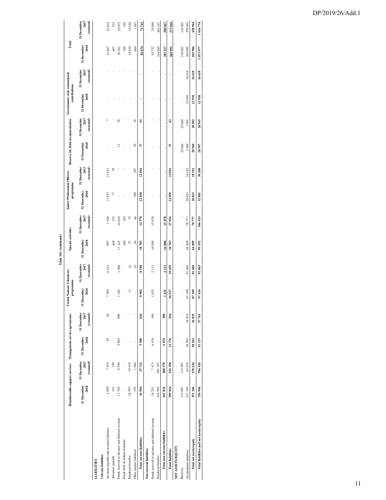|                                                |                     |                                   |                                                             |                                   |                                               |                                   | Table 3(b) (continued) |                                   |                                                  |                                   |                                 |                                   |                                               |                                   |                     |                                   |
|------------------------------------------------|---------------------|-----------------------------------|-------------------------------------------------------------|-----------------------------------|-----------------------------------------------|-----------------------------------|------------------------|-----------------------------------|--------------------------------------------------|-----------------------------------|---------------------------------|-----------------------------------|-----------------------------------------------|-----------------------------------|---------------------|-----------------------------------|
|                                                |                     |                                   | Reimbursable support services Management service agreements |                                   | <b>United Nations Volunteers</b><br>programme |                                   | Special activities     |                                   | <b>Junior Professional Officers</b><br>programme |                                   | Reserve for field accommodation |                                   | Government cash counterparts<br>contributions |                                   | Total               |                                   |
|                                                | 31 December<br>2018 | 31 December<br>2017<br>(restated) | 31 December<br>2018                                         | 31 December<br>2017<br>(restated) | December<br>2018<br>31                        | 31 December<br>2017<br>(restated) | 31 December<br>2018    | 31 December<br>2017<br>(restated) | 31 December<br>2018                              | 31 December<br>2017<br>(restated) | 31 December<br>2018             | 31 December<br>2017<br>(restated) | 31 December<br>2018                           | 31 December<br>2017<br>(restated) | 31 December<br>2018 | 31 December<br>2017<br>(restated) |
| <b>LIABILITIES</b>                             |                     |                                   |                                                             |                                   |                                               |                                   |                        |                                   |                                                  |                                   |                                 |                                   |                                               |                                   |                     |                                   |
| <b>Current liabilities</b>                     |                     |                                   |                                                             |                                   |                                               |                                   |                        |                                   |                                                  |                                   |                                 |                                   |                                               |                                   |                     |                                   |
| Accounts payable and accrued liabilities       | 3899                | 7933                              | 39                                                          | 26                                | 7500                                          | 6614                              | 807                    | 1628                              | 11652                                            | 11611                             |                                 |                                   |                                               |                                   | 23897               | 27819                             |
| Advances payable                               | $\equiv$            | 140                               |                                                             |                                   |                                               |                                   | 449                    | 375                               | $\overline{a}$                                   | $\frac{8}{16}$                    |                                 |                                   |                                               |                                   | 607                 | 533                               |
| Funds received in advance and deferred revenue | 13762               | 8936                              | 5861                                                        | 600                               | 1385                                          | 1908                              | 17343                  | 10610                             |                                                  |                                   |                                 | $\frac{8}{2}$                     |                                               |                                   | 38 362              | 22072                             |
| Funds held on behalf of donors                 |                     |                                   |                                                             |                                   |                                               |                                   | 100                    | 102                               |                                                  |                                   |                                 |                                   |                                               |                                   | $\overline{100}$    | 102                               |
| Employee benefits                              | 18997               | 19619                             |                                                             |                                   | $\overline{a}$                                | $\tilde{=}$                       | 25                     | $\overline{15}$                   |                                                  |                                   |                                 |                                   |                                               |                                   | 19039               | 19650                             |
| Other current liabilities                      | 195                 | 1084                              |                                                             |                                   |                                               | $\approx$                         | 59                     | 48                                | 389                                              | 387                               | 26                              | 38                                |                                               |                                   | 669                 | 1567                              |
| <b>Total current liabilities</b>               | 36994               | 37712                             | 5900                                                        | 626                               | 8902                                          | 8548                              | 18783                  | 12778                             | 12058                                            | 12016                             | 37                              | S                                 |                                               |                                   | 82674               | 71743                             |
| Non-current liabilities                        |                     |                                   |                                                             |                                   |                                               |                                   |                        |                                   |                                                  |                                   |                                 |                                   |                                               |                                   |                     |                                   |
| Funds received in advance and deferred revenue | 18251               | 7471                              | 6876                                                        | 300                               | 1625                                          | 2111                              | 16000                  | 15078                             |                                                  |                                   |                                 |                                   |                                               |                                   | 42752               | 24960                             |
| Employee benefits                              | 344 565             | 481 107                           |                                                             |                                   |                                               |                                   |                        |                                   |                                                  |                                   |                                 |                                   |                                               |                                   | 344 565             | 481107                            |
| Total non-current liabilities                  | 362816              | 488578                            | 6876                                                        | 300                               | 1625                                          | 2111                              | 16000                  | 15078                             |                                                  |                                   |                                 | ٠                                 |                                               |                                   | 387 317             | 506067                            |
| <b>Total liabilities</b>                       | 399 810             | 526290                            | 12776                                                       | 926                               | 10527                                         | 10659                             | 34783                  | 27856                             | 12058                                            | 12016                             | 57                              | S                                 |                                               |                                   | 469 991             | 577810                            |
| NET ASSETS/EQUITY                              |                     |                                   |                                                             |                                   |                                               |                                   |                        |                                   |                                                  |                                   |                                 |                                   |                                               |                                   |                     |                                   |
| Reserves                                       | 114 001             | 114001                            |                                                             |                                   |                                               |                                   |                        |                                   |                                                  |                                   | 25 000                          | 25 000                            |                                               |                                   | 139 001             | 139001                            |
| Accumulated surpluses                          | 237 185             | 64 635                            | 38561                                                       | 36835                             | 87109                                         | 81404                             | 64809                  | 78777                             | 20823                                            | 18192                             | 3560                            | 3502                              | 12938                                         | 16618                             | 464 985             | 299 963                           |
| Total net assets/equity                        | 351186              | 178636                            | 38561                                                       | 36835                             | 87109                                         | 81404                             | 64809                  | 78777                             | 20823                                            | 18192                             | 28560                           | 28502                             | 12938                                         | 16 618                            | 603986              | 438964                            |
| Total liabilities and net assets/equity        | 750 996             | 704926                            | 51337                                                       | 37761                             | 97 636                                        | 92063                             | 99 592                 | 106 633                           | 32881                                            | 30 208                            | 28 597                          | 28565                             | 12938                                         | 16 618                            | 1073977             | 1016774                           |
|                                                |                     |                                   |                                                             |                                   |                                               |                                   |                        |                                   |                                                  |                                   |                                 |                                   |                                               |                                   |                     |                                   |

### DP/2019/26/Add.1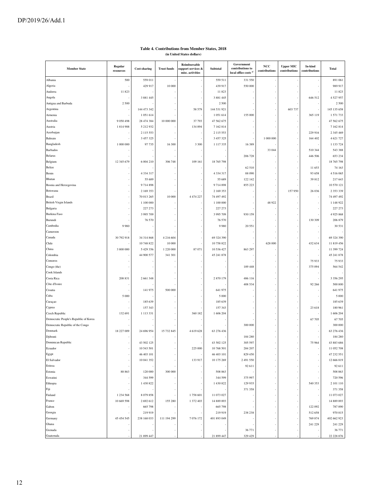#### **Member State Regular Regular Regular resources Cost-sharing Trust funds Reimbursable support services & misc. activities Subtotal Government**  ns to  $\log$ **d** office costs **NCC contributions Upper MIC contributions In-kind contributions Total** Albania 500 559 011 - - 559 511 331 550 - - - 891 061 Algeria - 1989 917 10 000 - 439 917 - 550 000 - 550 000 - 1 - 1 989 917 Andorra 11 823 - - - 11 823 - - - - 11 823 Angola - 19 - 3881 445 - 3881 445 - 3881 445 - 3881 445 - 646 512 4 527 957 Antigua and Barbuda 2 500 | - | - | - | - | - | - | 2 500 Argentina - 145 135 658 - 144 473 342 - 58 579 144 531 921 - 603 737 - 145 135 658 Armenia - 1 051 614 - - 1 051 614 155 000 - - 365 119 1 571 733 Australia 9 050 498 28 474 384 10 000 000 37 793 47 562 675 - - - - 47 562 675 Austria 1 814 988 5 212 932 - 134 894 7 162 814 - - - - - 7 162 814 Azerbaijan - 1990 - 2345 469 - 2015 553 - 2115 553 - 2115 553 - 229 916 2345 469 - 2345 469 2345 469 - 229 916 Bahrain - 164 402 | - 3457 325 | - | 3457 325 | - | 3457 325 | 1000 000 | - | 164 402 | 4621 727 Bangladesh 1 000 000 97 735 16 300 3 300 1 117 335 16 389 - - - 1 133 724 Barbados - - - - - - 33 044 - 510 344 543 388 Belarus - - - - - 206 728 - - 446 506 653 234 12 345 679 6 004 210 306 748 109 161 18 765 798 - - - - - - 18 765 798 Belize - - - - - 62 510 - - 11 653 74 163 Benin - 4 334 317 - - 4 334 317 88 090 - - 93 658 4 516 065 Bhutan - 1 - 55 689 - 55 689 - 55 689 - 55 689 122 142 - - 39 812 217 643 Bosnia and Herzegovina - 9 714 898 - - 9 714 898 855 223 - - - 10 570 121 Botswana - 2 169 353 - 1 20169 353 - 2 2009 353 - 169 353 - 169 353 - 157 950 26 036 2 353 339 Brazil - 1990 - 1900 13265 10 000 4 474 227 14 497 492 - 1 - 1 - 1 - 1 - 1 - 1 - 1 - 1497 492 British Virgin Islands - 1 100 000 - - 1 100 000 - 48 922 - - 1 148 922 Bulgaria - I - 227 273 - 227 273 - 227 273 - - - - - - 227 273 Burkina Faso - 3,995 709 - 3,995 709 - 3,995 709 930 159 - - - - 1 4925 868 Burundi - 76 570 - - 76 570 - - - 130 309 206 879 Cambodia 9 980 - - - 9 980 20 551 - - - 30 531 Cameroon - - - - - - - - - - Canada 30 792 918 34 314 868 4 216 604 - 69 324 390 - - - - 69 324 390 Chile - 10 748 822 10 000 - 10 758 822 - 628 000 - 432 634 11 819 456 China 3 800 000 5 429 356 1 220 000 87 071 10 536 427 863 297 - - - - 11 399 724 Colombia - 44 900 577 341 301 - 45 241 878 - - - - 45 241 878 Comoros - - - - - - - - 75 933 75 933 Congo (the) - - - - - - - - - - - - - 189 448 - 189 448 - 375 094 564 542 Cook Islands - - - - - - - - - - Costa Rica 208 831 2 661 348 - - 2 870 179 486 116 - - - 3 356 295 Côte d'Ivoire - - - - - 408 534 - - 92 266 500 800 Croatia - 141975 500 000 - 641 975 - - - - 141 975 Cuba 5 000 - - - 5 000 - - - - 5 000 Curaçao - 185 639 - 185 639 - 185 639 - 185 639 - 185 639 - 185 639 - 185 639 - 185 639 Cyprus - 157 343 - 157 343 - 157 343 - 157 343 - 157 343 - 157 343 - 157 343 - 157 343 - 169 961 - 23 618 - 23 Czech Republic 132 691 | 113 331 | 360 182 | 1606 204 | - | - | - | 1606 204 Democratic People's Republic of Korea - - - - - - - - 67 705 67 705 Democratic Republic of the Congo - - - - - 300 000 - - - 300 000 Denmark 18 227 009 24 696 954 15 732 845 4 619 628 63 276 436 - - - - - - - - - 63 276 436 Djibouti - - - - - - - - - - - - 184 280 - - - - 184 280 - 184 280 - 184 280 - 184 280 - 184 280 - 184 280 - 1 Dominican Republic - 13883 686 - 43 502 125 - 13883 686 - 1398 - 1398 - 1398 - 1398 - 1398 - 1398 - 1398 - 139 Ecuador - 10 543 501 - 225 000 10 768 501 284 207 - - 10 10 52 708 ا - 46 403 101 - 46 403 101 - 46403 101 - 46403 101 - 829 450 - - - - - - 47 232 551 El Salvador - 10 041 352 - 10 041 352 - 133 917 10 175 269 2 491 550 - 1 - 12 666 819 Eritrea - - - - - 92 611 - - - 92 611 Estonia 88 863 120 000 300 000 - 508 863 - - - - 508 863 Eswatini - 1 344 599 | 344 599 | 344 599 | 345 | 375 | 376 | - | - | 720 596 Ethiopia - 1 430 822 - - 1 430 822 129 935 - - 540 353 2 101 110 Fiji - - - - - 371 358 - - - 371 358 Finland 1 234 568 8 079 858 - 1 235 601 11 073 027 - - - - - 11 073 027 France 10 669 598 2 692 612 155 280 1 372 403 14 889 893 - - - - - 14 889 893 Gabon - 122 092 | - 665 798 | - 665 798 | - 665 798 | - 122 092 | 787 890 Georgia - Chronic Company - 219 919 | 219 | 219 | 219 | 238 238 | 238 | 238 | 238 | 238 | 238 | 238 | 238 | 23 Germany 45 454 545 238 168 033 111 194 299 7 076 172 401 893 049 - - - 769 874 402 662 923 Ghana - - - - - - - - 241 229 241 229 Grenada - - - - - 36 771 - - - 36 771

Guatemala - 22 228 876 - 21 899 447 - 21 899 447 - 22 228 876 - 22 228 876 - 22 228 876

# **Table 4. Contributions from Member States, 2018**

**(in United States dollars)**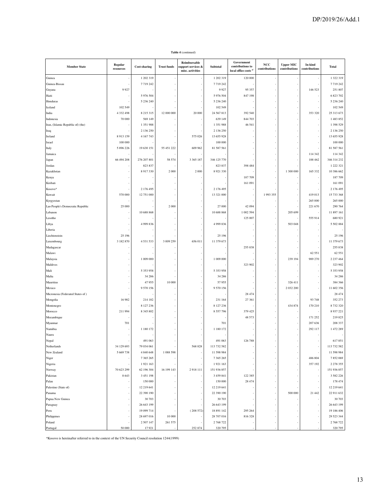| <b>Member State</b>               | Regular<br>resources | Cost-sharing  | <b>Trust funds</b> | Reimbursable<br>support services &<br>misc. activities | Subtotal      | Government<br>contributions to<br>local office costs <sup>a</sup> | NCC<br>contributions | <b>Upper MIC</b><br>contributions | In-kind<br>contributions | <b>Total</b>  |
|-----------------------------------|----------------------|---------------|--------------------|--------------------------------------------------------|---------------|-------------------------------------------------------------------|----------------------|-----------------------------------|--------------------------|---------------|
| Guinea                            |                      | 1 202 319     |                    |                                                        | 1 202 319     | 120 000                                                           |                      |                                   |                          | 1322319       |
| Guinea-Bissau                     |                      | 7719242       |                    |                                                        | 7719242       |                                                                   |                      |                                   |                          | 7719242       |
| Guyana                            | 9927                 |               |                    |                                                        | 9927          | 95 357                                                            |                      |                                   | 146 523                  | 251 807       |
| Haiti                             |                      | 5 976 504     |                    |                                                        | 5 976 504     | 847 198                                                           |                      |                                   |                          | 6 8 23 7 0 2  |
| Honduras                          |                      | 5 236 240     |                    |                                                        | 5 236 240     |                                                                   |                      |                                   |                          | 5 236 240     |
| Iceland                           | 102 549              |               |                    |                                                        | 102 549       |                                                                   |                      |                                   |                          | 102 549       |
| India                             | 4 3 3 2 4 9 8        | 8 2 1 5 3 1 5 | 12 000 000         | 20 000                                                 | 24 567 813    | 392 540                                                           |                      |                                   | 353 320                  | 25 313 673    |
| Indonesia                         | 70 000               | 569 149       |                    |                                                        | 639 149       | 844 703                                                           |                      |                                   |                          | 1483852       |
| Iran, (Islamic Republic of) (the) |                      | 1 351 988     |                    |                                                        | 1 351 988     | 46 541                                                            |                      |                                   |                          | 1 398 529     |
| Iraq                              |                      | 2 136 250     |                    |                                                        | 2 136 250     |                                                                   |                      |                                   |                          | 2 136 250     |
| Ireland                           | 8913159              | 4 167 743     |                    | 575 026                                                | 13 655 928    |                                                                   |                      |                                   |                          | 13 655 928    |
| Israel                            | 100 000              |               |                    |                                                        | 100 000       |                                                                   |                      |                                   |                          | 100 000       |
| Italy                             | 5 896 226            | 19 630 151    | 55 451 222         | 609 962                                                | 81 587 561    |                                                                   |                      |                                   |                          | 81 587 561    |
| Jamaica                           |                      |               |                    |                                                        |               |                                                                   |                      |                                   | 114 342                  | 114 342       |
| Japan                             | 66 494 208           | 276 207 801   | 58 574             | 3 3 6 5 1 8 7                                          | 346 125 770   |                                                                   |                      |                                   | 188 462                  | 346 314 232   |
| Jordan                            |                      | 823 837       |                    |                                                        | 823 837       | 398 484                                                           |                      |                                   |                          | 1 222 321     |
| Kazakhstan                        |                      | 8 917 330     | 2 0 0 0            | 2 0 0 0                                                | 8 9 21 3 30   |                                                                   |                      | 1 300 000                         | 165 332                  | 10 386 662    |
| Kenya                             |                      |               |                    |                                                        |               | 187 709                                                           |                      |                                   |                          | 187709        |
| Kiribati                          |                      |               |                    |                                                        |               | 161 091                                                           |                      |                                   |                          | 161 091       |
| Kosovo*                           |                      | 2 176 495     |                    |                                                        | 2 176 495     |                                                                   |                      |                                   |                          | 2 176 495     |
| Kuwait                            | 570 000              | 12 751 000    |                    |                                                        | 13 321 000    |                                                                   | 1993355              |                                   | 419 013                  | 15 733 368    |
| Kyrgyzstan                        |                      |               |                    |                                                        |               |                                                                   |                      |                                   | 265 000                  | 265 000       |
| Lao People's Democratic Republic  | 25 000               |               | 2 0 0 0            |                                                        | 27 000        | 42 094                                                            |                      |                                   | 221 670                  | 290 764       |
| Lebanon                           |                      | 10 688 868    |                    |                                                        | 10 688 868    | 1002 594                                                          |                      | 205 699                           |                          | 11 897 161    |
| Lesotho                           |                      |               |                    |                                                        |               | 125 007                                                           |                      |                                   | 555 914                  | 680 921       |
| Libya                             |                      | 4 9 9 8 3 6   |                    |                                                        | 4 9 9 8 3 6   |                                                                   |                      | 503 048                           |                          | 5 502 884     |
| Liberia                           |                      |               |                    |                                                        |               |                                                                   |                      |                                   |                          |               |
| Liechtenstein                     | 25 19 6              |               |                    |                                                        | 25 196        |                                                                   |                      |                                   |                          | 25 196        |
| Luxembourg                        | 3 182 870            | 4 5 3 1 5 3 3 | 3 009 259          | 656 011                                                | 11 379 673    |                                                                   |                      |                                   |                          | 11 379 673    |
| Madagascar                        |                      |               |                    |                                                        |               | 255 838                                                           |                      |                                   |                          | 255 838       |
| Malawi                            |                      |               |                    |                                                        |               |                                                                   |                      |                                   | 62 551                   | 62 551        |
| Malaysia                          |                      | 1 009 000     |                    |                                                        | 1 009 000     |                                                                   |                      | 239 194                           | 989 270                  | 2 2 3 7 4 6 4 |
| Maldives                          |                      |               |                    |                                                        |               | 323 902                                                           |                      |                                   |                          | 323 902       |
| Mali                              |                      | 5 3 5 3 9 5 8 |                    |                                                        | 5 353 958     |                                                                   |                      |                                   |                          | 5 353 958     |
| Malta                             |                      | 34 28 6       |                    |                                                        | 34 28 6       |                                                                   |                      |                                   |                          | 34 28 6       |
| Mauritius                         |                      | 47955         | 10 000             |                                                        | 57955         |                                                                   |                      | 326 411                           |                          | 384 366       |
| Mexico                            |                      | 9 5 7 0 1 5 6 |                    |                                                        | 9 570 156     |                                                                   |                      | 2 032 200                         |                          | 11 602 356    |
| Micronesia (Federated States of)  |                      |               |                    |                                                        |               | 28 4 7 4                                                          |                      |                                   |                          | 28 474        |
| Mongolia                          | 16 982               | 214 182       |                    |                                                        | 231 164       | 27 361                                                            |                      |                                   | 93 748                   | 352 273       |
| Montenegro                        |                      | 8 127 236     |                    |                                                        | 8 127 236     |                                                                   |                      | 434 874                           | 170 210                  | 8732320       |
| Morocco                           | 211 994              | 8 3 4 5 8 0 2 |                    |                                                        | 8 5 5 7 7 9 6 | 379 425                                                           |                      |                                   |                          | 8 9 3 7 2 2 1 |
| Mozambique                        |                      |               |                    |                                                        |               | 48 573                                                            |                      |                                   | 171 252                  | 219 825       |
| Myanmar                           | 701                  |               |                    |                                                        | 701           |                                                                   |                      |                                   | 207 636                  | 208 337       |
| Namibia                           |                      | 1 180 172     |                    |                                                        | 1 180 172     |                                                                   |                      |                                   | 292 117                  | 1 472 289     |
| Nauru                             |                      |               |                    |                                                        |               |                                                                   |                      |                                   |                          |               |
| Nepal                             |                      | 491 063       |                    |                                                        | 491 063       | 126 788                                                           |                      |                                   |                          | 617851        |
| Netherlands                       | 34 129 693           | 79 034 061    |                    | 568 828                                                | 113 732 582   |                                                                   |                      |                                   |                          | 113 732 582   |
| New Zealand                       | 5 669 738            | 4 840 648     | 1 088 598          |                                                        | 11 598 984    |                                                                   |                      |                                   |                          | 11 598 984    |
| Niger                             |                      | 7 365 265     |                    |                                                        | 7 365 265     |                                                                   |                      |                                   | 486 804                  | 7852069       |
| Nigeria                           |                      | 1921163       |                    |                                                        | 1921 163      |                                                                   |                      |                                   | 357 192                  | 2 2 7 8 3 5 5 |
| Norway                            | 70 623 299           | 62 196 304    | 16 199 143         | 2918111                                                | 151 936 857   |                                                                   |                      |                                   |                          | 151 936 857   |
| Pakistan                          | 8 6 4 3              | 3 451 198     |                    |                                                        | 3 459 841     | 122 385                                                           |                      |                                   |                          | 3 5 8 2 2 2 6 |
| Palau                             |                      | 150 000       |                    |                                                        | 150 000       | 28 474                                                            |                      |                                   |                          | 178 474       |
| Palestine (State of)              |                      | 12 219 641    |                    |                                                        | 12 219 641    |                                                                   |                      |                                   |                          | 12 219 641    |
| Panama                            |                      | 22 390 190    |                    |                                                        | 22 390 190    |                                                                   |                      | 500 000                           | 21 442                   | 22 911 632    |
| Papua New Guinea                  |                      | 30 70 3       |                    |                                                        | 30 703        |                                                                   |                      |                                   |                          | 30 703        |
| Paraguay                          |                      | 26 643 199    |                    |                                                        | 26 643 199    |                                                                   |                      |                                   |                          | 26 643 199    |
| Peru                              |                      | 19 099 714    |                    | (208572)                                               | 18 891 142    | 295 264                                                           |                      |                                   |                          | 19 186 406    |
| Philippines                       |                      | 28 697 016    | 10 000             |                                                        | 28 707 016    | 816 328                                                           |                      |                                   |                          | 29 523 344    |
| Poland                            |                      | 2 507 147     | 261 575            |                                                        | 2 768 722     |                                                                   |                      |                                   |                          | 2 768 722     |
| Portugal                          | 50 000               | 17921         |                    | 252 874                                                | 320 795       |                                                                   |                      |                                   |                          | 320 795       |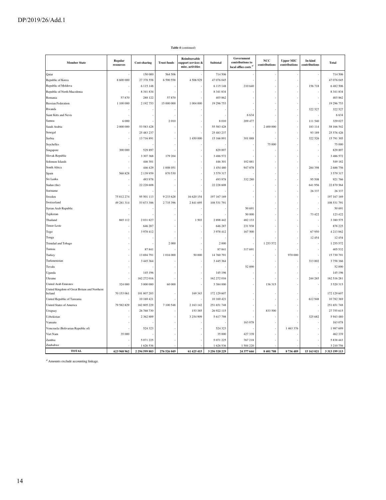| <b>Member State</b>                                                  | Regular<br>resources | <b>Cost-sharing</b> | <b>Trust funds</b> | Reimbursable<br>upport services &<br>misc. activities | Subtotal      | Government<br>contributions to<br>local office costs <sup>a</sup> | NCC<br>contributions | <b>Upper MIC</b><br>contributions | In-kind<br>contributions | Total          |
|----------------------------------------------------------------------|----------------------|---------------------|--------------------|-------------------------------------------------------|---------------|-------------------------------------------------------------------|----------------------|-----------------------------------|--------------------------|----------------|
| Qatar                                                                |                      | 150 000             | 564 506            |                                                       | 714 506       |                                                                   |                      |                                   |                          | 714 506        |
| Republic of Korea                                                    | 8 600 000            | 27 378 558          | 6 590 558          | 4 506 929                                             | 47 076 045    |                                                                   |                      |                                   |                          | 47 076 045     |
| Republic of Moldova                                                  |                      | 6 115 148           |                    |                                                       | 6 1 1 5 1 4 8 | 210 640                                                           |                      |                                   | 156 718                  | 6482506        |
| Republic of North Macedonia                                          |                      | 8 341 834           |                    |                                                       | 8 341 834     |                                                                   |                      |                                   |                          | 8 341 834      |
| Romania                                                              | 57870                | 288 122             | 57870              |                                                       | 403 862       |                                                                   |                      |                                   |                          | 403 862        |
| <b>Russian Federation</b>                                            | 1 100 000            | 2 192 753           | 15 000 000         | 1 004 000                                             | 19 29 6 753   |                                                                   |                      |                                   |                          | 19 29 6 753    |
| Rwanda                                                               |                      |                     |                    |                                                       |               |                                                                   |                      |                                   | 322 527                  | 322 527        |
| Saint Kitts and Nevis                                                |                      |                     |                    |                                                       |               | 6 6 3 4                                                           |                      |                                   |                          | 6634           |
| Samoa                                                                | 6 0 0 0              |                     | 2010               |                                                       | 8010          | 209 477                                                           |                      |                                   | 111 540                  | 329 027        |
| Saudi Arabia                                                         | 2 000 000            | 53 583 428          |                    |                                                       | 55 583 428    |                                                                   | 2 400 000            |                                   | 183 114                  | 58 166 542     |
| Senegal                                                              |                      | 25 483 237          |                    |                                                       | 25 483 237    |                                                                   |                      |                                   | 93 189                   | 25 576 426     |
| Serbia                                                               |                      | 13 716 891          |                    | 1 450 000                                             | 15 166 891    | 301 888                                                           |                      |                                   | 322 526                  | 15 791 305     |
| Seychelles                                                           |                      |                     |                    |                                                       |               |                                                                   | 75 000               |                                   |                          | 75 000         |
| Singapore                                                            | 300 000              | 529 897             |                    |                                                       | 829 897       |                                                                   |                      |                                   |                          | 829 897        |
| Slovak Republic                                                      |                      | 3 307 368           | 179 204            |                                                       | 3 486 572     |                                                                   |                      |                                   |                          | 3 486 572      |
| Solomon Islands                                                      |                      | 446 301             |                    |                                                       | 446 301       | 102 881                                                           |                      |                                   |                          | 549 182        |
| South Africa                                                         |                      | 446 429             | 1 008 051          |                                                       | 1454480       | 947 878                                                           |                      |                                   | 284 398                  | 2686756        |
| Spain                                                                | 568 828              | 2 139 959           | 870 530            |                                                       | 3 579 317     |                                                                   |                      |                                   |                          | 3 579 317      |
| Sri Lanka                                                            |                      | 493 978             |                    |                                                       | 493 978       | 332 280                                                           |                      |                                   | 95 508                   | 921 766        |
| Sudan (the)                                                          |                      | 22 228 608          |                    |                                                       | 22 228 608    |                                                                   |                      |                                   | 641 956                  | 22 870 564     |
| Suriname                                                             |                      |                     |                    |                                                       |               |                                                                   |                      |                                   | 26 337                   | 26 3 37        |
| Sweden                                                               | 75 812 274           | 95 501 113          | 9 233 628          | 16 620 154                                            | 197 167 169   |                                                                   |                      |                                   |                          | 197 167 169    |
| Switzerland                                                          | 49 281 314           | 53 673 386          | 2 735 396          | 2 841 695                                             | 108 531 791   |                                                                   |                      |                                   |                          | 108 531 791    |
| Syrian Arab Republic                                                 |                      |                     |                    |                                                       |               | 50 691                                                            |                      |                                   |                          | 50 691         |
| Tajikistan                                                           |                      |                     |                    |                                                       |               | 50 000                                                            |                      |                                   | 73 422                   | 123 422        |
| Thailand                                                             | 865 112              | 2031827             |                    | 1503                                                  | 2 898 442     | 482 133                                                           |                      |                                   |                          | 3 380 575      |
| Timor-Leste                                                          |                      | 646 287             |                    |                                                       | 646 287       | 231938                                                            |                      |                                   |                          | 878 225        |
| Togo                                                                 |                      | 3978412             |                    |                                                       | 3 978 412     | 167 500                                                           |                      |                                   | 67 950                   | 4 2 1 3 8 6 2  |
|                                                                      |                      |                     |                    |                                                       |               |                                                                   |                      |                                   | 12 454                   | 12454          |
| Tonga                                                                |                      |                     |                    |                                                       |               |                                                                   |                      |                                   |                          |                |
| Trinidad and Tobago                                                  |                      |                     | 2 0 0 0            |                                                       | 2 0 0 0       |                                                                   | 1 253 572            |                                   |                          | 1 255 572      |
| Tunisia                                                              |                      | 87841               |                    |                                                       | 87 841        | 317 691                                                           |                      | 970 000                           |                          | 405 532        |
| Turkey                                                               |                      | 13 694 791          | 1 016 000          | 50 000                                                | 14 760 791    |                                                                   |                      |                                   |                          | 15 730 791     |
| Turkmenistan                                                         |                      | 3 4 4 5 3 6 4       |                    |                                                       | 3 4 4 5 3 6 4 |                                                                   |                      |                                   | 313 002                  | 3758366        |
| Tuvalu                                                               |                      |                     |                    |                                                       |               | 52890                                                             |                      |                                   |                          | 52 890         |
| Uganda                                                               |                      | 145 196             |                    |                                                       | 145 196       |                                                                   |                      |                                   |                          | 145 196        |
| Ukraine                                                              |                      | 162 272 016         |                    |                                                       | 162 272 016   |                                                                   |                      |                                   | 244 265                  | 162 516 281    |
| United Arab Emirates<br>United Kingdom of Great Britain and Northern | 324 000              | 3 000 000           | 60 000             |                                                       | 3 3 8 4 0 0 0 |                                                                   | 136 315              |                                   |                          | 3 5 20 3 15    |
| Ireland                                                              | 70 153 061           | 101 807 203         |                    | 169 343                                               | 172 129 607   |                                                                   |                      |                                   |                          | 172 129 607    |
| United Republic of Tanzania                                          |                      | 10 169 421          |                    |                                                       | 10 169 421    |                                                                   |                      |                                   | 612 948                  | 10 782 369     |
| <b>United States of America</b>                                      | 79 582 829           | 162 805 229         | 7 100 548          | 2 163 142                                             | 251 651 748   |                                                                   |                      |                                   |                          | 251 651 748    |
| Uruguay                                                              |                      | 26 768 730          |                    | 153 385                                               | 26 922 115    |                                                                   | 833 500              |                                   |                          | 27 755 615     |
| Uzbekistan                                                           |                      | 2 3 6 2 8 8 9       |                    | 3 254 909                                             | 5 617 798     |                                                                   |                      |                                   | 325 682                  | 5 943 480      |
| Vanuatu                                                              |                      |                     |                    |                                                       |               | 163 078                                                           |                      |                                   |                          | 163 078        |
| Venezuela (Bolivarian Republic of)                                   |                      | 524 323             |                    |                                                       | 524 323       |                                                                   |                      | 1 463 376                         |                          | 1987699        |
| Viet Nam                                                             | 35 000               |                     |                    |                                                       | 35 000        | 427 339                                                           |                      |                                   |                          | 462 339        |
| Zambia                                                               |                      | 5 071 225           |                    |                                                       | 5 071 225     | 767 218                                                           |                      |                                   |                          | 5 838 443      |
| Zimbabwe                                                             |                      | 1626536             |                    |                                                       | 1626 536      | 1584220                                                           |                      |                                   |                          | 3 210 756      |
| <b>TOTAL</b>                                                         | 623 968 962          | 2 294 599 803       | 276 526 049        | 61 425 415                                            | 3 256 520 229 | 24 377 666                                                        | 8401708              | 8736489                           | 15 163 021               | 3 3 13 199 113 |

 $\mathrm{^{a\prime}}$  Amounts exclude accounting linkage.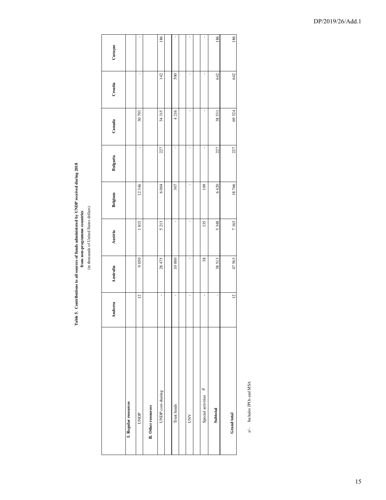Table 5. Contributions to all sources of funds administered by UNDP received during 2018<br>from non-programme countries<br>(in thousands of United States dollars) **Table 5. Contributions to all sources of funds administered by UNDP received during 2018 from non-programme countries**

(in thousands of United States dollars)

|                           | Andorra        | Australia | Austria | Belgium | Bulgaria | Canada | Croatia | Curaçao |
|---------------------------|----------------|-----------|---------|---------|----------|--------|---------|---------|
| I. Regular resources      |                |           |         |         |          |        |         |         |
| UNDP                      | $\overline{c}$ | 9050      | 1815    | 12346   | ï        | 30793  | ï       | ı       |
| II. Other resources       |                |           |         |         |          |        |         |         |
| UNDP cost-sharing         | ł              | 28475     | 5213    | 6004    | 227      | 34 315 | 142     | 186     |
|                           |                |           |         |         |          |        |         |         |
| Trust funds               | ı              | 10000     | ı       | 307     | ı        | 4216   | 500     | ı       |
|                           |                |           |         |         |          |        |         |         |
| <b>AND</b>                | ı              | ı         | ı       | ı       | ı        | ı      | ı       | ł       |
|                           |                |           |         |         |          |        |         |         |
| al,<br>Special activities | ı              | 38        | 135     | 109     | ı        | ı      | ı       | ł       |
| Subtotal                  | ı              | 38513     | 5348    | 6420    | 227      | 38531  | 642     | 186     |
| Grand total               | $\overline{c}$ | 47563     | 7163    | 18766   | 227      | 69324  | 642     | 186     |
|                           |                |           |         |         |          |        |         |         |

a/ - Includes JPOs and MSA a/ - Includes JPOs and MSA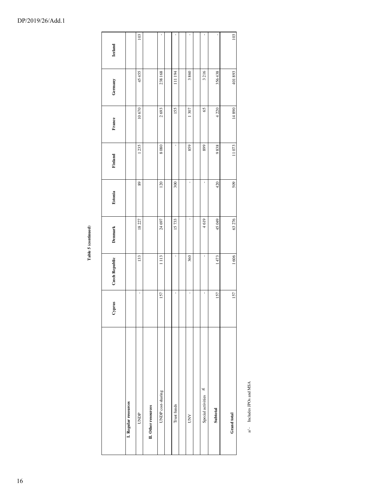| ı |  |
|---|--|
|   |  |
|   |  |

|                           | Cyprus | Czech Republic | Denmark | Estonia | Finland | France  | Germany | <b>Iceland</b> |  |
|---------------------------|--------|----------------|---------|---------|---------|---------|---------|----------------|--|
| L Regular resources       |        |                |         |         |         |         |         |                |  |
| UNDP                      | ı      | 133            | 18227   | 89      | 1235    | 10670   | 45455   | 103            |  |
| II. Other resources       |        |                |         |         |         |         |         |                |  |
| UNDP cost-sharing         | 157    | 1113           | 24 697  | 120     | 8080    | 2693    | 238168  |                |  |
|                           |        |                |         |         |         |         |         |                |  |
| Trust funds               | ı      | ı              | 15733   | 300     | ı       | 155     | 111 194 | ï              |  |
|                           |        |                |         |         |         |         |         |                |  |
| <b>AND</b>                | ı      | 360            | ı       | ł       | 859     | 1307    | 3860    | ı              |  |
|                           |        |                |         |         |         |         |         |                |  |
| al,<br>Special activities | 1      | ı              | 4619    | ı       | 899     | 65      | 3216    | ı              |  |
| Subtotal                  | 157    | 1473           | 45049   | 420     | 9838    | 4 2 2 0 | 356438  | 1              |  |
| Grand total               |        |                |         |         |         |         |         |                |  |
|                           | 157    | 1606           | 63 276  | 509     | 11073   | 14890   | 401893  | 103            |  |

a/- Includes JPOs and MSA a/ - Includes JPOs and MSA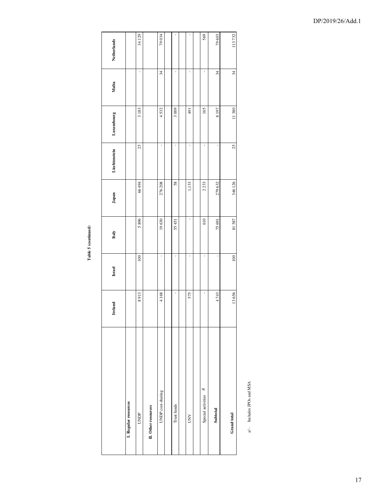Table 5 (continued) **Table 5 (continued)**

|                              | Ireland | Israel | Italy | Japan   | Liechtenstein | Luxembourg | Malta | Netherlands |
|------------------------------|---------|--------|-------|---------|---------------|------------|-------|-------------|
| I. Regular resources         |         |        |       |         |               |            |       |             |
| UNDP                         | 8913    | 100    | 5896  | 66 494  | 25            | 3183       | ı     | 34129       |
| II. Other resources          |         |        |       |         |               |            |       |             |
| UNDP cost-sharing            | 4168    | ı      | 19630 | 276 208 | ï             | 4532       | 34    | 79034       |
|                              |         |        |       |         |               |            |       |             |
| Trust funds                  | t       | ł      | 55451 | 58      | ï             | 3009       | ı     |             |
|                              |         |        |       |         |               |            |       |             |
| <b>NND</b>                   | 575     | ı      | ı     | 1,133   | ï             | 491        | ı     |             |
|                              |         |        |       |         |               |            |       |             |
| $\geq$<br>Special activities | ı       | ı      | 610   | 2233    | ï             | 165        | ı     | 569         |
| Subtotal                     | 4743    | ï      | 75691 | 279632  | ı             | 8197       | 34    | 79603       |
| Grand total                  | 13656   | 100    | 81587 | 346 126 | 25            | 11380      | 34    | 113732      |
|                              |         |        |       |         |               |            |       |             |

a/ - Includes JPOs and MSA a/ - Includes JPOs and MSA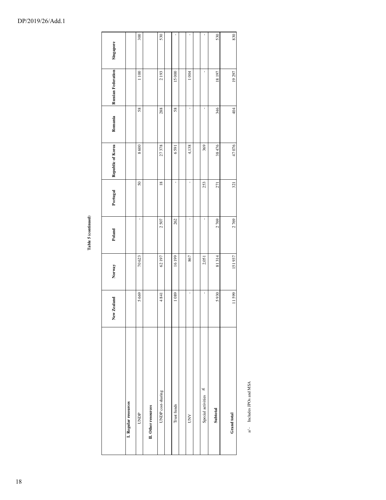| , |  |
|---|--|

|                          | New Zealand | Norway | Poland | Portugal        | Republic of Korea | Romania | <b>Russian Federation</b> | Singapore |
|--------------------------|-------------|--------|--------|-----------------|-------------------|---------|---------------------------|-----------|
| L Regular resources      |             |        |        |                 |                   |         |                           |           |
| UNDP                     | 5669        | 70623  | ı      | 50              | 8600              | 58      | 1100                      | 300       |
| II. Other resources      |             |        |        |                 |                   |         |                           |           |
| UNDP cost-sharing        | 4841        | 62197  | 2507   | $\frac{18}{18}$ | 27378             | 288     | 2193                      | 530       |
|                          |             |        |        |                 |                   |         |                           |           |
| Trust funds              | 1089        | 16199  | 262    | ł               | 6591              | 58      | 15000                     |           |
|                          |             |        |        |                 |                   |         |                           |           |
| <b>AND</b>               | ı           | 867    | ı      | ı               | 4,138             | ı       | 1004                      |           |
|                          |             |        |        |                 |                   |         |                           |           |
| ٦I<br>Special activities |             | 2,051  | ı      | 253             | 369               | ı       | ı                         |           |
| Subtotal                 | 5930        | 81314  | 2769   | 271             | 38 476            | 346     | 18197                     | 530       |
| Grand total              | 11599       | 151937 | 2769   | 321             | 47076             | 404     | 19297                     | 830       |
|                          |             |        |        |                 |                   |         |                           |           |

a/ - Includes JPOs and MSA a/ - Includes JPOs and MSA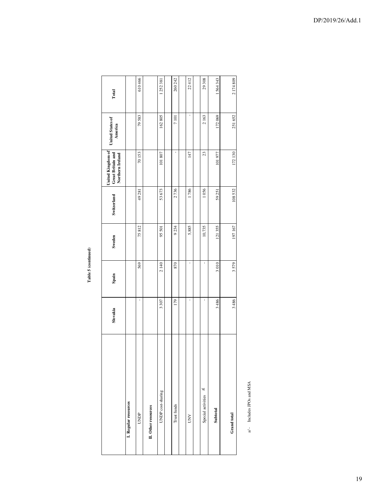# ${\bf Table}$   ${\bf 5}$  (continued) **Table 5 (continued)**

|                          | Slovakia | Spain | Sweden | Switzerland | United Kingdom of<br>Great Britain and<br>Northern Ireland | <b>United States of</b><br>America | Total   |
|--------------------------|----------|-------|--------|-------------|------------------------------------------------------------|------------------------------------|---------|
| L Regular resources      |          |       |        |             |                                                            |                                    |         |
| UNDP                     |          | 569   | 75812  | 49 281      | 70153                                                      | 79583                              | 610466  |
| II. Other resources      |          |       |        |             |                                                            |                                    |         |
| UNDP cost-sharing        | 3307     | 2140  | 95501  | 53673       | 101 807                                                    | 162805                             | 1252381 |
|                          |          |       |        |             |                                                            |                                    |         |
| Trust funds              | 179      | 870   | 9234   | 2736        | ı                                                          | 7 101                              | 260 242 |
|                          |          |       |        |             |                                                            |                                    |         |
| <b>NND</b>               |          | ı     | 5,885  | 1786        | 147                                                        |                                    | 22412   |
|                          |          |       |        |             |                                                            |                                    |         |
| al<br>Special activities |          | ı     | 10,735 | 1056        | 23                                                         | 2163                               | 29 308  |
| Subtotal                 | 3486     | 3010  | 121355 | 59251       | 101977                                                     | 172069                             | 1564343 |
| Grand total              | 3486     | 3579  | 197167 | 108532      | 172130                                                     | 251 652                            | 2174809 |
|                          |          |       |        |             |                                                            |                                    |         |

a/- Includes JPOs and MSA a/ - Includes JPOs and MSA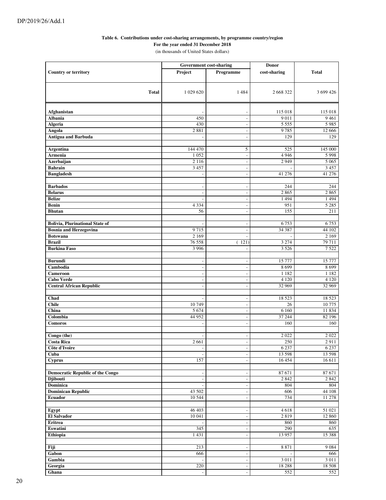#### **Table 6. Contributions under cost-sharing arrangements, by programme country/region**

**For the year ended 31 December 2018**

(in thousands of United States dollars)

|                                         | Government cost-sharing  |                                                      | <b>Donor</b>   |                 |
|-----------------------------------------|--------------------------|------------------------------------------------------|----------------|-----------------|
| <b>Country or territory</b>             | Project                  | Programme                                            | cost-sharing   | <b>Total</b>    |
|                                         |                          |                                                      |                |                 |
|                                         |                          |                                                      |                |                 |
| <b>Total</b>                            | 1 029 620                | 1484                                                 | 2 668 322      | 3 699 426       |
|                                         |                          |                                                      |                |                 |
|                                         |                          |                                                      |                |                 |
| Afghanistan                             |                          |                                                      | 115 018        | 115 018         |
| <b>Albania</b>                          | 450                      | $\overline{a}$                                       | 9011           | 9461            |
| Algeria                                 | 430                      | $\overline{\phantom{a}}$                             | 5555           | 5 9 8 5         |
| Angola                                  | 2881                     | $\overline{\phantom{a}}$                             | 9785           | 12 6 6 6        |
| <b>Antigua and Barbuda</b>              |                          | $\overline{a}$                                       | 129            | 129             |
|                                         |                          |                                                      |                |                 |
| <b>Argentina</b><br>Armenia             | 144 470<br>1052          | 5<br>$\mathbb{L}$                                    | 525<br>4 9 4 6 | 145 000<br>5998 |
| Azerbaijan                              | 2 1 1 6                  | $\overline{\phantom{a}}$                             | 2949           | 5 0 6 5         |
| <b>Bahrain</b>                          | 3 4 5 7                  | $\sim$                                               |                | 3 4 5 7         |
| <b>Bangladesh</b>                       |                          | $\overline{\phantom{a}}$                             | 41 276         | 41 276          |
|                                         |                          |                                                      |                |                 |
| <b>Barbados</b>                         | $\overline{a}$           | $\overline{\phantom{a}}$                             | 244            | 244             |
| <b>Belarus</b>                          | $\overline{\phantom{a}}$ | $\blacksquare$                                       | 2865           | 2865            |
| <b>Belize</b>                           |                          | $\overline{\phantom{a}}$                             | 1 4 9 4        | 1494            |
| <b>Benin</b>                            | 4 3 3 4                  | $\overline{\phantom{a}}$                             | 951            | 5 2 8 5         |
| <b>Bhutan</b>                           | 56                       | $\sim$                                               | 155            | 211             |
|                                         |                          |                                                      |                |                 |
| <b>Bolivia, Plurinational State of</b>  |                          | $\overline{\phantom{a}}$                             | 6753           | 6753            |
| <b>Bosnia and Herzegovina</b>           | 9715                     | $\overline{\phantom{a}}$                             | 34 387         | 44 102          |
| <b>Botswana</b>                         | 2 1 6 9                  | $\overline{\phantom{a}}$                             |                | 2 1 6 9         |
| <b>Brazil</b>                           | 76 558                   | 121)                                                 | 3 2 7 4        | 79 711          |
| <b>Burkina Faso</b>                     | 3 9 9 6                  | $\overline{\phantom{a}}$                             | 3 5 2 6        | 7522            |
| <b>Burundi</b>                          | $\overline{a}$           | $\overline{\phantom{a}}$                             | 15 777         | 15 777          |
| Cambodia                                | $\overline{a}$           | $\overline{\phantom{a}}$                             | 8699           | 8699            |
| Cameroon                                | $\overline{a}$           | $\overline{\phantom{a}}$                             | 1 1 8 2        | 1 1 8 2         |
| <b>Cabo Verde</b>                       | $\overline{\phantom{a}}$ | $\sim$                                               | 4 1 2 0        | 4 1 2 0         |
| <b>Central African Republic</b>         |                          | ÷,                                                   | 32 969         | 32 969          |
|                                         |                          |                                                      |                |                 |
| Chad                                    |                          | $\sim$                                               | 18 5 23        | 18 5 23         |
| <b>Chile</b>                            | 10749                    | $\sim$                                               | 26             | 10775           |
| China                                   | 5 6 7 4                  | $\overline{\phantom{a}}$                             | 6 1 6 0        | 11 834          |
| Colombia                                | 44 952                   | $\overline{\phantom{a}}$                             | 37 244         | 82 196          |
| <b>Comoros</b>                          |                          | $\sim$                                               | 160            | 160             |
|                                         |                          |                                                      |                |                 |
| Congo (the)<br><b>Costa Rica</b>        | 2661                     | $\overline{\phantom{a}}$<br>$\overline{\phantom{a}}$ | 2022<br>250    | 2022<br>2911    |
| Côte d'Ivoire                           | $\frac{1}{2}$            | $\overline{\phantom{a}}$                             | 6 2 3 7        | 6 2 3 7         |
| Cuba                                    |                          | $\overline{\phantom{a}}$                             | 13 598         | 13 598          |
| <b>Cyprus</b>                           | 157                      | $\blacksquare$                                       | 16 454         | 16 611          |
|                                         |                          |                                                      |                |                 |
| <b>Democratic Republic of the Congo</b> | $\overline{a}$           | $\blacksquare$                                       | 87 671         | 87 671          |
| <b>Djibouti</b>                         | $\overline{a}$           | $\sim$                                               | 2 8 4 2        | 2 8 4 2         |
| Dominica                                |                          | $\overline{\phantom{a}}$                             | 804            | 804             |
| <b>Dominican Republic</b>               | 43 502                   | $\sim$                                               | 606            | 44 108          |
| <b>Ecuador</b>                          | 10 544                   | $\overline{\phantom{a}}$                             | 734            | 11 278          |
|                                         |                          |                                                      |                |                 |
| Egypt                                   | 46 403                   | $\overline{\phantom{a}}$                             | 4618           | 51 021          |
| <b>El Salvador</b><br>Eritrea           | 10 041                   | $\overline{\phantom{a}}$                             | 2 8 1 9        | 12 860          |
| Eswatini                                | 345                      | $\overline{\phantom{a}}$                             | 860<br>290     | 860<br>635      |
| Ethiopia                                | 1431                     | $\overline{\phantom{a}}$<br>$\overline{\phantom{a}}$ | 13 957         | 15 388          |
|                                         |                          |                                                      |                |                 |
| Fiji                                    | 213                      | $\overline{\phantom{a}}$                             | 8 8 7 1        | 9084            |
| Gabon                                   | 666                      | $\overline{\phantom{a}}$                             | $\sim$         | 666             |
| Gambia                                  |                          | $\blacksquare$                                       | 3 0 1 1        | 3 0 1 1         |
| Georgia                                 | 220                      | $\overline{\phantom{a}}$                             | 18 28 8        | 18 508          |
| Ghana                                   |                          | $\overline{\phantom{a}}$                             | 552            | 552             |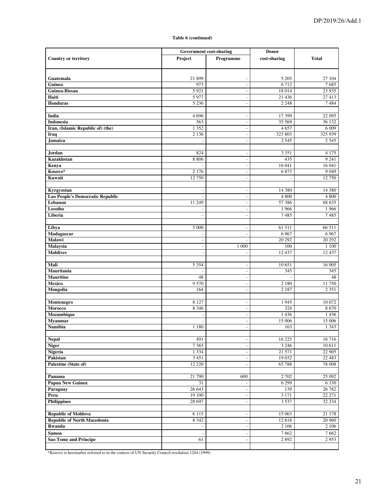|                                         | <b>Government cost-sharing</b> |                          | <b>Donor</b> |                   |
|-----------------------------------------|--------------------------------|--------------------------|--------------|-------------------|
| <b>Country or territory</b>             | Project                        | Programme                | cost-sharing | <b>Total</b>      |
|                                         |                                |                          |              |                   |
|                                         |                                |                          |              |                   |
| Guatemala                               | 21 899                         | $\overline{\phantom{a}}$ | 5 2 0 5      | 27 104            |
| Guinea                                  | 973                            | $\overline{\phantom{a}}$ | 6712         | 7685              |
| Guinea-Bissau                           | 5921                           | $\overline{\phantom{a}}$ | 18 014       | 23 9 35           |
| Haiti                                   | 5977                           | $\overline{\phantom{a}}$ | 21 4 36      | 27 413            |
| Honduras                                | 5 2 3 6                        | $\sim$                   | 2 2 4 8      | 7484              |
| India                                   | 4696                           | $\overline{\phantom{a}}$ | 17 399       | 22 095            |
| Indonesia                               | 563                            | $\overline{\phantom{a}}$ | 35 569       | 36 132            |
| Iran, (Islamic Republic of) (the)       | 1 3 5 2                        | $\overline{\phantom{a}}$ | 4657         | 6 0 0 9           |
| Iraq                                    | 2 1 3 6                        | $\overline{\phantom{a}}$ | 323 803      | 325 939           |
| Jamaica                                 |                                | ÷,                       | 2 5 4 5      | 2 5 4 5           |
|                                         |                                |                          |              |                   |
| Jordan                                  | 824                            | $\overline{a}$           | 3 3 5 1      | 4 1 7 5           |
| Kazakhstan                              | 8 8 0 6                        | $\overline{\phantom{a}}$ | 435          | 9241              |
| Kenya                                   |                                | $\sim$                   | 16 041       | 16 041            |
| Kosovo*                                 | 2 1 7 6                        | $\overline{\phantom{a}}$ | 6873         | 9 0 4 9           |
| Kuwait                                  | 12 750                         | $\blacksquare$           |              | 12 750            |
|                                         |                                |                          |              |                   |
| Kyrgyzstan                              |                                | $\overline{\phantom{a}}$ | 14 380       | 14 380            |
| <b>Lao People's Democratic Republic</b> |                                | $\overline{\phantom{a}}$ | 4800         | 4800              |
| Lebanon                                 | 11 249                         | $\overline{\phantom{a}}$ | 57 38 6      | 68 635            |
| Lesotho                                 |                                | $\overline{\phantom{a}}$ | 1966         | 1966              |
| Liberia                                 | $\overline{a}$                 | $\overline{\phantom{a}}$ | 7485         | 7485              |
| Libya                                   | 5 0 0 0                        | $\overline{a}$           | 61 511       | 66 511            |
| Madagascar                              |                                | $\overline{\phantom{a}}$ | 6967         | 6967              |
| Malawi                                  |                                | ÷,                       | 20 29 2      | 20 29 2           |
| <b>Malaysia</b>                         | ÷,                             | 1 000                    | 100          | 1 100             |
| <b>Maldives</b>                         |                                | ÷,                       | 12437        | 12 437            |
|                                         |                                |                          |              |                   |
| Mali                                    | 5 3 5 4                        | $\overline{a}$           | 10 651       | 16 005            |
| Mauritania                              |                                | $\overline{\phantom{a}}$ | 345          | 345               |
| <b>Mauritius</b>                        | 48                             | $\overline{\phantom{a}}$ |              | 48                |
| Mexico                                  | 9 5 7 0                        | $\overline{\phantom{a}}$ | 2 1 8 0      | 11750             |
| Mongolia                                | 164                            | $\overline{\phantom{a}}$ | 2 1 8 7      | 2 3 5 1           |
|                                         |                                |                          |              |                   |
| Montenegro                              | 8 1 2 7                        | $\overline{\phantom{a}}$ | 1945         | 10 072            |
| Morocco                                 | 8 3 4 6                        | $\overline{\phantom{a}}$ | 324          | 8670              |
| Mozambique                              |                                | $\overline{\phantom{a}}$ | 1436         | 1 4 3 6           |
| <b>Myanmar</b><br><b>Namibia</b>        |                                | $\overline{\phantom{a}}$ | 15 006       | 15 006<br>1 3 4 3 |
|                                         | 1 1 8 0                        | $\blacksquare$           | 163          |                   |
| <b>Nepal</b>                            | 491                            | $\overline{\phantom{a}}$ | 16 225       | 16 716            |
| <b>Niger</b>                            | 7 3 6 5                        | $\overline{\phantom{a}}$ | 3 2 4 6      | 10 611            |
| Nigeria                                 | 1 3 3 4                        | $\overline{\phantom{a}}$ | 21 571       | 22 905            |
| Pakistan                                | 3 4 5 1                        | $\overline{\phantom{a}}$ | 19 032       | 22 4 8 3          |
| Palestine (State of)                    | 12 2 2 0                       | $\overline{a}$           | 65788        | 78 008            |
|                                         |                                |                          |              |                   |
| Panama                                  | 21 790                         | 600                      | 2 702        | 25 092            |
| <b>Papua New Guinea</b>                 | 31                             | $\Box$                   | 6 2 9 9      | 6 3 3 0           |
| Paraguay                                | 26 643                         | $\overline{\phantom{a}}$ | 139          | 26 782            |
| Peru                                    | 19 100                         | $\overline{\phantom{a}}$ | 3 1 7 1      | 22 27 1           |
| <b>Philippines</b>                      | 28 697                         | $\overline{\phantom{a}}$ | 3 5 3 7      | 32 234            |
|                                         |                                |                          |              |                   |
| <b>Republic of Moldova</b>              | 6 1 1 5                        | $\overline{\phantom{a}}$ | 15 063       | 21 178            |
| <b>Republic of North Macedonia</b>      | 8 3 4 2                        | $\overline{\phantom{a}}$ | 12 618       | 20 960            |
| Rwanda                                  | $\overline{\phantom{a}}$       | $\overline{\phantom{a}}$ | 2 106        | 2 106             |
| Samoa                                   |                                | $\overline{a}$           | 7662         | 7662              |
| <b>Sao Tome and Principe</b>            | 61                             | $\overline{a}$           | 2 8 9 2      | 2953              |
|                                         |                                |                          |              |                   |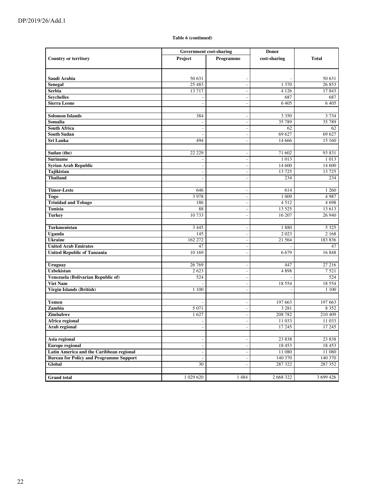|                                                | Government cost-sharing  |                          | <b>Donor</b>             |              |
|------------------------------------------------|--------------------------|--------------------------|--------------------------|--------------|
| <b>Country or territory</b>                    | Project                  | Programme                | cost-sharing             | <b>Total</b> |
|                                                |                          |                          |                          |              |
|                                                |                          |                          |                          |              |
| Saudi Arabia                                   | 50 631                   |                          |                          | 50 631       |
| <b>Senegal</b>                                 | 25 483                   | $\overline{\phantom{a}}$ | 1 370                    | 26 853       |
| Serbia                                         | 13717                    | $\overline{a}$           | 4 1 2 6                  | 17843        |
| <b>Seychelles</b>                              |                          | $\overline{\phantom{a}}$ | 687                      | 687          |
| <b>Sierra Leone</b>                            |                          | $\overline{a}$           | 6405                     | 6405         |
|                                                |                          |                          |                          |              |
| <b>Solomon Islands</b>                         | 384                      | $\overline{a}$           | 3 3 5 0                  | 3734         |
| Somalia                                        |                          | $\overline{a}$           | 35 789                   | 35 789       |
| <b>South Africa</b>                            | $\overline{\phantom{a}}$ | $\overline{\phantom{a}}$ | 62                       | 62           |
| <b>South Sudan</b>                             |                          | $\overline{a}$           | 69 627                   | 69 627       |
| Sri Lanka                                      | 494                      | $\overline{\phantom{a}}$ | 14 6 6 6                 | 15 160       |
|                                                |                          |                          |                          |              |
| Sudan (the)                                    | 22 229                   | $\overline{\phantom{a}}$ | 71 602                   | 93 831       |
| <b>Suriname</b>                                |                          | $\overline{a}$           | 1013                     | 1013         |
| <b>Syrian Arab Republic</b>                    | -                        | $\overline{a}$           | 14 600                   | 14 600       |
| Tajikistan                                     |                          | $\overline{a}$           | 13725                    | 13725        |
| <b>Thailand</b>                                | $\overline{a}$           | $\overline{a}$           | 234                      | 234          |
|                                                |                          |                          |                          |              |
| <b>Timor-Leste</b>                             | 646                      | ÷,                       | 614                      | 1 260        |
| <b>Togo</b>                                    | 3 9 7 8                  | $\overline{\phantom{a}}$ | 1 0 0 9                  | 4987         |
| <b>Trinidad and Tobago</b>                     | 186                      | $\overline{a}$           | 4512                     | 4698         |
| <b>Tunisia</b>                                 | 88                       | $\overline{\phantom{a}}$ | 13 5 25                  | 13 613       |
| <b>Turkey</b>                                  | 10733                    | $\overline{\phantom{a}}$ | 16 207                   | 26 940       |
|                                                |                          |                          |                          |              |
| Turkmenistan                                   | 3 4 4 5                  | $\overline{a}$           | 1880                     | 5 3 2 5      |
| Uganda                                         | 145                      | $\overline{a}$           | 2 0 2 3                  | 2 1 6 8      |
| <b>Ukraine</b>                                 | 162 272                  | $\overline{\phantom{a}}$ | 21 5 6 4                 | 183836       |
| <b>United Arab Emirates</b>                    | 47                       | $\overline{a}$           |                          | 47           |
| <b>United Republic of Tanzania</b>             | 10 16 9                  | $\overline{a}$           | 6679                     | 16848        |
|                                                |                          |                          |                          |              |
| Uruguay                                        | 26 769                   | $\overline{\phantom{a}}$ | 447                      | 27 216       |
| <b>Uzbekistan</b>                              | 2623                     | $\overline{a}$           | 4898                     | 7521         |
| Venezuela (Bolivarian Republic of)             | 524                      | $\overline{a}$           |                          | 524          |
| <b>Viet Nam</b>                                |                          | $\overline{\phantom{a}}$ | 18 5 5 4                 | 18 5 5 4     |
| Virgin Islands (British)                       | 1 100                    | $\overline{a}$           | $\overline{\phantom{a}}$ | 1 100        |
|                                                |                          |                          |                          |              |
| Yemen                                          |                          | $\overline{a}$           | 197 663                  | 197 663      |
| Zambia                                         | 5 0 7 1                  | $\overline{\phantom{a}}$ | 3 2 8 1                  | 8 3 5 2      |
| Zimbabwe                                       | 1627                     | $\overline{a}$           | 208 782                  | 210 409      |
| Africa regional                                |                          | $\overline{a}$           | 11 033                   | 11 033       |
| Arab regional                                  | $\overline{\phantom{a}}$ | $\overline{\phantom{a}}$ | 17 245                   | 17 245       |
|                                                |                          |                          |                          |              |
| Asia regional                                  | $\overline{\phantom{m}}$ | $\overline{\phantom{a}}$ | 23 8 38                  | 23 8 38      |
| Europe regional                                | $\overline{a}$           | $\overline{\phantom{a}}$ | 18 453                   | 18 453       |
| Latin America and the Caribbean regional       | $\overline{\phantom{a}}$ | $\overline{\phantom{a}}$ | 11 080                   | 11 080       |
| <b>Bureau for Policy and Programme Support</b> | $\overline{\phantom{a}}$ | $\overline{a}$           | 140 370                  | 140 370      |
| Global                                         | 30                       | ÷                        | 287 322                  | 287 352      |
|                                                |                          |                          |                          |              |
| <b>Grand</b> total                             | 1 029 620                | 1484                     | 2 668 322                | 3 699 426    |
|                                                |                          |                          |                          |              |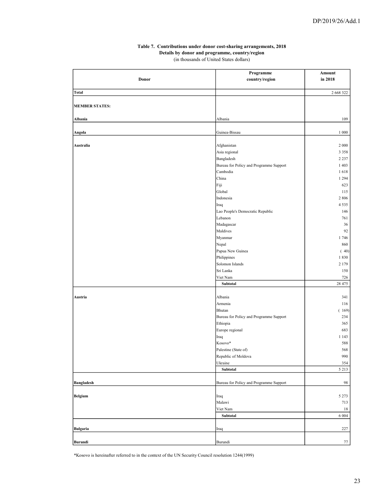#### Table 7. Contributions under donor cost-sharing arrangements, 2018 Details by donor and programme, country/region

(in thousands of United States dollars)

|                       | Programme                                   | Amount     |
|-----------------------|---------------------------------------------|------------|
| Donor                 | country/region                              | in 2018    |
|                       |                                             |            |
| <b>Total</b>          |                                             | 2 668 322  |
|                       |                                             |            |
| <b>MEMBER STATES:</b> |                                             |            |
|                       |                                             |            |
| Albania               | Albania                                     | 109        |
| Angola                | Guinea-Bissau                               | 1 000      |
|                       |                                             |            |
| Australia             | Afghanistan                                 | 2 0 0 0    |
|                       | Asia regional                               | 3 3 5 8    |
|                       | Bangladesh                                  | 2 2 3 7    |
|                       | Bureau for Policy and Programme Support     | 1 4 0 3    |
|                       | Cambodia                                    | 1618       |
|                       | China                                       | 1 2 9 4    |
|                       | Fiji                                        | 623        |
|                       | Global                                      | 115        |
|                       | Indonesia                                   | 2 8 0 6    |
|                       | Iraq                                        | 4535       |
|                       | Lao People's Democratic Republic            | 146        |
|                       | Lebanon                                     | 761        |
|                       | Madagascar                                  | 36         |
|                       | Maldives                                    | 92         |
|                       | Myanmar                                     | 1746       |
|                       | Nepal                                       | 860        |
|                       | Papua New Guinea                            | (40)       |
|                       | Philippines                                 | 1830       |
|                       | Solomon Islands                             | 2 1 7 9    |
|                       | Sri Lanka                                   | 150        |
|                       | Viet Nam                                    | 726        |
|                       | Subtotal                                    | 28 475     |
|                       |                                             |            |
| Austria               | Albania                                     | 341        |
|                       | Armenia                                     | 116        |
|                       | Bhutan                                      | (169)      |
|                       | Bureau for Policy and Programme Support     | 234        |
|                       | Ethiopia                                    | 365        |
|                       | Europe regional                             | 683        |
|                       | Iraq                                        | 1 1 4 3    |
|                       | Kosovo*                                     | 588        |
|                       | Palestine (State of)<br>Republic of Moldova | 568<br>990 |
|                       | Ukraine                                     | 354        |
|                       | Subtotal                                    | 5 2 1 3    |
|                       |                                             |            |
| <b>Bangladesh</b>     | Bureau for Policy and Programme Support     | 98         |
|                       |                                             |            |
| <b>Belgium</b>        | Iraq                                        | 5 2 7 3    |
|                       | Malawi                                      | 713        |
|                       | Viet Nam                                    | 18         |
|                       | Subtotal                                    | 6 0 0 4    |
|                       |                                             |            |
| <b>Bulgaria</b>       | Iraq                                        | 227        |
|                       |                                             |            |
| Burundi               | Burundi                                     | 77         |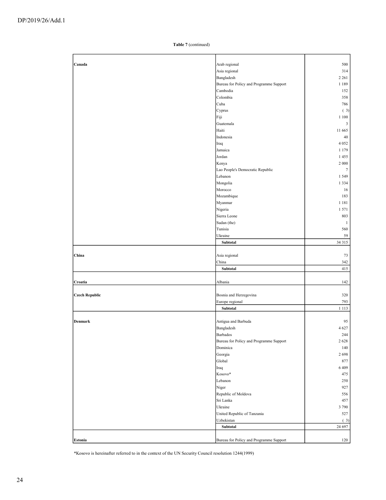| Canada                | Arab regional                           | 500             |
|-----------------------|-----------------------------------------|-----------------|
|                       | Asia regional                           | 314             |
|                       |                                         | 2 2 6 1         |
|                       | Bangladesh                              |                 |
|                       | Bureau for Policy and Programme Support | 1 1 8 9         |
|                       | Cambodia                                | 152             |
|                       | Colombia                                | 358             |
|                       | Cuba                                    | 786             |
|                       | Cyprus                                  | (3)             |
|                       | Fiji                                    | 1 1 0 0         |
|                       | Guatemala                               | $\mathfrak{Z}$  |
|                       | Haiti                                   | 11 665          |
|                       | Indonesia                               | 40              |
|                       | Iraq                                    | 4 0 5 2         |
|                       | Jamaica                                 | 1 1 7 9         |
|                       | Jordan                                  | 1455            |
|                       | Kenya                                   | 2 000           |
|                       | Lao People's Democratic Republic        | $7\phantom{.0}$ |
|                       | Lebanon                                 | 1 5 4 9         |
|                       | Mongolia                                | 1 3 3 4         |
|                       | Morocco                                 | 16              |
|                       | Mozambique                              | 183             |
|                       |                                         |                 |
|                       | Myanmar                                 | 1 1 8 1         |
|                       | Nigeria                                 | 1571            |
|                       | Sierra Leone                            | 803             |
|                       | Sudan (the)                             | $\mathbf{1}$    |
|                       | Tunisia                                 | 560             |
|                       | Ukraine                                 | 59              |
|                       | Subtotal                                | 34 315          |
|                       |                                         |                 |
| China                 | Asia regional                           | 73              |
|                       | China                                   | 342             |
|                       | Subtotal                                | 415             |
|                       |                                         |                 |
| Croatia               | Albania                                 | 142             |
|                       |                                         |                 |
| <b>Czech Republic</b> | Bosnia and Herzegovina                  | 320             |
|                       | Europe regional                         | 793             |
|                       | Subtotal                                | 1 1 1 3         |
|                       |                                         |                 |
| Denmark               | Antigua and Barbuda                     | 95              |
|                       | Bangladesh                              | 4 6 27          |
|                       | Barbados                                | 244             |
|                       | Bureau for Policy and Programme Support | 2 6 2 8         |
|                       | Dominica                                | 140             |
|                       | Georgia                                 | 2698            |
|                       | Global                                  | 877             |
|                       | Iraq                                    | 6409            |
|                       | Kosovo*                                 | 475             |
|                       | Lebanon                                 | 250             |
|                       | Niger                                   | 927             |
|                       | Republic of Moldova                     | 556             |
|                       | Sri Lanka                               | 457             |
|                       | Ukraine                                 | 3790            |
|                       | United Republic of Tanzania             | 527             |
|                       |                                         |                 |
|                       | Uzbekistan                              | (3)<br>24 697   |
|                       | Subtotal                                |                 |
|                       | Bureau for Policy and Programme Support | 120             |
| Estonia               |                                         |                 |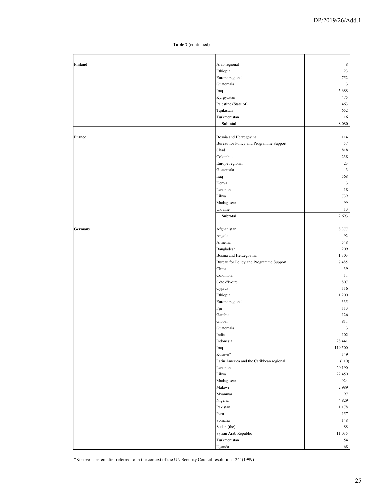| Finland | Arab regional                            | $\,$ 8 $\,$    |
|---------|------------------------------------------|----------------|
|         | Ethiopia                                 | 23             |
|         | Europe regional                          | 752            |
|         | Guatemala                                | 3              |
|         | Iraq                                     | 5 6 8 8        |
|         | Kyrgyzstan                               | 475            |
|         | Palestine (State of)                     | 463            |
|         | Tajikistan                               | 652            |
|         | Turkmenistan                             | 16             |
|         | Subtotal                                 | 8 0 8 0        |
|         |                                          |                |
| France  | Bosnia and Herzegovina                   | 114            |
|         | Bureau for Policy and Programme Support  | 57             |
|         | Chad                                     | 818            |
|         | Colombia                                 | 238            |
|         | Europe regional                          | 23             |
|         | Guatemala                                | 3              |
|         | Iraq                                     | 568            |
|         | Kenya                                    | $\mathfrak{Z}$ |
|         | Lebanon                                  | 18             |
|         | Libya                                    | 739            |
|         |                                          |                |
|         | Madagascar                               | 99             |
|         | Ukraine                                  | 13             |
|         | Subtotal                                 | 2 6 9 3        |
|         |                                          |                |
| Germany | Afghanistan                              | 8 3 7 7        |
|         | Angola                                   | 92             |
|         | Armenia                                  | 548            |
|         | Bangladesh                               | 209            |
|         | Bosnia and Herzegovina                   | 1 3 0 3        |
|         | Bureau for Policy and Programme Support  | 7485           |
|         | China                                    | 39             |
|         | Colombia                                 | 11             |
|         | Côte d'Ivoire                            | 807            |
|         | Cyprus                                   | 116            |
|         | Ethiopia                                 | 1 200          |
|         | Europe regional                          | 335            |
|         | Fiji                                     | 113            |
|         | Gambia                                   | 126            |
|         | Global                                   | 811            |
|         | Guatemala                                | $\mathbf{3}$   |
|         | India                                    | 102            |
|         | Indonesia                                | 28 441         |
|         | Iraq                                     | 119 500        |
|         | Kosovo*                                  | 149            |
|         |                                          |                |
|         | Latin America and the Caribbean regional | (10)           |
|         | Lebanon                                  | 20 190         |
|         | Libya                                    | 22 450         |
|         | Madagascar                               | 924            |
|         | Malawi                                   | 2989           |
|         | Myanmar                                  | 97             |
|         | Nigeria                                  | 4 8 2 9        |
|         | Pakistan                                 | 1 1 7 8        |
|         | Peru                                     | 157            |
|         | Somalia                                  | 148            |
|         | Sudan (the)                              | 88             |
|         | Syrian Arab Republic                     | 11 035         |
|         | Turkmenistan                             | 54             |
|         | Uganda                                   | 68             |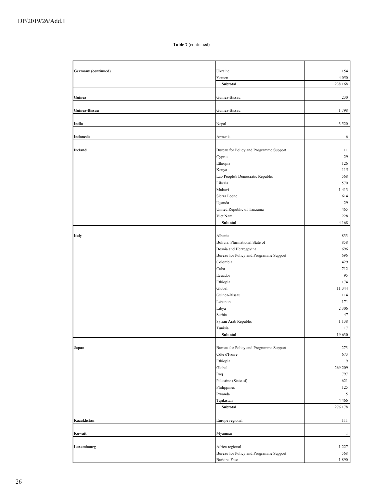| <b>Germany</b> (continued) | Ukraine                                 | 154          |
|----------------------------|-----------------------------------------|--------------|
|                            | Yemen                                   | 4 0 5 0      |
|                            | Subtotal                                | 238 168      |
|                            |                                         |              |
| Guinea                     | Guinea-Bissau                           | 230          |
|                            |                                         |              |
| Guinea-Bissau              | Guinea-Bissau                           | 1798         |
|                            |                                         |              |
| India                      | Nepal                                   | 3 5 2 0      |
|                            |                                         |              |
| Indonesia                  | Armenia                                 | 6            |
|                            |                                         |              |
| <b>Ireland</b>             | Bureau for Policy and Programme Support | 11           |
|                            | Cyprus                                  | 29           |
|                            | Ethiopia                                | 126          |
|                            | Kenya                                   | 115          |
|                            | Lao People's Democratic Republic        | 568          |
|                            | Liberia                                 | 570          |
|                            | Malawi                                  | 1413         |
|                            | Sierra Leone                            | 614          |
|                            |                                         |              |
|                            | Uganda                                  | 29           |
|                            | United Republic of Tanzania             | 465          |
|                            | Viet Nam                                | 228          |
|                            | Subtotal                                | 4 1 6 8      |
|                            |                                         |              |
| <b>Italy</b>               | Albania                                 | 833          |
|                            | Bolivia, Plurinational State of         | 858          |
|                            | Bosnia and Herzegovina                  | 696          |
|                            | Bureau for Policy and Programme Support | 696          |
|                            | Colombia                                | 429          |
|                            | Cuba                                    | 712          |
|                            | Ecuador                                 | 95           |
|                            | Ethiopia                                | 174          |
|                            | Global                                  | 11 344       |
|                            | Guinea-Bissau                           | 114          |
|                            | Lebanon                                 | 171          |
|                            | Libya                                   | 2 3 0 6      |
|                            | Serbia                                  | 47           |
|                            | Syrian Arab Republic                    | 1 1 3 8      |
|                            | Tunisia                                 | 17           |
|                            | Subtotal                                | 19 630       |
|                            |                                         |              |
| Japan                      | Bureau for Policy and Programme Support | 273          |
|                            | Côte d'Ivoire                           | 673          |
|                            | Ethiopia                                | 9            |
|                            | Global                                  | 269 209      |
|                            | Iraq                                    | 797          |
|                            | Palestine (State of)                    | 621          |
|                            | Philippines                             | 125          |
|                            | Rwanda                                  | 5            |
|                            | Tajikistan                              | 4 4 6 6      |
|                            | Subtotal                                | 276 178      |
|                            |                                         |              |
| Kazakhstan                 | Europe regional                         | 111          |
|                            |                                         |              |
| Kuwait                     | Myanmar                                 | $\mathbf{1}$ |
|                            |                                         |              |
|                            |                                         |              |
| Luxembourg                 | Africa regional                         | 1 2 2 7      |
|                            | Bureau for Policy and Programme Support | 568          |
|                            | Burkina Faso                            | $1\,890$     |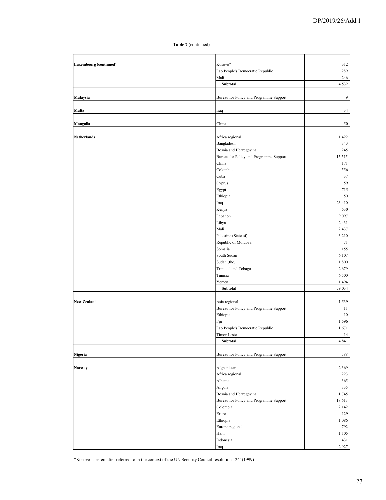| <b>Luxembourg</b> (continued) | Kosovo*                                 | 312               |
|-------------------------------|-----------------------------------------|-------------------|
|                               | Lao People's Democratic Republic        | 289               |
|                               | Mali<br>Subtotal                        | 246<br>4 5 3 2    |
|                               |                                         |                   |
| Malaysia                      | Bureau for Policy and Programme Support | 9                 |
|                               |                                         |                   |
| Malta                         | Iraq                                    | 34                |
| Mongolia                      | China                                   | 50                |
|                               |                                         |                   |
| Netherlands                   | Africa regional                         | 1422              |
|                               | Bangladesh                              | 343               |
|                               | Bosnia and Herzegovina                  | 245               |
|                               | Bureau for Policy and Programme Support | 15 5 15           |
|                               | China                                   | 171               |
|                               | Colombia                                | 556               |
|                               | Cuba                                    | 37                |
|                               | Cyprus                                  | 59                |
|                               | Egypt                                   | 715               |
|                               | Ethiopia                                | 50                |
|                               | Iraq                                    | 23 410            |
|                               | Kenya                                   | 530               |
|                               | Lebanon                                 | 9 0 9 7           |
|                               | Libya                                   | 2 4 3 1           |
|                               | Mali                                    | 2 4 3 7           |
|                               | Palestine (State of)                    | 3 2 1 0           |
|                               | Republic of Moldova                     | 71                |
|                               | Somalia                                 | 155               |
|                               | South Sudan                             | 6 107             |
|                               | Sudan (the)                             | 1 800             |
|                               | Trinidad and Tobago                     | 2679              |
|                               | Tunisia                                 | 6 500             |
|                               | Yemen                                   | 1 4 9 4<br>79 034 |
|                               | Subtotal                                |                   |
| <b>New Zealand</b>            | Asia regional                           | 1 5 3 9           |
|                               | Bureau for Policy and Programme Support | 11                |
|                               | Ethiopia                                | 10                |
|                               | Fiji                                    | 1 5 9 6           |
|                               | Lao People's Democratic Republic        | 1671              |
|                               | Timor-Leste                             | 14                |
|                               | Subtotal                                | 4 8 4 1           |
|                               |                                         |                   |
| Nigeria                       | Bureau for Policy and Programme Support | 588               |
|                               | Afghanistan                             | 2 3 6 9           |
| Norway                        | Africa regional                         | 223               |
|                               | Albania                                 | 365               |
|                               |                                         | 335               |
|                               | Angola<br>Bosnia and Herzegovina        | 1745              |
|                               | Bureau for Policy and Programme Support | 18 613            |
|                               | Colombia                                | 2 1 4 2           |
|                               | Eritrea                                 | 129               |
|                               | Ethiopia                                | 1 0 8 6           |
|                               | Europe regional                         | 792               |
|                               | Haiti                                   | 1 1 0 5           |
|                               | Indonesia                               | 431               |
|                               | Iraq                                    | 2927              |
|                               |                                         |                   |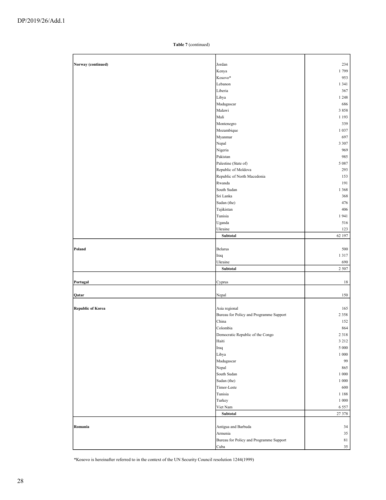| Norway (continued)       | Jordan                                  | 234             |
|--------------------------|-----------------------------------------|-----------------|
|                          | Kenya                                   | 1799            |
|                          | Kosovo*                                 | 953             |
|                          | Lebanon                                 | 1 3 4 1         |
|                          | Liberia                                 | 367             |
|                          | Libya                                   | 1 2 4 8         |
|                          | Madagascar                              | 686             |
|                          | Malawi                                  | 3858            |
|                          | Mali                                    | 1 1 9 3         |
|                          | Montenegro                              | 339             |
|                          | Mozambique                              | 1 0 3 7         |
|                          |                                         |                 |
|                          | Myanmar                                 | 697             |
|                          | Nepal                                   | 3 3 0 7         |
|                          | Nigeria                                 | 969             |
|                          | Pakistan                                | 985             |
|                          | Palestine (State of)                    | 5 0 8 7         |
|                          | Republic of Moldova                     | 293             |
|                          | Republic of North Macedonia             | 153             |
|                          | Rwanda                                  | 191             |
|                          | South Sudan                             | 1 3 6 8         |
|                          | Sri Lanka                               | 368             |
|                          |                                         |                 |
|                          | Sudan (the)                             | 476             |
|                          | Tajikistan                              | 406             |
|                          | Tunisia                                 | 1941            |
|                          | Uganda                                  | 516             |
|                          | Ukraine                                 | 123             |
|                          | Subtotal                                | 62 197          |
|                          |                                         |                 |
| Poland                   | Belarus                                 | 500             |
|                          | Iraq                                    | 1317            |
|                          | Ukraine                                 | 690             |
|                          | Subtotal                                | 2 5 0 7         |
|                          |                                         |                 |
|                          |                                         |                 |
| Portugal                 | Cyprus                                  | 18              |
|                          |                                         |                 |
| Qatar                    | Nepal                                   | 150             |
|                          |                                         |                 |
| <b>Republic of Korea</b> | Asia regional                           | 165             |
|                          | Bureau for Policy and Programme Support | 2 3 5 8         |
|                          | China                                   | 152             |
|                          | Colombia                                | 864             |
|                          | Democratic Republic of the Congo        | 2 3 1 8         |
|                          | Haiti                                   | 3 2 1 2         |
|                          | Iraq                                    | 5 000           |
|                          | Libya                                   | $1\ 000$        |
|                          |                                         |                 |
|                          | Madagascar                              | 99              |
|                          | Nepal                                   | 865             |
|                          | South Sudan                             | 1 000           |
|                          | Sudan (the)                             | 1 000           |
|                          | Timor-Leste                             | 600             |
|                          | Tunisia                                 | 1 1 8 8         |
|                          | Turkey                                  | $1\ 000$        |
|                          | Viet Nam                                | 6 5 5 7         |
|                          | Subtotal                                | 27 378          |
|                          |                                         |                 |
| Romania                  | Antigua and Barbuda                     | 34              |
|                          |                                         |                 |
|                          | Armenia                                 | $35\,$          |
|                          | Bureau for Policy and Programme Support | $8\sqrt{1}$     |
|                          | Cuba                                    | 35 <sub>1</sub> |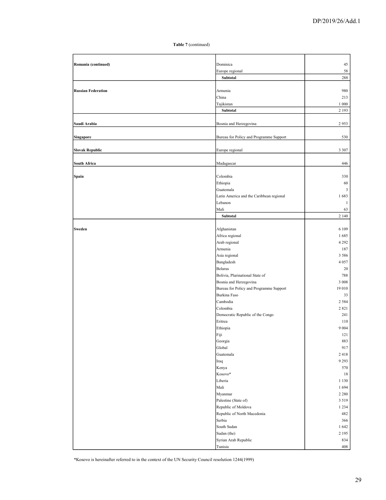| Romania (continued)       | Dominica                                 | 45             |
|---------------------------|------------------------------------------|----------------|
|                           | Europe regional                          | 58             |
|                           | Subtotal                                 | 288            |
|                           |                                          |                |
| <b>Russian Federation</b> | Armenia                                  | 980            |
|                           | China                                    | 213            |
|                           | Tajikistan                               | 1 000          |
|                           | Subtotal                                 | 2 1 9 3        |
|                           |                                          |                |
| Saudi Arabia              | Bosnia and Herzegovina                   | 2953           |
|                           |                                          |                |
| Singapore                 | Bureau for Policy and Programme Support  | 530            |
|                           |                                          |                |
|                           |                                          |                |
| <b>Slovak Republic</b>    | Europe regional                          | 3 3 0 7        |
|                           |                                          |                |
| <b>South Africa</b>       | Madagascar                               | 446            |
|                           |                                          |                |
| Spain                     | Colombia                                 | 330            |
|                           | Ethiopia                                 | 60             |
|                           | Guatemala                                | $\mathfrak{Z}$ |
|                           | Latin America and the Caribbean regional | 1683           |
|                           | Lebanon                                  | $\mathbf{1}$   |
|                           | Mali                                     | 63             |
|                           | Subtotal                                 | 2 140          |
|                           |                                          |                |
| Sweden                    | Afghanistan                              | 6 1 0 9        |
|                           | Africa regional                          | 1685           |
|                           | Arab regional                            | 4 2 9 2        |
|                           | Armenia                                  | 187            |
|                           | Asia regional                            | 3 5 8 6        |
|                           |                                          |                |
|                           | Bangladesh                               | 4 0 5 7        |
|                           | <b>Belarus</b>                           | 20             |
|                           | Bolivia, Plurinational State of          | 788            |
|                           | Bosnia and Herzegovina                   | 3 0 0 8        |
|                           | Bureau for Policy and Programme Support  | 19 010         |
|                           | Burkina Faso                             | 33             |
|                           | Cambodia                                 | 2 5 8 4        |
|                           | Colombia                                 | 2821           |
|                           | Democratic Republic of the Congo         | 241            |
|                           | Eritrea                                  | 110            |
|                           | Ethiopia                                 | 9 0 0 4        |
|                           | Fiji                                     | 121            |
|                           | Georgia                                  | 883            |
|                           | Global                                   | 917            |
|                           | Guatemala                                | 2418           |
|                           | Iraq                                     | 9 2 9 3        |
|                           |                                          | 570            |
|                           | Kenya<br>Kosovo*                         |                |
|                           |                                          | 18             |
|                           | Liberia                                  | 1 1 3 0        |
|                           | Mali                                     | 1694           |
|                           | Myanmar                                  | 2 2 8 0        |
|                           | Palestine (State of)                     | 3 5 1 9        |
|                           | Republic of Moldova                      | 1 2 3 4        |
|                           | Republic of North Macedonia              | 482            |
|                           | Serbia                                   | 366            |
|                           | South Sudan                              | 1642           |
|                           | Sudan (the)                              | 2 1 9 5        |
|                           | Syrian Arab Republic                     | 834            |
|                           | Tunisia                                  | 408            |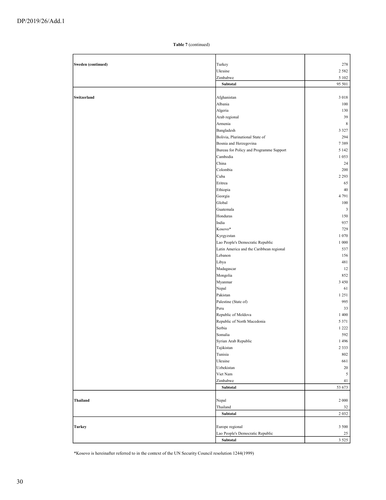| Sweden (continued) | Turkey                                   | 278            |
|--------------------|------------------------------------------|----------------|
|                    | Ukraine                                  | 2 5 8 2        |
|                    | Zimbabwe                                 | 5 1 0 2        |
|                    | Subtotal                                 | 95 501         |
|                    |                                          |                |
| Switzerland        | Afghanistan                              | 3 0 1 8        |
|                    | Albania                                  | 100            |
|                    | Algeria                                  | 130            |
|                    | Arab regional                            | 39             |
|                    | Armenia                                  | $\,$ 8 $\,$    |
|                    | Bangladesh                               | 3 3 2 7        |
|                    | Bolivia, Plurinational State of          | 294            |
|                    | Bosnia and Herzegovina                   | 7389           |
|                    | Bureau for Policy and Programme Support  | 5 1 4 2        |
|                    | Cambodia                                 | 1 0 5 3        |
|                    | China                                    | 24             |
|                    | Colombia                                 | 200            |
|                    | Cuba                                     | 2 2 9 3        |
|                    | Eritrea                                  | 65             |
|                    | Ethiopia                                 | 40             |
|                    | Georgia                                  | 4 7 9 1        |
|                    | Global                                   | 100            |
|                    | Guatemala                                | $\mathfrak{Z}$ |
|                    | Honduras                                 | 150            |
|                    | India                                    | 937            |
|                    | Kosovo*                                  | 729            |
|                    | Kyrgyzstan                               | 1 0 7 0        |
|                    | Lao People's Democratic Republic         | 1 000          |
|                    | Latin America and the Caribbean regional | 537            |
|                    | Lebanon                                  | 156            |
|                    | Libya                                    | 481            |
|                    | Madagascar                               | 12             |
|                    | Mongolia                                 | 852            |
|                    | Myanmar                                  | 3 4 5 0        |
|                    | Nepal                                    | 61             |
|                    | Pakistan                                 | 1 2 5 1        |
|                    | Palestine (State of)                     | 995            |
|                    | Peru                                     | 33             |
|                    | Republic of Moldova                      | 1 400          |
|                    | Republic of North Macedonia              | 5 3 7 1        |
|                    | Serbia                                   | 1 2 2 2        |
|                    | Somalia                                  | 592            |
|                    | Syrian Arab Republic                     | 1496           |
|                    | Tajikistan                               | 2 3 3 3        |
|                    | Tunisia                                  | $802\,$        |
|                    | Ukraine                                  | 661            |
|                    | Uzbekistan                               | $20\,$         |
|                    | Viet Nam                                 | $\sqrt{5}$     |
|                    | Zimbabwe                                 | 41             |
|                    | Subtotal                                 | 53 673         |
|                    |                                          |                |
| <b>Thailand</b>    | Nepal                                    | 2 000          |
|                    | Thailand                                 | 32             |
|                    | Subtotal                                 | 2 0 3 2        |
|                    |                                          |                |
| <b>Turkey</b>      | Europe regional                          | 3 500          |
|                    | Lao People's Democratic Republic         | 25             |
|                    | Subtotal                                 | 3 5 2 5        |
|                    |                                          |                |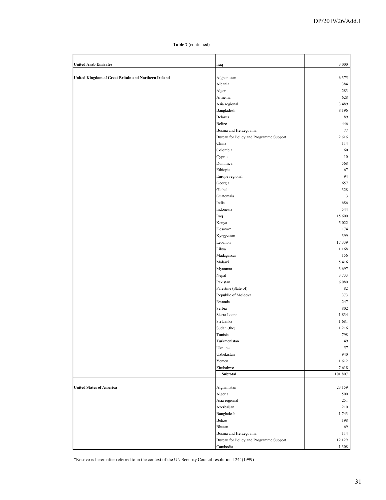| <b>United Arab Emirates</b>                          | Iraq                                    | 3 000                          |
|------------------------------------------------------|-----------------------------------------|--------------------------------|
| United Kingdom of Great Britain and Northern Ireland | Afghanistan                             | 6 3 7 5                        |
|                                                      | Albania                                 | 384                            |
|                                                      | Algeria                                 | 283                            |
|                                                      | Armenia                                 | 628                            |
|                                                      | Asia regional                           | 3 4 8 9                        |
|                                                      | Bangladesh                              | 8 1 9 6                        |
|                                                      | Belarus                                 | 89                             |
|                                                      | Belize                                  | 446                            |
|                                                      | Bosnia and Herzegovina                  | 77                             |
|                                                      | Bureau for Policy and Programme Support | 2616                           |
|                                                      | China                                   | 114                            |
|                                                      | Colombia                                | 60                             |
|                                                      | Cyprus                                  | 10                             |
|                                                      | Dominica                                | 568                            |
|                                                      | Ethiopia                                | 67                             |
|                                                      | Europe regional                         | 94                             |
|                                                      | Georgia                                 | 657                            |
|                                                      | Global                                  | 328                            |
|                                                      | Guatemala<br>India                      | $\overline{\mathbf{3}}$<br>686 |
|                                                      | Indonesia                               | 544                            |
|                                                      | Iraq                                    | 15 600                         |
|                                                      | Kenya                                   | 5 0 2 2                        |
|                                                      | Kosovo*                                 | 174                            |
|                                                      | Kyrgyzstan                              | 399                            |
|                                                      | Lebanon                                 | 17339                          |
|                                                      | Libya                                   | 1 1 6 8                        |
|                                                      | Madagascar                              | 156                            |
|                                                      | Malawi                                  | 5 4 1 6                        |
|                                                      | Myanmar                                 | 3697                           |
|                                                      | Nepal                                   | 3733                           |
|                                                      | Pakistan                                | 6 0 8 0                        |
|                                                      | Palestine (State of)                    | 82                             |
|                                                      | Republic of Moldova                     | 373                            |
|                                                      | Rwanda                                  | 247                            |
|                                                      | Serbia                                  | 802                            |
|                                                      | Sierra Leone                            | 1834                           |
|                                                      | Sri Lanka                               | 1681                           |
|                                                      | Sudan (the)                             | 1 2 1 6                        |
|                                                      | Tunisia<br>Turkmenistan                 | 798<br>49                      |
|                                                      | Ukraine                                 | 57                             |
|                                                      | Uzbekistan                              | 940                            |
|                                                      | Yemen                                   | 1612                           |
|                                                      | Zimbabwe                                | 7618                           |
|                                                      | Subtotal                                | 101 807                        |
|                                                      |                                         |                                |
| <b>United States of America</b>                      | Afghanistan                             | 23 159                         |
|                                                      | Algeria                                 | 500                            |
|                                                      | Asia regional                           | 251                            |
|                                                      | Azerbaijan                              | 210                            |
|                                                      | Bangladesh                              | 1743                           |
|                                                      | Belize                                  | 198                            |
|                                                      | Bhutan                                  | 69                             |
|                                                      | Bosnia and Herzegovina                  | 114                            |
|                                                      | Bureau for Policy and Programme Support | 12 129                         |
|                                                      | Cambodia                                | 1 3 0 8                        |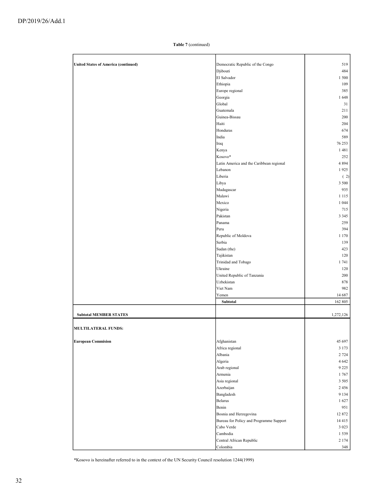| <b>United States of America (continued)</b> | Democratic Republic of the Congo         | 519        |
|---------------------------------------------|------------------------------------------|------------|
|                                             | Djibouti                                 | 484        |
|                                             | El Salvador                              | 1 500      |
|                                             | Ethiopia                                 | 109        |
|                                             | Europe regional                          | 385        |
|                                             | Georgia                                  | 1648       |
|                                             | Global                                   | 31         |
|                                             | Guatemala                                | 211        |
|                                             | Guinea-Bissau                            | 200        |
|                                             | Haiti                                    | 204        |
|                                             | Honduras                                 | 674        |
|                                             | India                                    | 589        |
|                                             | Iraq                                     | 76 253     |
|                                             | Kenya                                    | 1481       |
|                                             | Kosovo*                                  | 252        |
|                                             | Latin America and the Caribbean regional | 4 8 9 4    |
|                                             | Lebanon                                  | 1925       |
|                                             | Liberia                                  | (2)        |
|                                             | Libya                                    | 3 500      |
|                                             | Madagascar                               | 935        |
|                                             | Malawi                                   | 1 1 1 5    |
|                                             | Mexico                                   | 1 0 4 4    |
|                                             | Nigeria                                  | 715        |
|                                             | Pakistan                                 | 3 3 4 5    |
|                                             | Panama                                   | 259        |
|                                             | Peru                                     | 394        |
|                                             | Republic of Moldova                      | 1 1 7 0    |
|                                             | Serbia                                   | 139        |
|                                             | Sudan (the)                              | 423        |
|                                             | Tajikistan                               | 120        |
|                                             | Trinidad and Tobago                      | 1741       |
|                                             | Ukraine                                  | 120        |
|                                             | United Republic of Tanzania              | 200        |
|                                             | Uzbekistan<br>Viet Nam                   | 878<br>982 |
|                                             | Yemen                                    | 14 687     |
|                                             | Subtotal                                 | 162 805    |
|                                             |                                          |            |
| <b>Subtotal MEMBER STATES</b>               |                                          | 1,272,126  |
| <b>MULTILATERAL FUNDS:</b>                  |                                          |            |
|                                             |                                          |            |
| <b>European Commision</b>                   | Afghanistan                              | 45 697     |
|                                             | Africa regional                          | 3 1 7 3    |
|                                             | Albania                                  | 2 7 2 4    |
|                                             | Algeria                                  | 4 6 4 2    |
|                                             | Arab regional                            | 9 2 2 5    |
|                                             | Armenia                                  | 1767       |
|                                             | Asia regional                            | 3 5 0 5    |
|                                             | Azerbaijan                               | 2456       |
|                                             | Bangladesh                               | 9 1 3 4    |
|                                             | Belarus                                  | 1627       |
|                                             | Benin                                    | 951        |
|                                             | Bosnia and Herzegovina                   | 12 872     |
|                                             | Bureau for Policy and Programme Support  | 14 4 15    |
|                                             | Cabo Verde                               | 3 0 2 3    |
|                                             | Cambodia                                 | 1 5 3 9    |
|                                             | Central African Republic                 | 2 1 7 4    |
|                                             | Colombia                                 | 348        |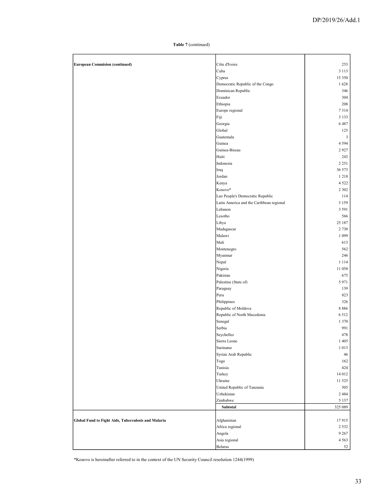| <b>European Commision (continued)</b>               | Côte d'Ivoire                            | 253       |
|-----------------------------------------------------|------------------------------------------|-----------|
|                                                     | Cuba                                     | 3 1 1 3   |
|                                                     | Cyprus                                   | 15 350    |
|                                                     | Democratic Republic of the Congo         | 1628      |
|                                                     | Dominican Republic                       | 346       |
|                                                     |                                          |           |
|                                                     | Ecuador                                  | 304       |
|                                                     | Ethiopia                                 | 208       |
|                                                     | Europe regional                          | 7314      |
|                                                     | Fiji                                     | 3 1 3 3   |
|                                                     | Georgia                                  | 6487      |
|                                                     | Global                                   | 125       |
|                                                     | Guatemala                                | 3         |
|                                                     | Guinea                                   | 4 5 9 4   |
|                                                     | Guinea-Bissau                            | 2927      |
|                                                     | Haiti                                    | 243       |
|                                                     | Indonesia                                | 2 2 5 1   |
|                                                     | Iraq                                     | 36 573    |
|                                                     | Jordan                                   | 1 2 1 8   |
|                                                     | Kenya                                    | 4 5 2 2   |
|                                                     | Kosovo*                                  | 2 3 0 2   |
|                                                     | Lao People's Democratic Republic         | 114       |
|                                                     |                                          |           |
|                                                     | Latin America and the Caribbean regional | 3 1 5 9   |
|                                                     | Lebanon                                  | 3 5 9 1   |
|                                                     | Lesotho                                  | 566       |
|                                                     | Libya                                    | 25 187    |
|                                                     | Madagascar                               | 2 7 3 0   |
|                                                     | Malawi                                   | 1 0 9 9   |
|                                                     | Mali                                     | 613       |
|                                                     | Montenegro                               | 562       |
|                                                     | Myanmar                                  | 246       |
|                                                     | Nepal                                    | 1 1 1 4   |
|                                                     | Nigeria                                  | 11 058    |
|                                                     | Pakistan                                 | 675       |
|                                                     | Palestine (State of)                     | 5971      |
|                                                     | Paraguay                                 | 139       |
|                                                     | Peru                                     | 823       |
|                                                     | Philippines                              | 326       |
|                                                     | Republic of Moldova                      | 8886      |
|                                                     | Republic of North Macedonia              | 6 5 1 2   |
|                                                     | Senegal                                  | 1 3 7 0   |
|                                                     | Serbia                                   | 991       |
|                                                     |                                          | 478       |
|                                                     | Seychelles<br>Sierra Leone               | 1 4 0 5   |
|                                                     |                                          |           |
|                                                     | Suriname                                 | 1 0 1 3   |
|                                                     | Syrian Arab Republic                     | 46        |
|                                                     | Togo                                     | 162       |
|                                                     | Tunisia                                  | 424       |
|                                                     | Turkey                                   | $14\;012$ |
|                                                     | Ukraine                                  | 11 525    |
|                                                     | United Republic of Tanzania              | 505       |
|                                                     | Uzbekistan                               | 2484      |
|                                                     | Zimbabwe                                 | 5 1 3 7   |
|                                                     | Subtotal                                 | 325 089   |
|                                                     |                                          |           |
| Global Fund to Fight Aids, Tuberculosis and Malaria | Afghanistan                              | 17915     |
|                                                     | Africa regional                          | 2 5 3 2   |
|                                                     | Angola                                   | 9 2 6 7   |
|                                                     | Asia regional                            | 4 5 6 3   |
|                                                     | Belarus                                  | 52        |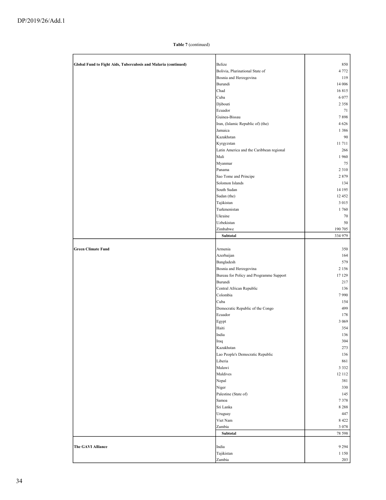| Global Fund to Fight Aids, Tuberculosis and Malaria (continued) | <b>Belize</b>                            | 850     |
|-----------------------------------------------------------------|------------------------------------------|---------|
|                                                                 | Bolivia, Plurinational State of          | 4 7 7 2 |
|                                                                 | Bosnia and Herzegovina                   | 119     |
|                                                                 | Burundi                                  | 14 006  |
|                                                                 | Chad                                     | 16815   |
|                                                                 | Cuba                                     | 6 0 7 7 |
|                                                                 | Djibouti                                 | 2 3 5 8 |
|                                                                 | Ecuador                                  | 71      |
|                                                                 |                                          |         |
|                                                                 | Guinea-Bissau                            | 7898    |
|                                                                 | Iran, (Islamic Republic of) (the)        | 4 6 2 6 |
|                                                                 | Jamaica                                  | 1 3 8 6 |
|                                                                 | Kazakhstan                               | 90      |
|                                                                 | Kyrgyzstan                               | 11711   |
|                                                                 | Latin America and the Caribbean regional | 266     |
|                                                                 | Mali                                     | 1 960   |
|                                                                 | Myanmar                                  | 75      |
|                                                                 | Panama                                   | 2 3 1 0 |
|                                                                 |                                          |         |
|                                                                 | Sao Tome and Principe                    | 2879    |
|                                                                 | Solomon Islands                          | 134     |
|                                                                 | South Sudan                              | 14 195  |
|                                                                 | Sudan (the)                              | 12 452  |
|                                                                 | Tajikistan                               | 3 0 1 5 |
|                                                                 | Turkmenistan                             | 1760    |
|                                                                 | Ukraine                                  | 70      |
|                                                                 | Uzbekistan                               | 50      |
|                                                                 | Zimbabwe                                 | 190 705 |
|                                                                 | Subtotal                                 | 334 979 |
|                                                                 |                                          |         |
| <b>Green Climate Fund</b>                                       |                                          |         |
|                                                                 | Armenia                                  | 350     |
|                                                                 | Azerbaijan                               | 164     |
|                                                                 | Bangladesh                               | 579     |
|                                                                 | Bosnia and Herzegovina                   | 2 1 5 6 |
|                                                                 | Bureau for Policy and Programme Support  | 17 129  |
|                                                                 | Burundi                                  | 217     |
|                                                                 | Central African Republic                 | 136     |
|                                                                 | Colombia                                 | 7990    |
|                                                                 | Cuba                                     | 154     |
|                                                                 | Democratic Republic of the Congo         | 499     |
|                                                                 |                                          |         |
|                                                                 | Ecuador                                  | 178     |
|                                                                 | Egypt                                    | 3 0 6 9 |
|                                                                 | Haiti                                    | 354     |
|                                                                 | India                                    | 136     |
|                                                                 | Iraq                                     | 304     |
|                                                                 | Kazakhstan                               | 273     |
|                                                                 | Lao People's Democratic Republic         | 136     |
|                                                                 | Liberia                                  | 861     |
|                                                                 |                                          | 3 3 3 2 |
|                                                                 |                                          |         |
|                                                                 | Malawi                                   |         |
|                                                                 | Maldives                                 | 12 112  |
|                                                                 | Nepal                                    | 381     |
|                                                                 | Niger                                    | 330     |
|                                                                 | Palestine (State of)                     | 145     |
|                                                                 | Samoa                                    | 7378    |
|                                                                 | Sri Lanka                                | 8 2 8 8 |
|                                                                 | Uruguay                                  | 447     |
|                                                                 | Viet Nam                                 | 8 4 2 2 |
|                                                                 | Zambia                                   | 3 0 7 8 |
|                                                                 | Subtotal                                 |         |
|                                                                 |                                          | 78 598  |
| <b>The GAVI Alliance</b>                                        | India                                    | 9 2 9 4 |
|                                                                 | Tajikistan                               | 1 1 5 0 |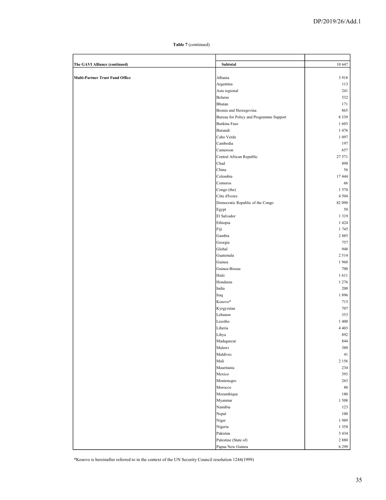| The GAVI Alliance (continued)          | Subtotal                                | 10 647         |
|----------------------------------------|-----------------------------------------|----------------|
|                                        |                                         |                |
| <b>Multi-Partner Trust Fund Office</b> | Albania                                 | 3918           |
|                                        | Argentina                               | 113            |
|                                        | Asia regional                           | 241            |
|                                        | Belarus                                 | 532            |
|                                        | Bhutan                                  | 171            |
|                                        | Bosnia and Herzegovina                  | 865            |
|                                        | Bureau for Policy and Programme Support | 8 3 3 9        |
|                                        | Burkina Faso                            | 1603           |
|                                        | Burundi                                 | 1476           |
|                                        | Cabo Verde                              | 1 0 9 7        |
|                                        | Cambodia                                | 197            |
|                                        | Cameroon                                | 657            |
|                                        | Central African Republic                | 27 571         |
|                                        | Chad                                    | 890            |
|                                        | China                                   | 56             |
|                                        | Colombia                                | 17444          |
|                                        | Comoros                                 | 66             |
|                                        | Congo (the)                             | 1570           |
|                                        | Côte d'Ivoire                           | 4 5 0 4        |
|                                        | Democratic Republic of the Congo        | 82 090         |
|                                        | Egypt                                   | 50             |
|                                        | El Salvador                             | 1 3 1 9        |
|                                        | Ethiopia                                | 1 4 2 4        |
|                                        | Fiji                                    | 1745           |
|                                        | Gambia                                  | 2885           |
|                                        | Georgia                                 | 757            |
|                                        | Global                                  | 948            |
|                                        | Guatemala                               | 2514           |
|                                        | Guinea                                  | 1968           |
|                                        | Guinea-Bissau                           | 700            |
|                                        | Haiti                                   | 1611           |
|                                        | Honduras                                | 1 2 7 6        |
|                                        | India                                   | 200            |
|                                        | Iraq                                    | 1896           |
|                                        | Kosovo*                                 | 715            |
|                                        | Kyrgyzstan<br>Lebanon                   | 707            |
|                                        | Lesotho                                 | 353<br>1 400   |
|                                        |                                         |                |
|                                        | Liberia<br>Libya                        | 4 4 0 3<br>892 |
|                                        | Madagascar                              | $844\,$        |
|                                        | Malawi                                  | 380            |
|                                        | Maldives                                | 41             |
|                                        | Mali                                    | 2 1 5 6        |
|                                        | Mauritania                              | 234            |
|                                        | Mexico                                  | 393            |
|                                        | Montenegro                              | 263            |
|                                        | Morocco                                 | 88             |
|                                        | Mozambique                              | 180            |
|                                        | Myanmar                                 | 1508           |
|                                        | Namibia                                 | 123            |
|                                        | Nepal                                   | $100\,$        |
|                                        | Niger                                   | 1989           |
|                                        | Nigeria                                 | 1 3 5 8        |
|                                        | Pakistan                                | 3 4 3 4        |
|                                        | Palestine (State of)                    | $2\ 880$       |
|                                        | Papua New Guinea                        | 6 2 9 9        |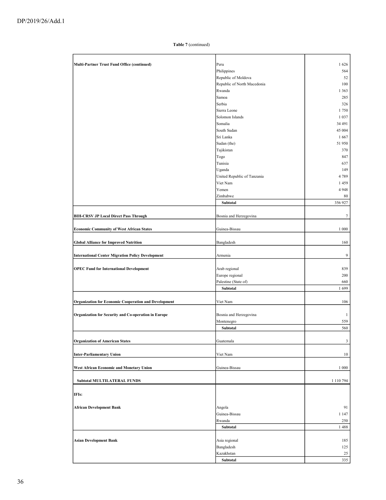| Multi-Partner Trust Fund Office (continued)                  | Peru                        | 1626          |
|--------------------------------------------------------------|-----------------------------|---------------|
|                                                              |                             |               |
|                                                              | Philippines                 | 564           |
|                                                              | Republic of Moldova         | 52            |
|                                                              | Republic of North Macedonia | 100           |
|                                                              | Rwanda                      | 1 3 6 3       |
|                                                              | Samoa                       | 285           |
|                                                              | Serbia                      | 326           |
|                                                              | Sierra Leone                | 1750          |
|                                                              | Solomon Islands             | 1 0 3 7       |
|                                                              | Somalia                     | 34 491        |
|                                                              | South Sudan                 | 45 004        |
|                                                              | Sri Lanka                   | 1667          |
|                                                              | Sudan (the)                 | 51 950        |
|                                                              | Tajikistan                  | 370           |
|                                                              | Togo                        | 847           |
|                                                              | Tunisia                     | 637           |
|                                                              |                             |               |
|                                                              | Uganda                      | 149           |
|                                                              | United Republic of Tanzania | 4789          |
|                                                              | Viet Nam                    | 1459          |
|                                                              | Yemen                       | 4948          |
|                                                              | Zimbabwe                    | 80            |
|                                                              | Subtotal                    | 356 927       |
|                                                              |                             |               |
| <b>BIH-CRSV JP Local Direct Pass Through</b>                 | Bosnia and Herzegovina      | 7             |
|                                                              |                             |               |
| <b>Economic Community of West African States</b>             | Guinea-Bissau               | 1 0 0 0       |
|                                                              |                             |               |
| <b>Global Alliance for Improved Nutrition</b>                | Bangladesh                  | 160           |
|                                                              |                             |               |
| <b>International Center Migration Policy Development</b>     | Armenia                     | 9             |
|                                                              |                             |               |
|                                                              |                             |               |
| <b>OPEC Fund for International Development</b>               | Arab regional               | 839           |
|                                                              | Europe regional             | 200           |
|                                                              | Palestine (State of)        | 660           |
|                                                              | Subtotal                    | 1699          |
|                                                              |                             |               |
| <b>Organization for Economic Cooperation and Development</b> | Viet Nam                    | 106           |
|                                                              |                             |               |
| Organization for Security and Co-operation in Europe         | Bosnia and Herzegovina      | $\mathbf{1}$  |
|                                                              | Montenegro                  | 559           |
|                                                              | Subtotal                    | 560           |
|                                                              |                             |               |
| <b>Organization of American States</b>                       | Guatemala                   | $\mathfrak z$ |
|                                                              |                             |               |
| <b>Inter-Parliamentary Union</b>                             | Viet Nam                    | 10            |
|                                                              |                             |               |
|                                                              |                             |               |
| West African Economic and Monetary Union                     | Guinea-Bissau               | 1 0 0 0       |
|                                                              |                             |               |
| <b>Subtotal MULTILATERAL FUNDS</b>                           |                             | 1 110 794     |
|                                                              |                             |               |
| IFIs:                                                        |                             |               |
|                                                              |                             |               |
| <b>African Development Bank</b>                              | Angola                      | 91            |
|                                                              | Guinea-Bissau               | 1 1 4 7       |
|                                                              | Rwanda                      | 250           |
|                                                              | Subtotal                    | 1488          |
|                                                              |                             |               |
| <b>Asian Development Bank</b>                                | Asia regional               | 185           |
|                                                              | Bangladesh                  | 125           |
|                                                              |                             |               |
|                                                              | Kazakhstan                  | 25            |
|                                                              | Subtotal                    | 335           |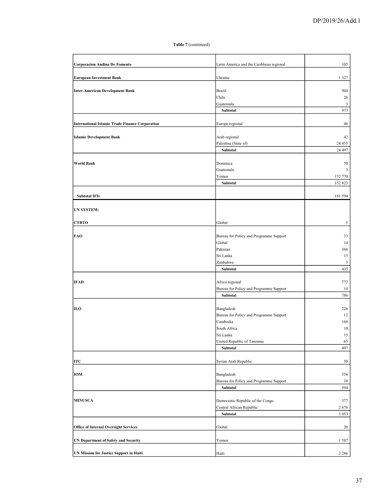| <b>Corporacion Andina De Fomento</b>                   | Latin America and the Caribbean regional | 105      |
|--------------------------------------------------------|------------------------------------------|----------|
| <b>European Investment Bank</b>                        | Ukraine                                  | 1 3 2 7  |
|                                                        |                                          |          |
| <b>Inter-American Development Bank</b>                 | <b>Brazil</b>                            | 944      |
|                                                        | Chile                                    | 26       |
|                                                        | Guatemala                                | 3        |
|                                                        | Subtotal                                 | 973      |
| <b>International Islamic Trade Finance Corporation</b> | Europe regional                          | 46       |
|                                                        |                                          |          |
| <b>Islamic Development Bank</b>                        | Arab regional                            | 42       |
|                                                        | Palestine (State of)                     | 24 4 5 5 |
|                                                        | Subtotal                                 | 24 497   |
|                                                        |                                          |          |
| <b>World Bank</b>                                      | Dominica                                 | 50       |
|                                                        | Guatemala                                | 3        |
|                                                        | Yemen                                    | 152 770  |
|                                                        | Subtotal                                 | 152 823  |
| <b>Subtotal IFIs</b>                                   |                                          | 181 594  |
|                                                        |                                          |          |
| <b>UN SYSTEM:</b>                                      |                                          |          |
|                                                        |                                          |          |
| <b>CTBTO</b>                                           | Global                                   | 5        |
|                                                        |                                          |          |
| FAO                                                    | Bureau for Policy and Programme Support  | 33       |
|                                                        | Global                                   | 14       |
|                                                        | Pakistan                                 | 368      |
|                                                        | Sri Lanka                                | 15       |
|                                                        | Zimbabwe                                 | 5<br>435 |
|                                                        | Subtotal                                 |          |
| <b>IFAD</b>                                            | Africa regional                          | 772      |
|                                                        | Bureau for Policy and Programme Support  | 14       |
|                                                        | Subtotal                                 | 786      |
|                                                        |                                          |          |
| ILO                                                    | Bangladesh                               | 226      |
|                                                        | Bureau for Policy and Programme Support  | 12       |
|                                                        | Cambodia                                 | 169      |
|                                                        | South Africa                             | 10       |
|                                                        | Sri Lanka                                | 15       |
|                                                        | United Republic of Tanzania              | 65       |
|                                                        | Subtotal                                 | 497      |
|                                                        |                                          |          |
| ITC                                                    | Syrian Arab Republic                     | 50       |
| IOM                                                    | Bangladesh                               | 556      |
|                                                        | Bureau for Policy and Programme Support  | 38       |
|                                                        | Subtotal                                 | 594      |
|                                                        |                                          |          |
| <b>MINUSCA</b>                                         | Democratic Republic of the Congo         | 377      |
|                                                        | Central African Republic                 | 2676     |
|                                                        | Subtotal                                 | 3 0 5 3  |
|                                                        |                                          |          |
| <b>Office of Internal Oversight Services</b>           | Global                                   | 20       |
|                                                        |                                          |          |
| <b>UN Department of Safety and Security</b>            | Yemen                                    | 1 3 8 7  |
| UN Mission for Justice Support in Haiti                | Haiti                                    | 2 2 8 6  |
|                                                        |                                          |          |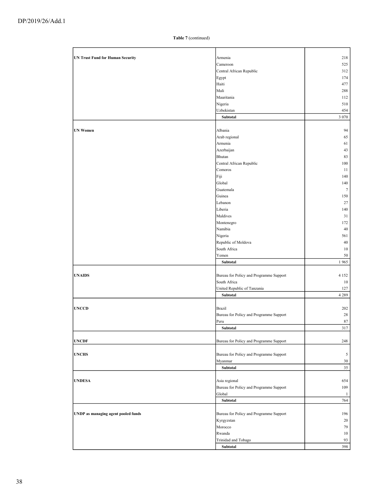| <b>UN Trust Fund for Human Security</b> | Armenia                                 | 218          |
|-----------------------------------------|-----------------------------------------|--------------|
|                                         | Cameroon                                | 525          |
|                                         | Central African Republic                | 312          |
|                                         | Egypt                                   | 174          |
|                                         | Haiti                                   | 477          |
|                                         | Mali                                    | 288          |
|                                         | Mauritania                              | 112          |
|                                         | Nigeria                                 | 510          |
|                                         | Uzbekistan                              | 454          |
|                                         | Subtotal                                | 3 0 7 0      |
|                                         |                                         |              |
| <b>UN Women</b>                         | Albania                                 | 94           |
|                                         | Arab regional                           | 65           |
|                                         | Armenia                                 | 61           |
|                                         | Azerbaijan                              | 43           |
|                                         | Bhutan                                  | 83           |
|                                         | Central African Republic                | 100          |
|                                         | Comoros                                 | 11           |
|                                         | Fiji                                    | 140          |
|                                         | Global                                  | 140          |
|                                         | Guatemala                               | $\tau$       |
|                                         | Guinea                                  | 150          |
|                                         | Lebanon                                 | 27           |
|                                         | Liberia                                 | 140          |
|                                         | Maldives                                | 31           |
|                                         | Montenegro                              | 172          |
|                                         | Namibia                                 | 40           |
|                                         | Nigeria                                 | 561          |
|                                         | Republic of Moldova                     | 40           |
|                                         | South Africa                            | 10           |
|                                         | Yemen                                   | 50           |
|                                         | Subtotal                                | 1965         |
|                                         |                                         |              |
| <b>UNAIDS</b>                           | Bureau for Policy and Programme Support | 4 1 5 2      |
|                                         | South Africa                            | 10           |
|                                         | United Republic of Tanzania             | 127          |
|                                         | Subtotal                                | 4 2 8 9      |
|                                         |                                         |              |
| <b>UNCCD</b>                            | <b>Brazil</b>                           | 202          |
|                                         | Bureau for Policy and Programme Support | 28           |
|                                         | Peru                                    | 87           |
|                                         | Subtotal                                | 317          |
|                                         |                                         |              |
| <b>UNCDF</b>                            | Bureau for Policy and Programme Support | 248          |
|                                         |                                         |              |
| <b>UNCHS</b>                            | Bureau for Policy and Programme Support | 5            |
|                                         | Myanmar                                 | 30           |
|                                         | Subtotal                                | 35           |
|                                         |                                         |              |
| <b>UNDESA</b>                           | Asia regional                           | 654          |
|                                         | Bureau for Policy and Programme Support | 109          |
|                                         | Global                                  | $\mathbf{1}$ |
|                                         | Subtotal                                | 764          |
|                                         |                                         |              |
| UNDP as managing agent pooled funds     | Bureau for Policy and Programme Support | 196          |
|                                         | Kyrgyzstan                              | 20           |
|                                         | Morocco                                 | 79           |
|                                         | Rwanda                                  | 10           |
|                                         | Trinidad and Tobago                     | 93           |
|                                         | Subtotal                                | 398          |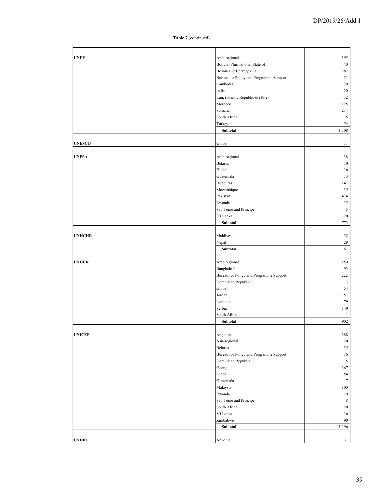| <b>UNEP</b>   | Arab regional                           | 195            |
|---------------|-----------------------------------------|----------------|
|               | Bolivia, Plurinational State of         | 40             |
|               | Bosnia and Herzegovina                  | 382            |
|               | Bureau for Policy and Programme Support | 21             |
|               | Cambodia                                | 20             |
|               | India                                   | 20             |
|               | Iran, (Islamic Republic of) (the)       | 32             |
|               | Morocco                                 | 125            |
|               | Somalia                                 | 214            |
|               | South Africa                            | $\mathfrak{S}$ |
|               | Turkey                                  | 54             |
|               | Subtotal                                | 1 1 0 8        |
|               |                                         |                |
| <b>UNESCO</b> | Global                                  | 11             |
|               |                                         |                |
| <b>UNFPA</b>  | Arab regional                           | 38             |
|               | Belarus                                 | 10             |
|               | Global                                  | 16             |
|               | Guatemala                               | 13             |
|               | Honduras                                | 147            |
|               | Mozambique                              | 35             |
|               | Pakistan                                | 474            |
|               |                                         |                |
|               | Rwanda                                  | 15             |
|               | Sao Tome and Principe                   | 5              |
|               | Sri Lanka                               | $20\,$         |
|               | Subtotal                                | 773            |
|               |                                         |                |
| <b>UNHCHR</b> | Maldives                                | 32             |
|               | Nepal                                   | 29             |
|               | Subtotal                                | 61             |
|               |                                         |                |
| <b>UNHCR</b>  | Arab regional                           | 150            |
|               | Bangladesh                              | 93             |
|               | Bureau for Policy and Programme Support | 222            |
|               | Dominican Republic                      | 3              |
|               | Global                                  | 54             |
|               | Jordan                                  | 151            |
|               | Lebanon                                 | 79             |
|               | Serbia                                  | 149            |
|               | South Africa                            | $\mathbf{1}$   |
|               | Subtotal                                | 902            |
|               |                                         |                |
| <b>UNICEF</b> | Argentina                               | 388            |
|               | Asia regional                           | 20             |
|               | Belarus                                 | $35\,$         |
|               | Bureau for Policy and Programme Support | 76             |
|               | Dominican Republic                      | 5              |
|               | Georgia                                 | 367            |
|               | Global                                  | 54             |
|               | Guatemala                               | $\tau$         |
|               | Malaysia                                | 100            |
|               | Rwanda                                  | 10             |
|               |                                         |                |
|               |                                         |                |
|               | Sao Tome and Principe                   | 8              |
|               | South Africa                            | 20             |
|               | Sri Lanka                               | 16             |
|               | Zimbabwe                                | 90             |
|               | Subtotal                                | 1 1 9 6        |
| <b>UNIDO</b>  | Armenia                                 | 31             |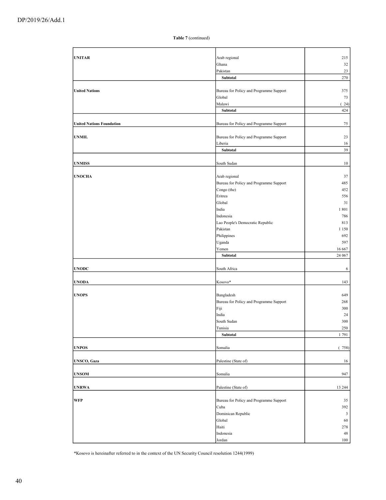| <b>UNITAR</b>                    | Arab regional                           | 215          |
|----------------------------------|-----------------------------------------|--------------|
|                                  | Ghana                                   | 32           |
|                                  | Pakistan                                | 23           |
|                                  | Subtotal                                | 270          |
|                                  |                                         |              |
| <b>United Nations</b>            | Bureau for Policy and Programme Support | 375          |
|                                  | Global                                  | 73           |
|                                  |                                         |              |
|                                  | Malawi                                  | (24)         |
|                                  | Subtotal                                | 424          |
|                                  |                                         |              |
| <b>United Nations Foundation</b> | Bureau for Policy and Programme Support | 75           |
|                                  |                                         |              |
| <b>UNMIL</b>                     | Bureau for Policy and Programme Support | 23           |
|                                  | Liberia                                 | 16           |
|                                  | Subtotal                                | 39           |
|                                  |                                         |              |
|                                  |                                         |              |
| <b>UNMISS</b>                    | South Sudan                             | $10\,$       |
|                                  |                                         |              |
| <b>UNOCHA</b>                    | Arab regional                           | 37           |
|                                  | Bureau for Policy and Programme Support | 485          |
|                                  | Congo (the)                             | 452          |
|                                  |                                         |              |
|                                  | Eritrea                                 | 556          |
|                                  | Global                                  | 31           |
|                                  | India                                   | 1801         |
|                                  | Indonesia                               | 786          |
|                                  | Lao People's Democratic Republic        | 813          |
|                                  |                                         |              |
|                                  | Pakistan                                | 1 1 5 0      |
|                                  | Philippines                             | 692          |
|                                  | Uganda                                  | 597          |
|                                  | Yemen                                   | 16 667       |
|                                  | Subtotal                                | 24 067       |
|                                  |                                         |              |
| <b>UNODC</b>                     | South Africa                            | 6            |
|                                  |                                         |              |
|                                  |                                         |              |
| <b>UNODA</b>                     | Kosovo*                                 | 143          |
|                                  |                                         |              |
| <b>UNOPS</b>                     | Bangladesh                              | 649          |
|                                  | Bureau for Policy and Programme Support | 268          |
|                                  | Fiji                                    | 300          |
|                                  | India                                   | 24           |
|                                  |                                         |              |
|                                  | South Sudan                             | 300          |
|                                  | Tunisia                                 | 250          |
|                                  | Subtotal                                | 1791         |
|                                  |                                         |              |
| <b>UNPOS</b>                     | Somalia                                 | (758)        |
|                                  |                                         |              |
| <b>UNSCO, Gaza</b>               | Palestine (State of)                    | 16           |
|                                  |                                         |              |
|                                  |                                         |              |
| <b>UNSOM</b>                     | Somalia                                 | 947          |
|                                  |                                         |              |
| <b>UNRWA</b>                     | Palestine (State of)                    | 13 244       |
|                                  |                                         |              |
| <b>WFP</b>                       | Bureau for Policy and Programme Support | 35           |
|                                  | Cuba                                    | 392          |
|                                  |                                         |              |
|                                  | Dominican Republic                      | $\mathbf{3}$ |
|                                  | Global                                  | 60           |
|                                  | Haiti                                   | 278          |
|                                  | Indonesia                               | 48           |
|                                  | Jordan                                  | 100          |
|                                  |                                         |              |

\*Kosovo is hereinafter referred to in the context of the UN Security Council resolution 1244(1999)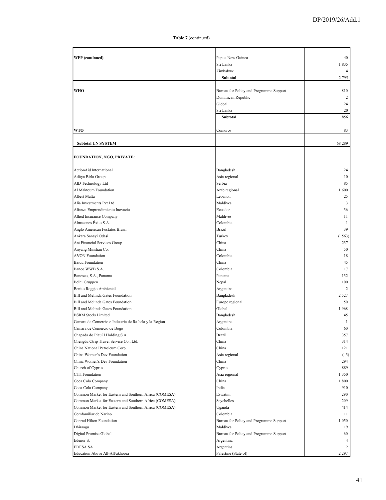| <b>WFP</b> (continued)                                 | Papua New Guinea                        | 40        |
|--------------------------------------------------------|-----------------------------------------|-----------|
|                                                        | Sri Lanka                               | 1835      |
|                                                        | Zimbabwe                                | 4         |
|                                                        | Subtotal                                | 2 7 9 5   |
|                                                        |                                         |           |
| <b>WHO</b>                                             | Bureau for Policy and Programme Support | 810       |
|                                                        | Dominican Republic                      | 2         |
|                                                        | Global                                  | 24        |
|                                                        | Sri Lanka                               | 20        |
|                                                        | Subtotal                                | 856       |
| <b>WTO</b>                                             | Comoros                                 | 83        |
| <b>Subtotal UN SYSTEM</b>                              |                                         | 68 289    |
|                                                        |                                         |           |
| <b>FOUNDATION, NGO, PRIVATE:</b>                       |                                         |           |
| ActionAid International                                | Bangladesh                              | 24        |
| Aditya Birla Group                                     | Asia regional                           | 10        |
| AID Technology Ltd                                     | Serbia                                  | 85        |
| Al Maktoum Foundation                                  | Arab regional                           | 1600      |
| Albert Matta                                           | Lebanon                                 | 25        |
| Alia Investments Pvt Ltd                               | Maldives                                | 3         |
| Alianza Emprendimiento Inovacio                        | Ecuador                                 | 36        |
| Allied Insurance Company                               | Maldives                                | 11        |
| Almacenes Éxito S.A.                                   | Colombia                                | 1         |
| Anglo American Fosfatos Brasil                         | Brazil                                  | 39        |
| Ankara Sanayi Odasi                                    | Turkey                                  | 563)<br>( |
| Ant Financial Services Group                           | China                                   | 237       |
| Anyang Minshan Co.                                     | China                                   | 50        |
| <b>AVON Foundation</b>                                 | Colombia                                | 18        |
| <b>Baidu Foundation</b>                                | China                                   | 45        |
| Banco WWB S.A.                                         | Colombia                                | 17        |
| Banesco, S.A., Panama                                  | Panama                                  | 132       |
| Belhi Gruppen                                          | Nepal                                   | 100       |
| Benito Roggio Ambiental                                | Argentina                               | 2         |
| Bill and Melinda Gates Foundation                      | Bangladesh                              | 2 5 2 7   |
| Bill and Melinda Gates Foundation                      | Europe regional                         | 50        |
| Bill and Melinda Gates Foundation                      | Global                                  | 1968      |
| <b>BSRM</b> Steels Limited                             | Bangladesh                              | 45        |
| Camara de Comercio e Industria de Rafaela y la Region  | Argentina                               | 1         |
| Camara de Comercio de Bogo                             | Colombia                                | 60        |
| Chapada do Piauí I Holding S.A.                        | <b>Brazil</b>                           | 357       |
| Chengdu Ctrip Travel Service Co., Ltd.                 | China                                   | 314       |
| China National Petroleum Corp.                         | China                                   | 121       |
| China Women's Dev Foundation                           | Asia regional                           | (3)       |
| China Women's Dev Foundation                           | China                                   | 294       |
| Church of Cyprus                                       | Cyprus                                  | 889       |
| <b>CITI</b> Foundation                                 | Asia regional                           | 1 3 5 0   |
| Coca Cola Company                                      | China                                   | 1800      |
| Coca Cola Company                                      | India                                   | 910       |
| Common Market for Eastern and Southern Africa (COMESA) | Eswatini                                | 290       |
| Common Market for Eastern and Southern Africa (COMESA) | Seychelles                              | 209       |
| Common Market for Eastern and Southern Africa (COMESA) | Uganda                                  | 414       |
| Comfamiliar de Narino                                  | Colombia                                | 11        |
| Conrad Hilton Foundation                               | Bureau for Policy and Programme Support | 1 0 5 0   |
| Dhiraagu                                               | Maldives                                | 19        |
| Digital Promise Global                                 | Bureau for Policy and Programme Support | 60        |
| Edenor S.                                              | Argentina                               | 4         |
| <b>EDESA SA</b>                                        | Argentina                               | 2         |
| Education Above All-AlFakhoora                         | Palestine (State of)                    | 2 2 9 7   |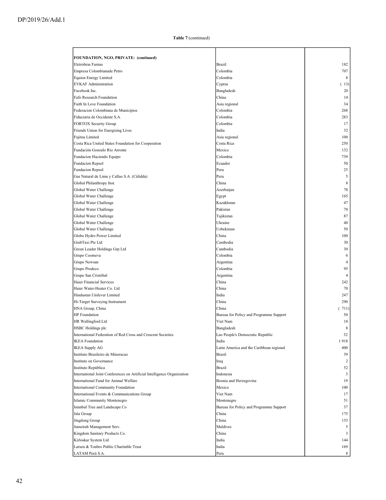| FOUNDATION, NGO, PRIVATE: (continued)                                   |                                                  |                |
|-------------------------------------------------------------------------|--------------------------------------------------|----------------|
| Eletrobras Furnas                                                       | <b>Brazil</b>                                    | 182            |
| Empresa Colombianade Petro                                              | Colombia                                         | 707            |
| <b>Equion Energy Limited</b>                                            | Colombia                                         | 8              |
| <b>EVKAF Administration</b>                                             | Cyprus                                           | (13)           |
| Facebook Inc.                                                           | Bangladesh                                       | 20             |
| Fafo Research Foundation                                                | China                                            | 14             |
| Faith In Love Foundation                                                | Asia regional                                    | 34             |
| Federacion Colombiana de Municipios                                     | Colombia                                         | 268            |
| Fiduciaria de Occidente S.A.                                            | Colombia                                         | 283            |
| <b>FORTOX Security Group</b>                                            | Colombia                                         | 17             |
| Friends Union for Energising Lives                                      | India                                            | 32             |
| Fujitsu Limited                                                         | Asia regional                                    | 100            |
| Costa Rica United States Foundation for Cooperation                     | Costa Rica                                       | 250            |
| Fundación Gonzalo Río Arronte                                           | Mexico                                           | 132            |
| Fundacion Haciendo Equipo                                               | Colombia                                         | 739            |
| Fundacion Repsol                                                        | Ecuador                                          | 50             |
| Fundacion Repsol                                                        | Peru                                             | 25             |
| Gas Natural de Lima y Callao S.A. (Cálidda)                             | Peru                                             | 5              |
| Global Philanthropy Inst.                                               | China                                            | 8              |
| Global Water Challenge                                                  | Azerbaijan                                       | 78             |
| Global Water Challenge                                                  | Egypt                                            | 165            |
| Global Water Challenge                                                  | Kazakhstan                                       | 47             |
| Global Water Challenge                                                  | Pakistan                                         | 70             |
| Global Water Challenge                                                  | Tajikistan                                       | 87             |
| Global Water Challenge                                                  | Ukraine                                          | 40             |
| Global Water Challenge                                                  | Uzbekistan                                       | 50             |
| Globo Hydro Power Limited                                               | China                                            | 100            |
| GrabTaxi Pte Ltd                                                        | Cambodia                                         | 30             |
| Green Leader Holdings Grp Ltd                                           | Cambodia                                         | 30             |
| Grupo Coomeva                                                           | Colombia                                         | 6              |
| Grupo Newsan                                                            | Argentina                                        | 4              |
| Grupo Prodeco                                                           | Colombia                                         | 95             |
| Grupo San Cristóbal                                                     | Argentina                                        | $\overline{4}$ |
| Haier Financial Services                                                | China                                            | 242            |
| Haier Water-Heater Co. Ltd                                              | China                                            | 70             |
| Hindustan Unilever Limited                                              | India                                            | 247            |
| Hi-Target Surveying Instrument                                          | China                                            | 290            |
| HNA Group, China                                                        | China                                            | (711)          |
| <b>HP</b> Foundation                                                    | Bureau for Policy and Programme Support          | 50             |
| HR Wallingford Ltd                                                      | Viet Nam                                         | 18             |
| HSBC Holdings plc                                                       | Bangladesh                                       | 8              |
| International Federation of Red Cross and Crescent Societies            | Lao People's Democratic Republic                 | 32             |
| <b>IKEA</b> Foundation                                                  | India                                            | 1918           |
| <b>IKEA Supply AG</b>                                                   | Latin America and the Caribbean regional         | 400            |
| Instituto Brasileiro de Mineracao                                       | Brazil                                           | 39             |
| Institute on Governance                                                 | Iraq                                             | 2              |
| Instituto República                                                     | <b>Brazil</b>                                    | 52             |
| International Joint Conferences on Artificial Intelligence Organization | Indonesia                                        | 3<br>19        |
| International Fund for Animal Welfare                                   | Bosnia and Herzegovina<br>Mexico                 | 100            |
| International Community Foundation                                      | Viet Nam                                         | 17             |
| International Events & Communications Group                             | Montenegro                                       |                |
| Islamic Community Montenegro                                            |                                                  | 51             |
| Istanbul Tree and Landscape Co                                          | Bureau for Policy and Programme Support<br>China | 37<br>175      |
| Jala Group<br>Jingdong Group                                            | China                                            | 153            |
| Jumeirah Management Serv.                                               | Maldives                                         | 5              |
| Kingdom Sanitary Products Co.                                           | China                                            | 3              |
| Kirloskar System Ltd                                                    | India                                            | 144            |
| Larsen & Toubro Public Charitable Trust                                 | India                                            | 169            |
| LATAM Perú S.A.                                                         | Peru                                             | 8              |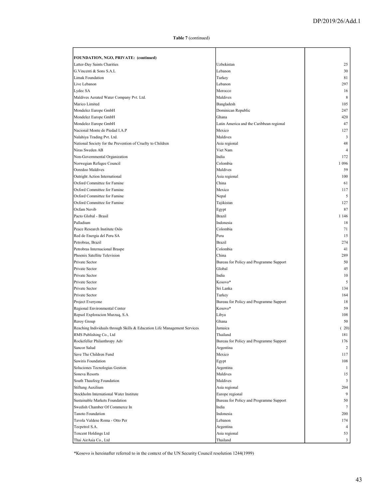| FOUNDATION, NGO, PRIVATE: (continued)                                    |                                          |                |
|--------------------------------------------------------------------------|------------------------------------------|----------------|
| Latter-Day Saints Charities                                              | Uzbekistan                               | 25             |
| G.Vincenti & Sons S.A.L                                                  | Lebanon                                  | 30             |
| <b>Limak Foundation</b>                                                  | Turkey                                   | 81             |
| Live Lebanon                                                             | Lebanon                                  | 297            |
| Lydec SA                                                                 | Morocco                                  | 16             |
| Maldives Aerated Water Company Pvt. Ltd.                                 | Maldives                                 | 8              |
| Marico Limited                                                           | Bangladesh                               | 105            |
| Mondelez Europe GmbH                                                     | Dominican Republic                       | 247            |
| Mondelez Europe GmbH                                                     | Ghana                                    | 420            |
| Mondelez Europe GmbH                                                     | Latin America and the Caribbean regional | 47             |
| Nacional Monte de Piedad I.A.P                                           | Mexico                                   | 127            |
| Nalahiya Trading Pvt. Ltd.                                               | Maldives                                 | 3              |
| National Society for the Prevention of Cruelty to Children               | Asia regional                            | 48             |
| Niras Sweden AB                                                          | Viet Nam                                 | $\overline{4}$ |
| Non-Governmental Organization                                            | India                                    | 172            |
| Norwegian Refugee Council                                                | Colombia                                 | 1 0 9 6        |
| Ooredoo Maldives                                                         | Maldives                                 | 59             |
|                                                                          |                                          | 100            |
| Outright Action International<br>Oxford Committee for Famine             | Asia regional<br>China                   | 61             |
|                                                                          |                                          |                |
| Oxford Committee for Famine                                              | Mexico                                   | 117            |
| Oxford Committee for Famine                                              | Nepal                                    | 5              |
| Oxford Committee for Famine                                              | Tajikistan                               | 127            |
| Oxfam Novib                                                              | Egypt                                    | 87             |
| Pacto Global - Brasil                                                    | Brazil                                   | 1 1 4 6        |
| Palladium                                                                | Indonesia                                | 18             |
| Peace Research Institute Oslo                                            | Colombia                                 | 71             |
| Red de Energia del Peru SA                                               | Peru                                     | 15             |
| Petrobras, Brazil                                                        | Brazil                                   | 274            |
| Petrobras Internacional Braspe                                           | Colombia                                 | 41             |
| Phoenix Satellite Television                                             | China                                    | 289            |
| Private Sector                                                           | Bureau for Policy and Programme Support  | 50             |
| Private Sector                                                           | Global                                   | 45             |
| Private Sector                                                           | India                                    | 10             |
| Private Sector                                                           | Kosovo*                                  | 5              |
| Private Sector                                                           | Sri Lanka                                | 134            |
| Private Sector                                                           | Turkey                                   | 164            |
| Project Everyone                                                         | Bureau for Policy and Programme Support  | 18             |
| Regional Environmental Center                                            | Kosovo*                                  | 59             |
| Repsol Exploracion Murzuq, S.A                                           | Libya                                    | 108            |
| Reroy Group                                                              | Ghana                                    | 50             |
| Reaching Individuals through Skills & Education Life Management Services | Jamaica                                  | (20)           |
| RMS Publishing Co., Ltd                                                  | Thailand                                 | 181            |
| Rockefeller Philanthropy Adv                                             | Bureau for Policy and Programme Support  | 176            |
| Sancor Salud                                                             | Argentina                                | 2              |
| Save The Children Fund                                                   | Mexico                                   | 117            |
| Sawiris Foundation                                                       | Egypt                                    | 108            |
| Soluciones Tecnologias Gestion                                           | Argentina                                | -1             |
| Soneva Resorts                                                           | Maldives                                 | 15             |
| South Thaufeeg Foundation                                                | Maldives                                 | 3              |
| Stiftung Auxilium                                                        | Asia regional                            | 204            |
| Stockholm International Water Institute                                  | Europe regional                          | 9              |
| Sustainable Markets Foundation                                           | Bureau for Policy and Programme Support  | 50             |
| Swedish Chamber Of Commerce In                                           | India                                    | 7              |
| Tanoto Foundation                                                        | Indonesia                                | 200            |
| Tavola Valdese Roma - Otto Per                                           | Lebanon                                  | 174            |
| Tecpetrol S.A.                                                           | Argentina                                | $\overline{4}$ |
|                                                                          |                                          | 53             |
| Tencent Holdings Ltd                                                     | Asia regional                            |                |
| Thai AirAsia Co., Ltd                                                    | Thailand                                 | 3              |

\*Kosovo is hereinafter referred to in the context of the UN Security Council resolution 1244(1999)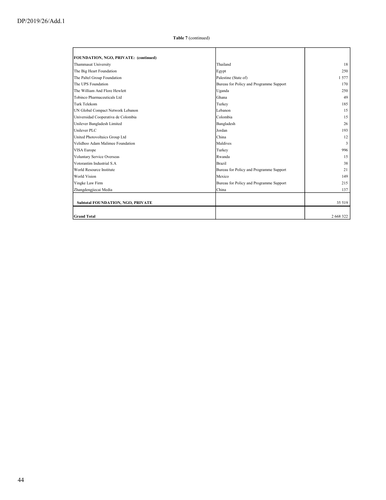| FOUNDATION, NGO, PRIVATE: (continued)    |                                         |           |
|------------------------------------------|-----------------------------------------|-----------|
| Thammasat University                     | Thailand                                | 18        |
| The Big Heart Foundation                 | Egypt                                   | 250       |
| The Paltel Group Foundation              | Palestine (State of)                    | 1577      |
| The UPS Foundation                       | Bureau for Policy and Programme Support | 170       |
| The William And Flore Hewlett            | Uganda                                  | 250       |
| Tobinco Pharmaceuticals Ltd              | Ghana                                   | 49        |
| Turk Telekom                             | Turkey                                  | 185       |
| UN Global Compact Network Lebanon        | Lebanon                                 | 15        |
| Universidad Cooperativa de Colombia      | Colombia                                | 15        |
| Unilever Bangladesh Limited              | Bangladesh                              | 26        |
| Unilever PLC                             | Jordan                                  | 193       |
| United Photovoltaics Group Ltd           | China                                   | 12        |
| Velidhoo Adam Malimee Foundation         | Maldives                                | 3         |
| VISA Europe                              | Turkey                                  | 996       |
| Voluntary Service Overseas               | Rwanda                                  | 15        |
| Votorantim Industrial S.A.               | <b>Brazil</b>                           | 38        |
| World Resource Institute                 | Bureau for Policy and Programme Support | 21        |
| <b>World Vision</b>                      | Mexico                                  | 149       |
| Yingke Law Firm                          | Bureau for Policy and Programme Support | 215       |
| Zhangdengjiecai Media                    | China                                   | 137       |
|                                          |                                         |           |
| <b>Subtotal FOUNDATION, NGO, PRIVATE</b> |                                         | 35 519    |
|                                          |                                         |           |
| <b>Grand Total</b>                       |                                         | 2 668 322 |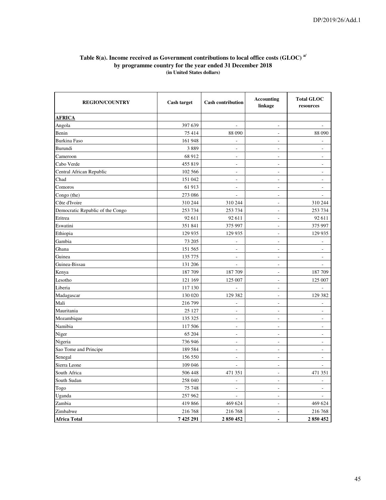#### **Table 8(a). Income received as Government contributions to local office costs (GLOC) a/ by programme country for the year ended 31 December 2018 (in United States dollars)**

| <b>REGION/COUNTRY</b>            | <b>Cash target</b> | <b>Cash contribution</b>     | <b>Accounting</b><br>linkage | <b>Total GLOC</b><br>resources |
|----------------------------------|--------------------|------------------------------|------------------------------|--------------------------------|
| <b>AFRICA</b>                    |                    |                              |                              |                                |
| Angola                           | 397 639            | ÷.                           | ÷,                           | L.                             |
| Benin                            | 75 414             | 88 090                       | ÷,                           | 88 090                         |
| Burkina Faso                     | 161 948            |                              | L,                           |                                |
| Burundi                          | 3889               | $\overline{\phantom{a}}$     | $\overline{a}$               | $\overline{\phantom{a}}$       |
| Cameroon                         | 68 912             | ÷                            | ÷.                           | $\sim$                         |
| Cabo Verde                       | 455 819            | $\overline{\phantom{a}}$     | $\overline{\phantom{a}}$     | $\overline{\phantom{a}}$       |
| Central African Republic         | 102 566            | L.                           | ÷,                           | ÷.                             |
| Chad                             | 151 042            | $\overline{\phantom{a}}$     | $\overline{a}$               | $\overline{\phantom{a}}$       |
| Comoros                          | 61 913             | ÷                            | L,                           | $\sim$                         |
| Congo (the)                      | 273 086            | ÷.                           | ÷,                           | $\overline{a}$                 |
| Côte d'Ivoire                    | 310 244            | 310 244                      | ÷.                           | 310 244                        |
| Democratic Republic of the Congo | 253 734            | 253 734                      | ÷,                           | 253 734                        |
| Eritrea                          | 92 611             | 92 611                       | L,                           | 92 611                         |
| Eswatini                         | 351 841            | 375 997                      | ÷,                           | 375 997                        |
| Ethiopia                         | 129 935            | 129 935                      | $\overline{a}$               | 129 935                        |
| Gambia                           | 73 205             | $\overline{\phantom{a}}$     | $\overline{\phantom{a}}$     | L.                             |
| Ghana                            | 151 565            | ÷,                           | L,                           | ÷,                             |
| Guinea                           | 135 775            | ÷,                           | L,                           | L,                             |
| Guinea-Bissau                    | 131 206            | $\overline{a}$               | $\overline{a}$               | $\overline{a}$                 |
| Kenya                            | 187709             | 187 709                      | $\overline{\phantom{a}}$     | 187 709                        |
| Lesotho                          | 121 169            | 125 007                      | ÷,                           | 125 007                        |
| Liberia                          | 117 130            | J.                           | L,                           | ÷.                             |
| Madagascar                       | 130 020            | 129 382                      |                              | 129 382                        |
| Mali                             | 216 799            | $\overline{a}$               | ÷,                           | L,                             |
| Mauritania                       | 25 127             | $\qquad \qquad \blacksquare$ | $\overline{a}$               | $\overline{\phantom{a}}$       |
| Mozambique                       | 135 325            | L,                           |                              |                                |
| Namibia                          | 117 506            | ÷,                           | ÷,                           | $\overline{\phantom{a}}$       |
| Niger                            | 65 204             | $\overline{a}$               | ÷,                           | ÷,                             |
| Nigeria                          | 736 946            | $\overline{a}$               | $\overline{a}$               | $\overline{\phantom{a}}$       |
| Sao Tome and Principe            | 189 584            | L.                           | L,                           | $\overline{a}$                 |
| Senegal                          | 156 550            | $\overline{a}$               | $\overline{a}$               | $\overline{\phantom{m}}$       |
| Sierra Leone                     | 109 046            | L.                           | $\frac{1}{2}$                | $\overline{a}$                 |
| South Africa                     | 506 448            | 471 351                      | $\overline{a}$               | 471 351                        |
| South Sudan                      | 258 040            | L.                           | $\frac{1}{2}$                | $\overline{a}$                 |
| Togo                             | 75 748             | L,                           | L,                           | $\overline{a}$                 |
| Uganda                           | 257962             | L,                           | $\overline{a}$               | L.                             |
| Zambia                           | 419 866            | 469 624                      | ÷,                           | 469 624                        |
| Zimbabwe                         | 216 768            | 216 768                      | ÷,                           | 216 768                        |
| <b>Africa Total</b>              | 7 425 291          | 2850452                      | $\overline{a}$               | 2850452                        |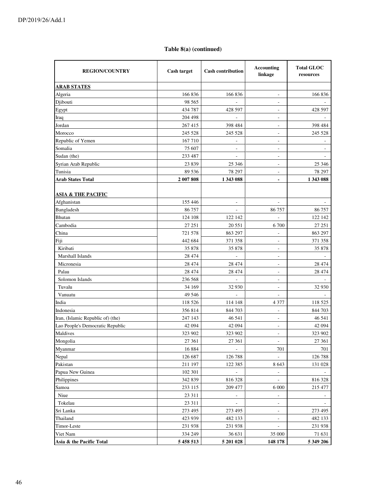# **Table 8(a) (continued)**

| <b>REGION/COUNTRY</b>             | <b>Cash target</b> | <b>Cash contribution</b> | <b>Accounting</b><br>linkage | <b>Total GLOC</b><br>resources |
|-----------------------------------|--------------------|--------------------------|------------------------------|--------------------------------|
| <b>ARAB STATES</b>                |                    |                          |                              |                                |
| Algeria                           | 166 836            | 166 836                  | $\overline{\phantom{a}}$     | 166 836                        |
| Djibouti                          | 98 5 65            |                          | $\overline{\phantom{0}}$     |                                |
| Egypt                             | 434 787            | 428 597                  | -                            | 428 597                        |
| Iraq                              | 204 498            |                          | $\overline{\phantom{a}}$     |                                |
| Jordan                            | 267415             | 398 484                  | $\overline{\phantom{a}}$     | 398 484                        |
| Morocco                           | 245 528            | 245 528                  | $\overline{\phantom{a}}$     | 245 528                        |
| Republic of Yemen                 | 167 710            | $\overline{\phantom{a}}$ | $\overline{\phantom{a}}$     | $\overline{\phantom{a}}$       |
| Somalia                           | 75 607             | $\overline{\phantom{a}}$ | $\overline{a}$               | $\overline{\phantom{a}}$       |
| Sudan (the)                       | 233 487            | $\overline{\phantom{a}}$ | $\overline{\phantom{a}}$     |                                |
| Syrian Arab Republic              | 23 839             | 25 34 6                  | ÷,                           | 25 34 6                        |
| Tunisia                           | 89 536             | 78 297                   | $\overline{a}$               | 78 297                         |
| <b>Arab States Total</b>          | 2 007 808          | 1 343 088                | $\blacksquare$               | 1 343 088                      |
|                                   |                    |                          |                              |                                |
| <b>ASIA &amp; THE PACIFIC</b>     |                    |                          |                              |                                |
| Afghanistan                       | 155 446            | $\sim$                   | $\blacksquare$               |                                |
| Bangladesh                        | 86 757             | $\overline{\phantom{a}}$ | 86 757                       | 86 757                         |
| Bhutan                            | 124 108            | 122 142                  | $\frac{1}{2}$                | 122 142                        |
| Cambodia                          | 27 25 1            | 20 5 51                  | 6 700                        | 27 251                         |
| China                             | 721 578            | 863 297                  | L,                           | 863 297                        |
| Fiji                              | 442 684            | 371 358                  | $\overline{\phantom{a}}$     | 371 358                        |
| Kiribati                          | 35 878             | 35 878                   | $\overline{\phantom{a}}$     | 35 878                         |
| Marshall Islands                  | 28 474             | $\overline{\phantom{a}}$ | $\overline{\phantom{a}}$     |                                |
| Micronesia                        | 28 474             | 28 474                   | $\overline{\phantom{a}}$     | 28 474                         |
| Palau                             | 28 474             | 28 474                   | $\overline{\phantom{a}}$     | 28 474                         |
| Solomon Islands                   | 236 568            | $\sim$                   | $\overline{a}$               |                                |
| Tuvalu                            | 34 169             | 32 930                   | ÷,                           | 32 930                         |
| Vanuatu                           | 49 546             | $\overline{\phantom{a}}$ | ÷,                           |                                |
| India                             | 118 526            | 114 148                  | 4 3 7 7                      | 118 525                        |
| Indonesia                         | 356 814            | 844 703                  | ÷,                           | 844 703                        |
| Iran, (Islamic Republic of) (the) | 247 143            | 46 541                   | $\overline{\phantom{a}}$     | 46 541                         |
| Lao People's Democratic Republic  | 42 094             | 42 094                   | $\overline{\phantom{a}}$     | 42 094                         |
| Maldives                          | 323 902            | 323 902                  | $\overline{\phantom{a}}$     | 323 902                        |
| Mongolia                          | 27 361             | 27 361                   |                              | 27 361                         |
| Myanmar                           | 16 8 8 4           | $\overline{\phantom{a}}$ | 701                          | 701                            |
| Nepal                             | 126 687            | 126 788                  |                              | 126 788                        |
| Pakistan                          | 211 197            | 122 385                  | 8 6 4 3                      | 131 028                        |
| Papua New Guinea                  | 102 301            |                          | $\overline{\phantom{a}}$     |                                |
| Philippines                       | 342 839            | 816 328                  | $\overline{\phantom{a}}$     | 816 328                        |
| Samoa                             | 233 115            | 209 477                  | 6 0 0 0                      | 215 477                        |
| Niue                              | 23 311             | $\Box$                   | $\qquad \qquad \blacksquare$ |                                |
| Tokelau                           | 23 311             | $\overline{\phantom{a}}$ | $\overline{\phantom{a}}$     |                                |
| Sri Lanka                         | 273 495            | 273 495                  | $\overline{\phantom{a}}$     | 273 495                        |
| Thailand                          | 423 939            | 482 133                  | $\overline{\phantom{m}}$     | 482 133                        |
| Timor-Leste                       | 231 938            | 231 938                  |                              | 231 938                        |
| Viet Nam                          | 334 249            | 36 631                   | 35 000                       | 71 631                         |
| Asia & the Pacific Total          | 5 458 513          | 5 201 028                | 148 178                      | 5 349 206                      |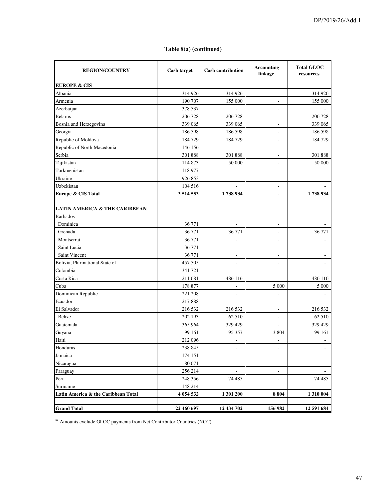# **Table 8(a) (continued)**

| <b>REGION/COUNTRY</b>                    | Cash target  | <b>Cash contribution</b> | <b>Accounting</b><br>linkage | <b>Total GLOC</b><br>resources |
|------------------------------------------|--------------|--------------------------|------------------------------|--------------------------------|
| <b>EUROPE &amp; CIS</b>                  |              |                          |                              |                                |
| Albania                                  | 314 926      | 314 926                  | $\overline{\phantom{a}}$     | 314 926                        |
| Armenia                                  | 190 707      | 155 000                  | $\overline{\phantom{a}}$     | 155 000                        |
| Azerbaijan                               | 378 537      |                          | $\overline{a}$               |                                |
| <b>Belarus</b>                           | 206 728      | 206 728                  | $\overline{\phantom{a}}$     | 206 728                        |
| Bosnia and Herzegovina                   | 339 065      | 339 065                  | L,                           | 339 065                        |
| Georgia                                  | 186 598      | 186 598                  | ÷,                           | 186 598                        |
| Republic of Moldova                      | 184729       | 184 729                  | $\overline{\phantom{a}}$     | 184 729                        |
| Republic of North Macedonia              | 146 156      | ÷,                       | $\overline{\phantom{a}}$     |                                |
| Serbia                                   | 301 888      | 301 888                  | $\overline{\phantom{a}}$     | 301 888                        |
| Tajikistan                               | 114 873      | 50 000                   | $\overline{a}$               | 50 000                         |
| Turkmenistan                             | 118 977      |                          | ٠                            |                                |
| Ukraine                                  | 926 853      | $\overline{\phantom{a}}$ | $\overline{a}$               |                                |
| Uzbekistan                               | 104 516      | $\overline{\phantom{a}}$ | $\overline{\phantom{a}}$     |                                |
| Europe & CIS Total                       | 3 5 14 5 5 3 | 1738934                  | $\overline{\phantom{a}}$     | 1738934                        |
| <b>LATIN AMERICA &amp; THE CARIBBEAN</b> |              |                          |                              |                                |
| <b>Barbados</b>                          | ÷,           | $\overline{\phantom{a}}$ | $\overline{\phantom{a}}$     |                                |
| Dominica                                 | 36 771       | $\overline{\phantom{a}}$ | $\overline{\phantom{a}}$     | $\overline{\phantom{a}}$       |
| Grenada                                  | 36 771       | 36 771                   | $\overline{\phantom{a}}$     | 36 771                         |
| Montserrat                               | 36 771       |                          | ÷,                           |                                |
| Saint Lucia                              | 36 771       | Ĭ.                       | J.                           |                                |
| Saint Vincent                            | 36 771       | $\sim$                   | $\overline{\phantom{a}}$     | $\overline{\phantom{a}}$       |
| Bolivia, Plurinational State of          | 457 505      | $\sim$                   | $\overline{\phantom{a}}$     | $\overline{\phantom{a}}$       |
| Colombia                                 | 341 721      | $\overline{a}$           | $\overline{\phantom{a}}$     |                                |
| Costa Rica                               | 211 681      | 486 116                  | $\overline{\phantom{a}}$     | 486 116                        |
| Cuba                                     | 178 877      |                          | 5 0 0 0                      | 5 000                          |
| Dominican Republic                       | 221 208      | $\overline{a}$           | ÷,                           |                                |
| Ecuador                                  | 217888       | $\sim$                   | $\overline{\phantom{a}}$     |                                |
| El Salvador                              | 216 532      | 216 532                  | $\overline{\phantom{a}}$     | 216 532                        |
| Belize                                   | 202 193      | 62 510                   | $\overline{\phantom{a}}$     | 62 510                         |
| Guatemala                                | 365 964      | 329 429                  | $\overline{\phantom{a}}$     | 329 429                        |
| Guyana                                   | 99 161       | 95 357                   | 3 8 0 4                      | 99 161                         |
| Haiti                                    | 212 096      | Ĭ.                       |                              |                                |
| Honduras                                 | 238 845      | $\overline{\phantom{a}}$ | $\overline{\phantom{a}}$     | $\sim$                         |
| Jamaica                                  | 174 151      | $\overline{\phantom{a}}$ | $\overline{a}$               |                                |
| Nicaragua                                | 80 071       | $\overline{\phantom{a}}$ | $\overline{\phantom{a}}$     | $\overline{\phantom{a}}$       |
| Paraguay                                 | 256 214      | $\blacksquare$           | $\overline{\phantom{a}}$     | $\overline{\phantom{a}}$       |
| Peru                                     | 248 356      | 74 485                   | $\overline{\phantom{a}}$     | 74 485                         |
| Suriname                                 | 148 214      | $\overline{\phantom{a}}$ | $\overline{\phantom{a}}$     |                                |
| Latin America & the Caribbean Total      | 4 054 532    | 1 301 200                | 8 8 0 4                      | 1 310 004                      |
|                                          |              |                          |                              |                                |
| <b>Grand Total</b>                       | 22 460 697   | 12 434 702               | 156 982                      | 12 591 684                     |

**a/** Amounts exclude GLOC payments from Net Contributor Countries (NCC).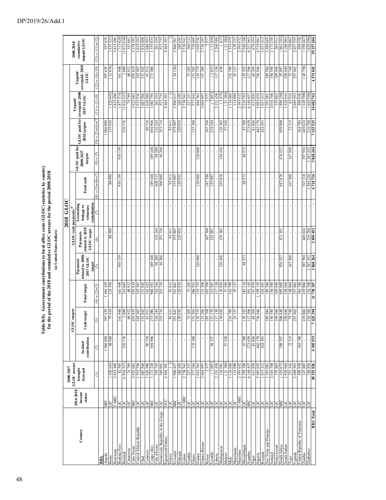|                                                       |                                                             | 2008-2017            |                         |                          |                     |                                                                                                  |                                            | 2018 GLOC                                             |                          |                                       |                               |                               |                                    |                           |
|-------------------------------------------------------|-------------------------------------------------------------|----------------------|-------------------------|--------------------------|---------------------|--------------------------------------------------------------------------------------------------|--------------------------------------------|-------------------------------------------------------|--------------------------|---------------------------------------|-------------------------------|-------------------------------|------------------------------------|---------------------------|
|                                                       | 2014-2018                                                   | GLOC arrears         |                         | gets<br>GLOC tar         |                     |                                                                                                  | GLOC cash payments <sup>a</sup>            |                                                       |                          |                                       |                               | Unpaid/                       |                                    | 2008-2018                 |
| Country                                               | $\begin{array}{c}\text{income} \\ \text{status}\end{array}$ | brought<br>forward   | contribution<br>In-kind | Cash target              | <b>Total target</b> | $\begin{array}{c} \text{related to 2008-} \\ \text{2017 GLOC} \end{array}$<br>Payments<br>target | related to 2018<br>GLOC target<br>Payments | Accounting<br>contribution<br>linkage to<br>voluntary | Total cash               | GLOC paid for<br>2008-2017<br>targets | GLOC paid for<br>2018 targets | (overpaid) 2008-<br>2017 GLOC | (overpaid) 2018<br>Unpaid/<br>GLOC | unpaid GLOC<br>cumulative |
|                                                       |                                                             | Ξ                    | $\odot$                 | $\odot$                  | $(4) = (2) + (3)$   | $\odot$                                                                                          | ⊚                                          | Э                                                     | $L)+(9)+(5) = (8)$       | $(5) = (6)$                           | $10 = (2)+(6)+(7)$            | $(11) = (1)-(9)$              | $(12) = (4) - (10)$                | $(13) = (11)+(12)$        |
| RBA                                                   |                                                             |                      |                         |                          |                     |                                                                                                  |                                            |                                                       |                          |                                       |                               |                               |                                    |                           |
| Angola                                                | ЯÑ                                                          |                      | 1066800<br>0+68+        | 639<br>414<br>397        | 464 439<br>124354   |                                                                                                  |                                            |                                                       | 06088                    |                                       | 066 800<br>137 030            |                               | (12676)<br>397639                  | 397639                    |
| Benin                                                 | U-MIC<br>ПC                                                 | (420645)<br>3815496  |                         |                          |                     |                                                                                                  | 88090                                      |                                                       |                          |                                       |                               | (420645)                      |                                    | 3815496<br>(433321)       |
| Botswana                                              |                                                             | 52585                |                         | 948                      | 161948              | 930159                                                                                           |                                            |                                                       | 930159                   |                                       |                               | (877574)<br>3815496           |                                    | (715626)                  |
| Burkina Faso<br>Burundi                               | E<br>LIC                                                    | (1916527)            | 210776                  | 889<br>$\overline{161}$  | 214665              |                                                                                                  | $\,$                                       | $\,$                                                  |                          | 930 159                               | 210776                        | (1916527)                     | 161948<br>3889                     | (1912638)                 |
| Caneroon                                              | Ц                                                           | 74 769               |                         | 68912                    | 68912               |                                                                                                  | $\blacksquare$                             |                                                       | $\overline{\phantom{a}}$ | $\mathbf{r}$                          |                               | 74769                         | 68912                              | 14368                     |
| Cabo Verde                                            | МC                                                          | 4922683              |                         | 455819                   | 455819              |                                                                                                  |                                            |                                                       |                          | $\mathbf{I}$                          |                               | 4922683                       | 455819                             | 5378502                   |
| Central African Republic                              | ПC                                                          | 1512536              | í.                      | 567<br>102               | 102567              |                                                                                                  |                                            |                                                       |                          | í.                                    | í.                            | 1512536                       | 102567                             | 1615 103                  |
| Chad                                                  | ЭП                                                          | 1683566              |                         | 042<br>151               | 151042              |                                                                                                  |                                            |                                                       |                          |                                       |                               | 1683566                       | ISI 042                            | 1834608                   |
| Comoros                                               | ЭП                                                          | 1626580              | 80710                   | 61913                    | 142623              |                                                                                                  |                                            |                                                       |                          |                                       | 80710                         | 1626580                       | 61913                              | 1688493                   |
| Congo (the)                                           | MIC                                                         | 1272238              | 694 966                 | 273 086                  | 968052              | 189448                                                                                           |                                            | ł,                                                    | 189448                   | 189448                                | 694 966                       | 1 082 790                     | 273 086                            | 1355876                   |
| Côte d'Ivoire                                         | LIC                                                         | 359743               | $\mathbf{r}$            | 244<br>310               | 310244              | 98289                                                                                            | 310 244                                    | $\blacksquare$                                        | 408533                   | 98 289                                | 310 244                       | 261454                        |                                    | 261454                    |
| Democratic Republic of the Congo<br>Equatorial Guinea | <b>TRIC</b>                                                 | 569 001              | $\bar{\mathbf{r}}$      | 734<br>253               | 253734              | 46266                                                                                            | 253734                                     | $\mathbf{I}$                                          | 300 000                  | 46 266                                | 253 734                       | 522735                        |                                    | 522735                    |
|                                                       |                                                             | 4464301              | $\mathbf{I}$            | $\blacksquare$           |                     |                                                                                                  |                                            |                                                       |                          |                                       |                               | 4464301                       |                                    | 4464301                   |
| Eritrea                                               | ПC                                                          |                      | $\blacksquare$          | $611$<br>$\mathfrak{D}$  | 92611               | $\blacksquare$                                                                                   | 92611                                      |                                                       | 92611                    | $\mathbf{r}$                          | 92 611                        |                               |                                    |                           |
| Eswatini                                              | ЯC                                                          | 1990417              | $\mathbf{r}$            | 841<br>351               | 351841              | $\mathbf{r}$                                                                                     | 375 997                                    | $\mathbf{r}$                                          | 375997                   | $\mathbf{r}$                          | 375 997                       | 1990 417                      | (24156)                            | 196626                    |
| Ethiopia                                              | LIC                                                         | 180450               | J.                      | 129935                   | 129935              |                                                                                                  | 129935                                     |                                                       | 129935                   |                                       | 129935                        | 180450                        |                                    | 180450                    |
| Gabon                                                 | U-MIC                                                       | 273854               | ı.                      | í.                       |                     |                                                                                                  |                                            |                                                       |                          | $\mathbf{r}$                          |                               | 273854                        |                                    | 273854                    |
| Gambia                                                | ПC                                                          | 227 327              |                         | 205<br>73                | 73 205              |                                                                                                  |                                            |                                                       |                          |                                       |                               | 227 327                       | 73 205                             | 300 532                   |
| Ghana                                                 | ЭП                                                          | 577044               | 135388                  | 565<br>151               | 286953              |                                                                                                  |                                            |                                                       |                          | $\overline{1}$                        | 135 388                       | 577044                        | 151565                             | 728 609                   |
| Guinea                                                | ЦC                                                          | 1014761              |                         | 775<br>135               | 135775              | 120 000                                                                                          |                                            |                                                       | 120 000                  | 120 000                               |                               | 894761                        | 135775                             | 1030536                   |
| Guinea-Bissau                                         | LIC                                                         | 2604997              |                         | 206<br>131               | 131 206             |                                                                                                  |                                            | ٠                                                     |                          |                                       |                               | 2 604 997                     | 131 206                            | 2736203                   |
| Kenya                                                 | ПC                                                          | 2577                 |                         | 709<br>$\frac{187}{121}$ | 187709              | $\mathbf{r}$                                                                                     | 187709                                     |                                                       | 604 481                  | $\bar{\phantom{a}}$                   | 187709                        | 2577                          |                                    | 2577                      |
| esotho                                                | ЭLI                                                         | (7607)               | 94337                   | 170                      | 215 507             |                                                                                                  | 125 007                                    |                                                       | 125 007                  |                                       | 219344                        | (7607)                        | (3837)                             | (11444                    |
| Jberia                                                | ПC                                                          | 2151458              |                         | 130<br>LI1               | 117130              |                                                                                                  |                                            |                                                       |                          |                                       |                               | 2151458                       | 117130                             | 2 268 588                 |
| Madagascar                                            | <b>PE</b>                                                   | 124 981              |                         | 130020                   | 130020              | 126456                                                                                           | 129382                                     | $\,$                                                  | 255838                   | 126 456                               | 129 382                       | (1475)                        | 638                                | (83)                      |
| Malawi                                                |                                                             | (21380)              | 57540                   | J.                       | 57540               |                                                                                                  |                                            |                                                       |                          |                                       | 57 540                        | (21380)                       |                                    | (21380                    |
| Mali                                                  | ЭLI                                                         | 1116680              |                         | 799<br>216               | 216799              |                                                                                                  |                                            | ı                                                     |                          | ï                                     |                               | 116 680                       | 216799                             | 1333479                   |
| Mauritania                                            | LIC                                                         | 114098               |                         | 25 127                   | 25 127              |                                                                                                  |                                            |                                                       |                          |                                       | $\mathbf{r}$                  | 114098                        | 25 127                             | 139 225                   |
| Mauritius                                             | U-MIC                                                       | 2393632              |                         |                          |                     |                                                                                                  |                                            |                                                       |                          |                                       |                               | 2393632                       |                                    | 2393632                   |
| Mozambique                                            | DГ                                                          | 2259356              | 47789                   | 325<br>135               | 183 114             | 48573                                                                                            |                                            |                                                       | 573<br>48                | 573<br>48                             | 47 789                        | 2210783                       | 135 325                            | 2346108                   |
| Nambia                                                | <b>NIC</b>                                                  | 612850<br>6 140 45   | 81866<br>273639         | 506<br>204<br>$\Xi$      | 147070<br>391 145   |                                                                                                  |                                            |                                                       |                          |                                       | 81866<br>273 639              | 612850<br>6 140 457           | 117506<br>65 204                   | 678054<br>6257963         |
| Nigeria<br>Niger                                      | ЯE                                                          | 5983035              | 462179                  | 946<br>65                | 199 125             |                                                                                                  |                                            |                                                       | r.                       | $\mathbf{r}$                          | 462 179                       | 5983035                       | 736946                             | 6719981                   |
| Rwanda                                                | ПC                                                          | 1013412              | 424 491                 |                          | 424 491             |                                                                                                  |                                            |                                                       | $\mathbf{I}$             | $\mathbf{I}$                          | 424 491                       | 1013412                       |                                    | 1013412                   |
| Sao Tome and Principe                                 |                                                             | 1291081              |                         | í.                       | 189584              |                                                                                                  |                                            |                                                       | J.                       | $\mathbf{r}$<br>$\blacksquare$        | $\overline{\phantom{a}}$      | 1291081                       | 189584                             | 1480665                   |
| Senegal                                               | <b>PE</b>                                                   | 2016708              |                         | 189584                   | 156550              |                                                                                                  |                                            |                                                       |                          |                                       |                               | 2016708                       | 156550                             | 2173258                   |
| Sierra Leone                                          | ПC                                                          | 155865               |                         | 900 601                  | 109046              |                                                                                                  |                                            |                                                       |                          |                                       |                               | 155865                        | 109046                             | 26491                     |
| South Africa                                          | <b>NIC</b>                                                  | (41967)              | 188557                  | 506 448                  | 695005              | 476527                                                                                           | 351<br>471                                 |                                                       | 87878                    | 476 527                               | 659 908                       | (896 198)                     | 35097                              | (86110)                   |
| South Sudan                                           | LIC                                                         | 1928 944             |                         | 258 040                  | 258040              |                                                                                                  |                                            |                                                       |                          |                                       |                               | 1928 944                      | 258040                             | 2186984                   |
| logo                                                  | ПC                                                          | 251416               | 72315                   |                          | 148064              | 167500                                                                                           |                                            |                                                       | 167500                   | 167500                                | 72315                         |                               | <b>674</b> SL                      | 159 665                   |
| Uganda                                                | LIC                                                         | 2699593              |                         | 962<br>257               | 257962              |                                                                                                  |                                            |                                                       |                          |                                       |                               | 2699593                       | 257962                             | 2957555                   |
| United Republic of Tanzania                           | LIC                                                         | 866 867              | 364780                  |                          | 364780              |                                                                                                  |                                            |                                                       |                          |                                       | 364780                        | 498938                        |                                    | 498938                    |
| Zambia                                                | LIC                                                         | 147885               |                         | 866<br>419               | 419866              | 297 594                                                                                          | 469 624                                    |                                                       | 767 218                  | 297 594                               | 469 624                       | (149709)                      | (8579)                             | (199467)                  |
| Zimbabwe                                              | ПC                                                          | 746856<br>58 551 026 |                         | 768<br>216               | 216768              | 367452                                                                                           | 216768                                     |                                                       | 1 584 220                | 1367452                               | 216768                        | (620596)                      |                                    | (620596)                  |
| RBA Total                                             |                                                             |                      | 4305073                 | 294<br>7425              | 11730367            | 3868264                                                                                          | 2850452                                    |                                                       |                          |                                       | 7155525                       | 54 682 762                    | 4574842                            | 59 257 604                |

### DP/2019/26/Add.1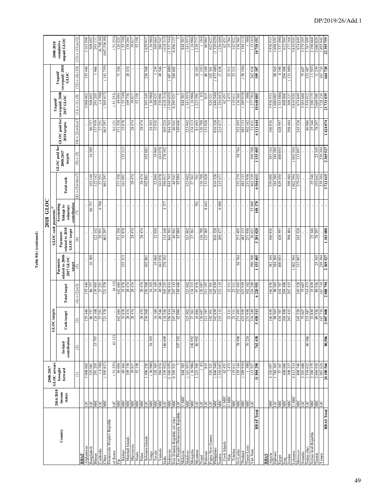${\bf Table\ 8(b)\ (continued)}$ **Table 8(b) (continued)**

|                                          |                     | 2008-2017                                   |                         |                                |                     |                                                     |                                            | 2018 GLOC                                             |                          |                                       |                            |                                             |                                    |                               |
|------------------------------------------|---------------------|---------------------------------------------|-------------------------|--------------------------------|---------------------|-----------------------------------------------------|--------------------------------------------|-------------------------------------------------------|--------------------------|---------------------------------------|----------------------------|---------------------------------------------|------------------------------------|-------------------------------|
|                                          | 2014-2018           | GLOC arrears                                |                         | GLOC targets                   |                     |                                                     |                                            | GLOC cash payments <sup>a/</sup>                      |                          |                                       |                            | Unpaid/                                     |                                    | 2008-2018                     |
| $_{\rm Country}$                         | income<br>status    | ${\bf forward}$<br>brought                  | contribution<br>In-kind | Cash target                    | <b>Total target</b> | related to 2008-<br>2017 GLOC<br>Payments<br>target | related to 2018<br>GLOC target<br>Payments | contribution<br>Accounting<br>linkage to<br>voluntary | Total cash               | GLOC paid for<br>2008-2017<br>targets | 2018 targets               | GLOC paid for (overpaid) 2008-<br>2017 GLOC | (over paid) 2018<br>Unpaid<br>GLOC | unpaid GLOC<br>cunulative     |
|                                          |                     | $\in$                                       | $\widehat{c}$           | $\odot$                        | $(4) = (2) + (3)$   | $\odot$                                             | $\widehat{\circ}$                          | $\epsilon$                                            | $(8) = (5)+(6)+(7)$      | $(5) = (6)$                           | $(7)(6) + (6) + (6) + (7)$ | $(11) = (1)-(9)$                            | $(12) = (4) - (10)$                | $(13) = (11)+(12)$            |
| Afghanistan<br>RBAP                      | <b>TIC</b>          | 3 008 062                                   |                         | 155446                         | 155446              |                                                     |                                            |                                                       |                          |                                       |                            | 3 008 062                                   | 155446                             | 3 163 508                     |
| Bangladesh                               |                     | 325 081                                     |                         | 86757                          | 86757               | 16389                                               |                                            | 86757                                                 | 103146                   | 16389                                 | 86757                      | 308692                                      |                                    | 308 692                       |
| Bhutan                                   | <b>DIN</b>          | 291 205                                     | 15797                   | 124 108                        | 139 905             |                                                     | 122 142                                    |                                                       | 142<br>122               |                                       | 137939                     | 291 205                                     | 966                                | 293 171                       |
| Cambodia                                 | ЛC                  | (6700)                                      |                         | 27251                          | 27 25 1             |                                                     | 20551                                      | 6700                                                  | 27 251                   |                                       | 27 251                     | (6700)                                      |                                    | (6,700.00)                    |
| China                                    | МC                  | 505817                                      |                         | 721 578                        | 721578              |                                                     | 863 297                                    |                                                       | 863 297                  |                                       | 863 297                    | 505817                                      | (141719)                           | (647, 536.00)                 |
| Democratic People's Republic<br>of Korea |                     | (51253)                                     | 61 121                  |                                | 61 121              |                                                     |                                            |                                                       |                          |                                       | 61 121                     | (51 253)                                    |                                    | (51253)                       |
| Ē                                        | <b>TR</b>           | 49094                                       |                         | 442684                         | 442 684             |                                                     | 371358                                     |                                                       | 358<br>371               |                                       | 358<br>$\overline{371}$    | 49094                                       | 326<br>$\overline{7}$              | 120420                        |
| Kiribati                                 | ЯC                  | 69464                                       |                         | 35878                          | 35878               | 125 213                                             | 35878                                      |                                                       | 161 091                  | 125 213                               | 35878                      | (55749)                                     |                                    | (55749)                       |
| Marshall Islands                         |                     | 109730                                      |                         | 28474                          |                     |                                                     |                                            |                                                       |                          |                                       |                            | 109730                                      | 28474                              |                               |
| Micronesia                               | <b>JIN</b><br>JIN   | 39817                                       | ï                       | 28474                          | 28 474<br>28 474    | $\mathbf{I}$                                        | 28474                                      | $\mathbf{I}$                                          | 28474                    |                                       | 28 474                     | 39817                                       |                                    | 138 204                       |
| Nauru                                    | МC                  | 52158                                       |                         |                                |                     |                                                     |                                            |                                                       |                          |                                       |                            | 52158                                       |                                    | 52158                         |
| Palau                                    | МC                  | 1496230                                     |                         | 28474                          | 28474               | 188 Z01                                             | 28 474                                     |                                                       | 28474<br>102881          |                                       | 28 474                     | 393 349                                     |                                    | 1629917                       |
| Solomon Islands<br>Tonga                 | ПC                  | (36980)                                     | 54 303                  | 236568                         | 236568              |                                                     |                                            |                                                       |                          | 102881                                |                            | (36980)                                     | 236568                             | (36980)                       |
| Tuvalu                                   | <b>ZIE</b>          | 328 385                                     |                         | 34169                          | 54 303<br>34 169    | 19960                                               | 32930                                      | $\mathbf{I}$                                          | 52890                    | 19 960                                | 54 303<br>32 930           | 308425                                      | 1239                               | 309 664                       |
| Vanuatu                                  |                     | 394074                                      |                         | 975.61                         | 49546               | 163078                                              |                                            |                                                       | 163078                   | 163 078                               |                            | 230996                                      | 49546                              | 280 542                       |
| India                                    | <b>NIC</b>          | (339922)                                    | 186 699                 | 18526                          | 305 225             | 278392                                              | 114 148                                    | 57<br>4                                               | 39691                    | 392<br>278                            | 224<br>305                 | (618314)                                    |                                    | (618313)                      |
| Indonesia                                | <b>NIC</b>          | (104965)                                    |                         | 356814                         | 356814              |                                                     | 844 703                                    |                                                       | 844 703                  |                                       | 844 703                    | (104965)                                    | (487889)                           | (1537544)                     |
| Iran (Islamic Republic of) (the)         | <b>AR</b>           | 6 295 521                                   |                         | 17 143<br>$\mathbb{Z}$         | 247 143<br>149 446  |                                                     | 46 541<br>42 094                           |                                                       | 46 541<br>42 094         |                                       | 46 541                     | 6 295 52                                    | 200 602                            | 6496123                       |
| Lao People's Democratic Republic         |                     |                                             | 107352                  | 12094                          |                     |                                                     |                                            |                                                       |                          |                                       | 149 446                    |                                             |                                    |                               |
| Malaysia<br>Maldives                     | U-MIC<br>ЫC         | (341957)<br>848 383                         |                         | 323 902<br>f                   | 323 902             |                                                     | 323 902                                    |                                                       | 323 902                  |                                       | 323 902                    | 848 383<br>(341957                          |                                    | (341957)<br>848 383           |
| Mongolia                                 | МC                  | (16986)                                     | 106952                  | 27361                          | 134313              | $\mathbf{I}$<br>r.                                  | 27361                                      |                                                       | 27 36 I                  |                                       | 134 313                    | (16986)                                     |                                    | (16986)                       |
| Myanma                                   |                     | 1223590                                     | 80992                   | 16884                          | 97876               |                                                     |                                            | $\overline{701}$                                      | ā                        |                                       | 81693                      | 223 590                                     | 16183                              | 1239773                       |
| Nepal                                    | ЯE                  | (83)                                        |                         | 126 687                        | 126687              | $\blacksquare$                                      | 126788                                     |                                                       | 126788                   |                                       | 126788                     | $\left( \frac{83}{2} \right)$               | $\left( \frac{101}{2} \right)$     | (184)                         |
| Pakistan                                 | ЯE                  | 815                                         |                         | 11 197<br>ಸ                    | 211 197             |                                                     | 122385                                     | 8643                                                  | 131028                   |                                       | 131 028                    | 815                                         | 80169                              | 80984                         |
| Papua New Guinea                         |                     | 520 321                                     |                         | 102301                         | 102 301             | r.                                                  |                                            |                                                       |                          |                                       |                            | 520 321                                     | 102301                             | 622 622                       |
| Philippines                              | Я                   | (846540)                                    |                         | 342839<br>233 115              | 342839              | $\,$                                                | 816328                                     |                                                       | 816328                   |                                       | 816328                     | (846540)                                    | (473, 489)                         | (1320029)                     |
| Cook Islands<br>Samoa                    | U-MIC<br>МC         | (254047)<br>62451                           |                         |                                | 233 115             |                                                     | 209 477                                    | 6000                                                  | 215 477                  |                                       | 215 477                    | 254047                                      | 17638                              | 236 409<br>62451              |
| Niue                                     |                     | 2473                                        |                         | 23311                          | 23311               |                                                     |                                            |                                                       |                          |                                       |                            | 2473<br>62451                               |                                    | 25784                         |
| Tokelau                                  | <b>U-MIC</b><br>MIC | 119611                                      |                         | 23311                          | 23311               |                                                     |                                            |                                                       |                          |                                       |                            | 119611                                      | $\frac{23311}{23311}$              | 142922                        |
| Sri Lanka                                | МC                  | 195 144                                     | 86684                   | 273 495                        | 352 493             | 58784                                               | 273 495                                    |                                                       | 332279                   | 58784                                 | 352 493                    | 136360                                      |                                    | 136360                        |
| Phailand                                 | МC                  | (289919)                                    |                         | 423939                         | 423939              |                                                     | 482133                                     | r.                                                    | 482133                   |                                       | 482 133                    | (289919)                                    | 194)<br>(58)                       | (348113)                      |
| Timor-Leste<br>Viet Nam                  | МC<br>LIC           | (388)                                       | 70 224                  | 231938                         | 302162<br>334 249   |                                                     | 231938                                     |                                                       | 231938                   |                                       | 302 162                    | (388)                                       |                                    | (388)                         |
| <b>RBAP</b> Total                        |                     | 112927<br>11804290                          | 762438                  | 334 249<br>5 458 513           | 6220951             | 390 708                                             | $\frac{36631}{5201028}$                    | $\frac{35000}{148178}$                                | $\frac{462339}{6504611}$ | $\frac{390\ 708}{1\ 155\ 405}$        | $\frac{71631}{6111644}$    | $\frac{(277\,781)}{10\,648\,885}$           | $\frac{262618}{109307}$            | $\frac{(15,163)}{10,758,192}$ |
| <b>RBAS</b>                              |                     |                                             |                         |                                |                     |                                                     |                                            |                                                       |                          |                                       |                            |                                             |                                    |                               |
| Algeria                                  | МC                  | 4320097                                     |                         | 166836                         | 166836              | 383164                                              | 166836                                     |                                                       | 550000                   | 383 164                               | 166836                     | 3936933                                     |                                    | 3936933                       |
| Djibouti                                 |                     | 784 365                                     |                         | 98565                          | 98565               |                                                     |                                            |                                                       | 184 280                  | 184 280                               |                            | 600085                                      | 98565                              | 1698650                       |
| Egypt                                    | <b>JIN</b>          | 57167                                       | ï                       | 434 787                        | 434787              | 184 280<br>400 853                                  | 428 597                                    | $\mathbf{r}$                                          | 829 450                  | 400853                                | 428 597                    | (343686)                                    | 6190                               | (337496)                      |
| Iraq                                     | ЯE                  | 408006                                      |                         | 204 498                        | 204 498             |                                                     |                                            |                                                       |                          |                                       |                            | 408 006                                     | 204 498                            | 612504                        |
| Jordan                                   | МC                  | 308 237                                     |                         | 267415                         | 267415              |                                                     | 398 484                                    |                                                       | 398 484                  |                                       | 398 484                    | 308 237                                     | (131069)                           | 177168                        |
| Lebanon                                  | U-MIC               | 4813514                                     |                         |                                |                     | 1 002 594                                           |                                            |                                                       | 1 002 594                | 1 002 594                             |                            | 3810920                                     |                                    | 3810920                       |
| Morocco                                  | МC                  | 974 808                                     |                         | 245 528                        | 245 528             | 133897                                              | 245 528                                    |                                                       | 379 425                  | 897<br>133                            | 245 528                    | 674849                                      |                                    | 648469                        |
| Somalia                                  | LIC                 | 3 203 688                                   |                         | 75 607                         | 75 607              |                                                     |                                            |                                                       |                          |                                       |                            | 3 203 688                                   | 75 607                             | 3 279 295                     |
| Sudan (the)                              | <b>JIN</b>          | 1534012                                     | 80986                   | 233 487<br>23 839              | 23839<br>314473     |                                                     |                                            |                                                       |                          |                                       | 80 986<br>25 346           | 1534012                                     | 233 487                            | 1767499                       |
| Syrian Arab Republic                     |                     | 2 200 175                                   |                         | 89536                          | 89586               |                                                     | 25346<br>78 297                            |                                                       | 25346<br>103 642         |                                       | 78 297                     | 2 200 175                                   | (1507)<br>11239                    | 2198668<br>2680829            |
| Tunisia<br>Yemen                         | <b>AR</b>           |                                             |                         |                                |                     |                                                     |                                            |                                                       |                          |                                       |                            | 2669590                                     |                                    |                               |
| RBAS Total                               |                     | 2 694 935<br>1 967 624<br><b>24 100 566</b> | 80,986                  | $\frac{167\,710}{2\,007\,808}$ | 167710<br>2088 794  | 25 345<br>239 394<br>2 369 527                      | 1343088                                    |                                                       | 3712 615                 | 25 345<br>239 394<br>2 369 527        | 1424074                    | 1728 230<br>21 731 039                      | 167710                             | 1895 940                      |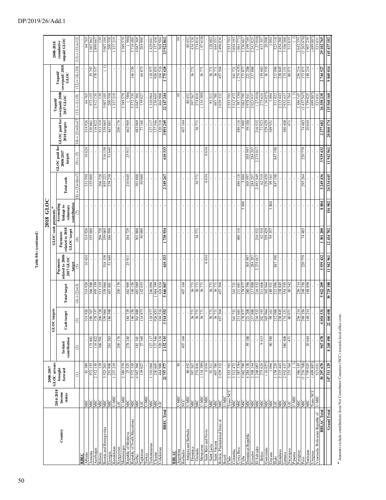|                                                  |                   | 2008-2017                  |                         |                        |                         |                                           |                                              | 2018 GLOC                                             |                      |                                       |                                               |                          |                                   |                           |
|--------------------------------------------------|-------------------|----------------------------|-------------------------|------------------------|-------------------------|-------------------------------------------|----------------------------------------------|-------------------------------------------------------|----------------------|---------------------------------------|-----------------------------------------------|--------------------------|-----------------------------------|---------------------------|
|                                                  | 2014-2018         | GLOC arrears               |                         | targets<br>GLOC        |                         |                                           | GLOC cash payments <sup>ar</sup>             |                                                       |                      |                                       |                                               | Unpaid/                  |                                   | 2008-2018                 |
| Country                                          | income<br>status  | brought<br>${\bf forward}$ | contribution<br>In-kind | target<br>Cash t       | <b>Total target</b>     | related to 2008-<br>2017 GLOC<br>Payments | related to $2018$<br>GLOC target<br>Payments | contribution<br>Accounting<br>linkage to<br>voluntary | Total cash           | GLOC paid for<br>2008-2017<br>targets | GLOC paid for (overpaid) 2008<br>2018 targets | 2017 GLOC                | (overpaid) 2018<br>Unpaid<br>GLOC | unpaid GLOC<br>cunulative |
|                                                  |                   | $\ominus$                  | $\widehat{\infty}$      |                        | $(4) = (2)+(3)$         | target<br>$\widehat{\mathcal{O}}$         | $\circledcirc$                               | $\varepsilon$                                         | $(8) = (5)+(6)+(7)$  | $(5) = (6)$                           | $10+6+(2)(6)+(7)$                             | $(11) = (1)-(9)$         | $(12) = (4)-(10)$                 | $(13) = (11)+(12)$        |
| Albania<br>RBEC                                  | МC                | 81389                      |                         | 14926                  | 314926                  | 16624                                     | 314926                                       |                                                       | 331550               | 16624                                 | 314926                                        | 64765                    |                                   | 64765                     |
| Armenia                                          | МC                | 972155                     | 175881                  | 90707                  | 366588                  |                                           | 155000                                       | $\bar{1}$                                             | 155000               |                                       | 330 881                                       | 972155                   | 35707                             | 1007862                   |
| Azerbaijan                                       | ЯC                | 2512130                    | 116822                  | 578 537                | 495359                  |                                           |                                              |                                                       |                      |                                       | 116822                                        | 2512130                  | 537<br>378                        | 2890667                   |
| <b>Belarus</b>                                   | МC                | 139                        | 306 591                 | 206728                 | 513319                  |                                           | 206728                                       | $\bar{1}$                                             | 206728               |                                       | 513319                                        | 139                      |                                   | 139                       |
| Bosnia and Herzegovina                           | МC                | 3 523 263                  |                         | 39064                  | 339064                  | 516158                                    | 339 065                                      |                                                       | 855 223              | 516158                                | 339 065                                       | 3 007 105                |                                   | 3 007 104                 |
| Georgia                                          | МC                | 251998                     | 281 283                 | 86598                  | 467881                  | 51 640                                    | 186598                                       | r.                                                    | 238 238              | 51 640                                | 467881                                        | 200 358                  |                                   | 200 358                   |
| Kazakhstan                                       | U-MIC             | 1237219                    |                         |                        |                         |                                           |                                              |                                                       |                      |                                       |                                               | 1237219                  |                                   | 1237219                   |
| Kyrgyzstan                                       | U-MIC<br>LIC      | 2389579                    | 200176                  |                        | 200176                  |                                           |                                              |                                                       |                      |                                       | 200 176                                       | 2389579                  |                                   | 2389579                   |
| Republic of Moldova<br>Montenegro                | ЙC                | 25325                      | 278 240                 | 84729                  | 462969                  | 25 911                                    | 184729                                       | $\mathbf{r}$                                          | 210 640              | 25 911<br>$\mathbf{I}$                | 462 969                                       | (586)                    |                                   | 586)                      |
| Republic of North Macedonia                      | МIС               | 5572330                    |                         | 146 156                | 146156                  |                                           |                                              | r.                                                    |                      |                                       |                                               | 5572330                  | 146156                            | 5718486                   |
| Serbia                                           | ЯK                | 998 LHO +                  | 181181                  | 888 108                | 483069                  |                                           | 301888                                       |                                                       | 888 105              |                                       | 483 069                                       | 4 047 366                |                                   | 4 047 366                 |
| <b>Tajikistan</b>                                | LIC               | 139 027                    | 27160                   | 114873                 | 142033                  |                                           | 50000                                        |                                                       | 50000                |                                       | 77 160                                        | 139 027                  | 64873                             | 203 900                   |
| Turkey                                           | U-MIC             |                            |                         |                        |                         |                                           |                                              |                                                       |                      | $\mathbf{r}$                          |                                               |                          |                                   |                           |
| Turkmenistan                                     | <b>MIC</b>        | 1310064                    | 127 117                 | 118977                 | 246 094                 |                                           |                                              |                                                       |                      |                                       | 127 117                                       | 1310064                  | 118977                            | 1429041                   |
| Ukraine                                          | <b>SIT</b>        | 230 605                    | 137546<br>320318        | 104516<br>26853        | 064399<br>424834        |                                           |                                              | i.                                                    |                      |                                       | 546<br>320 318<br>$\overline{137}$            | 230 605<br>464988        | 104516<br>926853                  | 157458                    |
| RBEC Total<br>Uzbekistan                         |                   | 464 988<br>22 757 577      | 2152315                 | 514552<br>3            | 5 666 867               | 610333                                    | 738934                                       | $\mathbf{I}$                                          | 2 349 267            | 610333                                | 3891249                                       | 22 147 244               | 1775618                           | 23 922 862                |
|                                                  |                   |                            |                         |                        |                         |                                           |                                              |                                                       |                      |                                       |                                               |                          |                                   |                           |
| RBLAC                                            |                   |                            |                         |                        |                         |                                           |                                              |                                                       |                      |                                       |                                               |                          |                                   |                           |
| Argentina                                        | U-MIC             | 59                         |                         |                        |                         |                                           |                                              |                                                       |                      |                                       |                                               | 59                       |                                   | 59                        |
| Antigua and Barbuda<br>Barbados                  | U-MIC<br>NCC      | 80452                      | 407164                  |                        | 407164                  |                                           | $\bar{1}$                                    | $\mathbf{r}$                                          | $\,$                 |                                       | 407164                                        | 80452                    |                                   | 80452                     |
| Dominica                                         | ЫC                | 397567                     |                         | 36771                  | 36771                   |                                           |                                              |                                                       |                      |                                       |                                               | 397 567                  | 36771                             | 434338                    |
| Grenada                                          | MIC               | 274816                     |                         | 36771                  | 36771                   |                                           | 36771                                        |                                                       | 36771                |                                       | 36771                                         | 274816                   |                                   | 274816                    |
| Montserrat                                       | U-MIC<br>U-MIC    | 134 389)                   |                         | 36771                  | 36771                   |                                           |                                              |                                                       |                      |                                       |                                               | (134389)                 | 36771                             | (97618)                   |
| Saint Kitts and Nevis                            |                   | 6634                       | $\mathbf{I}$            |                        |                         | 6634                                      | $\bar{1}$                                    | $\mathbf{I}$                                          | 6634                 | 6634                                  | ł.                                            |                          |                                   |                           |
| Saint Lucia                                      | МC                | 91311                      |                         | 36771                  | 36771                   |                                           |                                              |                                                       |                      |                                       |                                               | 91 31 I                  | 36771                             | 128 082                   |
| Saint Vincent                                    | МC                | 607780                     |                         | 171<br>36 <sup>°</sup> | 771<br>36               |                                           |                                              |                                                       | r.                   |                                       | r.                                            | 780<br>607               | F<br>36                           | 644551                    |
| Bolivia, Plurinational State of<br>Brazil        | U-MIC<br>МC       | 2039332                    |                         | 57504                  | 457504                  |                                           |                                              |                                                       | $\mathbf{I}$         |                                       |                                               | 2039332                  | 457504                            | 2496836                   |
| Ğ                                                | Trans NCC         | 2553793                    |                         |                        |                         |                                           |                                              | $\mathbf{r}$                                          | $\mathbf{r}$         |                                       |                                               | 2553793                  |                                   | 2553793                   |
| Colombia                                         | МC                | 3312472                    |                         | 341721                 | 341721                  |                                           |                                              |                                                       |                      | J.                                    |                                               | 3312472                  | 341721                            | 3654193                   |
| Costa Rica                                       | МC                | (387,336)                  |                         | 211681                 | 681<br>211              |                                           | 486116                                       |                                                       | 486116               | í.                                    | 486 116                                       | (387336)                 | 274 435)                          | (661771                   |
| Cuba                                             | МIС               | 3 062 790                  |                         | 78877                  | 178877                  |                                           |                                              | 5000                                                  |                      |                                       | 5 000                                         | 3 062 790                | 173 877                           | 3236667                   |
| Dominican Republic                               | <b>NIC</b><br>NIC | 4284138                    | 59188                   | 221 208                | 280396                  | 305 597                                   |                                              |                                                       | 305 597              | 305 597                               | 59188                                         | 3978541                  | 221 208                           | 4199749                   |
| El Salvador<br>Ecuador                           | МC                | 2 308 144                  |                         | 217888                 | 888<br>216532<br>217    | 2 275 017<br>284 207                      | 216532                                       | $\,$                                                  | 2 491 549<br>284 207 | 2 275 017<br>284 207                  | 216 532                                       | 2023937                  | 217888                            | (27010)<br>2241825        |
| Belize                                           | ЯC                | 2 248 007                  | 9413                    | 216532<br>202 193      | 606<br>$\overline{211}$ |                                           | 62510                                        |                                                       | 62510                |                                       | 923                                           | $\frac{(27010)}{275624}$ | 139 683                           | 415 307                   |
| Guatemala                                        | МC                | (16027)                    |                         | 365964                 | 365 964                 |                                           | 329 429                                      |                                                       | 329 429              |                                       | 329 429                                       | (16027)                  | 36535                             | 20508                     |
| Guyana                                           | ЯC                | 1094                       | 90390                   | 99 161                 | 189551                  |                                           | 95357                                        | 3804                                                  | 99 161               |                                       | 189551                                        | 1094                     |                                   | 1094                      |
| Haiti                                            | LIC               | 158220                     |                         | 212096                 | 212096                  | 847198                                    |                                              |                                                       | 847198               | 847 198                               |                                               | 311022                   | 212096                            | 523 118                   |
| Honduras                                         | ЯK<br>ЯC          | 2 215 443<br>2932437       | 380 408                 | 238845<br>151 b7       | 238845<br>554559        |                                           |                                              |                                                       |                      |                                       | 380 408                                       | 2 215 443<br>2932437     | 238845<br>174151                  | 2454288<br>3106588        |
| Nicaragua<br>Jamaica                             | ЦC                | 233764                     | 471                     | 80071                  | 80 542                  |                                           |                                              |                                                       |                      |                                       | 471                                           | 233764                   | 80071                             | 313835                    |
| Panama                                           | U-MIC             |                            |                         |                        |                         |                                           |                                              | $\mathbf{r}$                                          | $\mathbf{r}$         | $\mathbf{r}$                          |                                               |                          |                                   |                           |
| Paraguay                                         | МIC               | 2386145                    |                         | 56214                  | 256 214                 |                                           |                                              | í.                                                    |                      |                                       |                                               | 2386145                  | 256214                            | 2642359                   |
| Peru                                             | МC                | (1216768)                  |                         | 248 356                | 248 356                 | 220779                                    | 74 485                                       | $\bar{1}$                                             | 295 264              | 220 779                               | 74 485                                        | (1437547)                | 173871                            | (1263676)                 |
| Suriname                                         | ЯC                | 1759025                    | 20 644                  | 48214                  | 168858                  |                                           |                                              |                                                       |                      |                                       | 20 644                                        | 1759025                  | 148 214                           | 1907239                   |
| Uruguay                                          | Trans NCC         | (699887)                   |                         |                        |                         |                                           |                                              |                                                       |                      |                                       |                                               | (699887)                 |                                   | (699887)                  |
| Venezuela, Bolivarian Republic of<br>RBLAC Total | U-MIC             | 30 297 670<br>523031       | 967 678                 | 54531<br>$\frac{1}{4}$ | 5 022 209               | 3939432                                   | 1301200                                      | 8804                                                  | 5 249 436            | 3939432                               | 2277 682                                      | 26358238<br>523031       | 2744527                           | 523031<br>29 102 765      |
|                                                  |                   |                            |                         |                        |                         |                                           |                                              |                                                       |                      |                                       |                                               |                          |                                   |                           |
| <b>Grand Total</b>                               |                   | 147511129                  | 8268490                 | 22 460 698             | 30729188                | 11942961                                  | 12434702                                     | 156982                                                | 24 534 645           | 11942961                              | 20860174                                      | 135 568 168              | 9869 014                          | 145 437 182               |

Table 8(b) (continued) **Table 8(b) (continued)**

> $\omega$  Amounts exclude contributions from Net Contributor Countries (NCC) towards local office costs. **a/** Amounts exclude contributions from Net Contributor Countries (NCC) towards local office costs.

Grand Total| | |47.51.11.29| 8.268.490| 22.460.698| 307.29.188| I1.942.961| 12.434-702| 156.983| 24.534.645| 20.860.174| I35.568.168| 9.869.014| I45.1182.1182.1182.1182.1182.1182.1182.11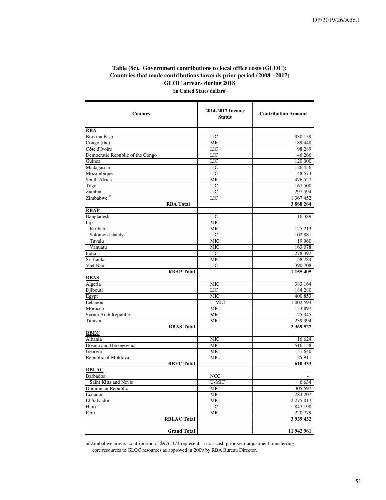╕

# **Table (8c). Government contributions to local office costs (GLOC): Countries that made contributions towards prior period (2008 - 2017) GLOC arrears during 2018**

**(in United States dollars)** ℸ

┯

| Country                          | 2014-2017 Income<br><b>Status</b> | <b>Contribution Amount</b> |
|----------------------------------|-----------------------------------|----------------------------|
| <b>RBA</b>                       |                                   |                            |
| <b>Burkina Faso</b>              | LIC                               | 930 159                    |
| $\overline{Congo}$ (the)         | <b>MIC</b>                        | 189 448                    |
| Côte d'Ivoire                    | <b>LIC</b>                        | 98 289                     |
| Democratic Republic of the Congo | LIC                               | 46 266                     |
| Guinea                           | <b>LIC</b>                        | 120 000                    |
| Madagascar                       | <b>LIC</b>                        | 126 456                    |
| Mozambique                       | <b>LIC</b>                        | 48 573                     |
| South Africa                     | MIC                               | 476 527                    |
| Togo                             | LIC                               | 167 500                    |
| Zambia                           | LIC                               | 297 594                    |
| Zimbabwe <sup>a/</sup>           | LIC                               | 1 367 452                  |
| <b>RBA Total</b>                 |                                   | 3868264                    |
| <b>RBAP</b>                      |                                   |                            |
| Bangladesh                       | <b>LIC</b>                        | 16 389                     |
| Fiji                             | <b>MIC</b>                        |                            |
| Kiribati                         | <b>MIC</b>                        | 125 213                    |
| Solomon Islands                  | <b>LIC</b>                        | 102 881                    |
| Tuvalu                           | <b>MIC</b>                        | 19 960                     |
| Vanuatu                          | <b>MIC</b>                        | 163 078                    |
| India                            | <b>LIC</b>                        | 278 392                    |
| Sri Lanka                        | <b>MIC</b>                        | 58 784                     |
| Viet Nam                         | <b>LIC</b>                        | 390 708                    |
| <b>RBAP Total</b>                |                                   | 1 155 405                  |
| <b>RBAS</b>                      |                                   |                            |
| Algeria                          | <b>MIC</b>                        | 383 164                    |
| Djibouti                         | LIC                               | 184 280                    |
| Egypt                            | <b>MIC</b>                        | 400 853                    |
| Lebanon                          | U-MIC                             | 1 002 594                  |
| Morocco                          | <b>MIC</b>                        | 133 897                    |
| Syrian Arab Republic             | <b>MIC</b>                        | 25 3 45                    |
| Tunisia                          | <b>MIC</b>                        | 239 394                    |
| <b>RBAS Total</b>                |                                   | 2 3 69 5 27                |
| <b>RBEC</b>                      |                                   |                            |
| Albania                          | <b>MIC</b>                        | 16 624                     |
| Bosnia and Herzegovina           | <b>MIC</b>                        | 516 158                    |
| Georgia                          | <b>MIC</b>                        | 51 640                     |
| Republic of Moldova              | <b>MIC</b>                        | 25 911                     |
| <b>RBEC Total</b>                |                                   | 610 333                    |
| <b>RBLAC</b>                     |                                   |                            |
| <b>Barbados</b>                  | <b>NCC</b>                        |                            |
| Saint Kitts and Nevis            | U-MIC                             | 6 6 3 4                    |
| Dominican Republic               | $\overline{\text{MIC}}$           | 305 597                    |
| Ecuador                          | <b>MIC</b>                        | 284 207                    |
| El Salvador                      | <b>MIC</b>                        | 2 275 017                  |
| Haiti                            | LIC                               | 847 198                    |
| Peru                             | <b>MIC</b>                        | 220 779                    |
| <b>RBLAC Total</b>               |                                   | 3 939 432                  |
|                                  |                                   |                            |
| <b>Grand Total</b>               |                                   | 11 942 961                 |

a/ Zimbabwe arrears contribution of \$976,371 represents a non-cash prior year adjustment transferring core resources to GLOC resources as approved in 2009 by RBA Bureau Director.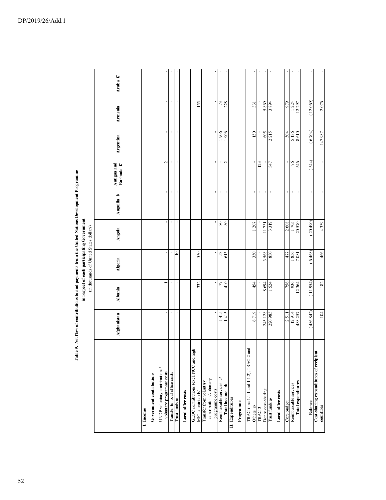|                                                                       |                |         | (in thousands of United States dollars) |                      |                |                          |                           |                              |         |
|-----------------------------------------------------------------------|----------------|---------|-----------------------------------------|----------------------|----------------|--------------------------|---------------------------|------------------------------|---------|
|                                                                       | Afghanistan    | Albania | Algeria                                 | Angola               | Anguilla f/    | Antigua and<br>Barbuda f | Argentina                 | Armenia                      | Aruba f |
| I. Income                                                             |                |         |                                         |                      |                |                          |                           |                              |         |
| Government contributions                                              |                |         |                                         |                      |                |                          |                           |                              |         |
| UNDP voluntary contributions/<br>voluntary programme costs            | $\blacksquare$ |         | ı                                       | ı                    |                | $\sim$                   | $\blacksquare$            |                              |         |
| Transfer to local office costs                                        |                |         |                                         |                      |                |                          |                           | $\mathbf{r}$<br>$\mathbf{r}$ |         |
| Trust funds a/                                                        |                |         | $\equiv$                                | ı                    |                |                          | $\blacksquare$            | $\overline{\phantom{a}}$     |         |
| Local office costs                                                    |                |         |                                         |                      |                |                          |                           |                              |         |
| GLOC contributions (excl. NCC and high<br>MIC countries) b/           |                | 332     | 550                                     | $\pmb{\cdot}$        |                | ı                        | $\mathbf{I}$              | 155                          |         |
| contributions/voluntary<br>Transfer from voluntary<br>programme costs |                | ٠       |                                         | ×                    |                |                          |                           | $\,$                         |         |
| Reimbursable services c/                                              | 415            | 77      | 53                                      | $\!\!98$             |                |                          | 1906                      | 73                           |         |
| Total income d/                                                       | 1415           | 410     | 613                                     | 80                   |                | 2                        | 1906                      | 228                          |         |
| II. Expenditures<br>Programme                                         |                |         |                                         |                      |                |                          |                           |                              |         |
| TRAC (line 1.1.1 and 1.1.2), TRAC 2 and<br>Others e/                  | 6719           | 454     | 350                                     | 1207                 |                |                          | 150                       | 331                          |         |
| TRAC <sub>3</sub>                                                     |                |         |                                         |                      |                | 123                      |                           |                              |         |
| Donor cost-sharing                                                    | 245 128        | 8694    | 3568                                    | 11731                |                |                          | 605                       | 5869                         |         |
| Trust funds a/                                                        |                | 524     | 830                                     | 319<br>$\epsilon$    |                | 347                      | 215<br>$\mathbf{\hat{c}}$ | 3894                         |         |
| Local office costs                                                    |                |         |                                         |                      |                |                          |                           |                              |         |
| Core budget                                                           | 2511           | 756     | 477                                     | 2608                 |                |                          | 504                       | 979                          |         |
| Reimbursable services                                                 | 12914          | 936     | 1856                                    | $\frac{1705}{20570}$ |                | $\gamma$                 | 5136                      | .224                         |         |
| Total expenditures                                                    | 488 257        | 12364   | 7081                                    |                      |                | 546                      |                           | 12297                        |         |
| Balance                                                               | (486842)       | (11954) | (6468)                                  | (20490)              | $\blacksquare$ | (544)                    | (6704)                    | (12069)                      |         |
| Cost-sharing expenditures of recipient<br>countries                   | 104            | 182     | 466                                     | 4339                 |                | $\mathbf{r}$             | 147 987                   | 2076                         |         |

Table 9. Net flow of contributions to and payments from the United Nations Development Programme<br>in respect of each participating Government **Table 9. Net flow of contributions to and payments from the United Nations Development Programme**

 **in respect of each participating Government**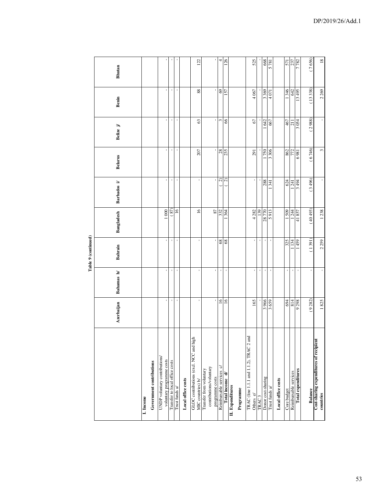|                                                                       |                |                | Table 9 (continued) |                 |                         |                |                |                |                |
|-----------------------------------------------------------------------|----------------|----------------|---------------------|-----------------|-------------------------|----------------|----------------|----------------|----------------|
|                                                                       | Azerbaijan     | Bahamas h/     | <b>Bahrain</b>      | Bangladesh      | Barbados i/             | <b>Belarus</b> | Belize $j$     | Benin          | <b>Bhutan</b>  |
| Government contributions<br>I. Income                                 |                |                |                     |                 |                         |                |                |                |                |
|                                                                       |                |                |                     |                 |                         |                |                |                |                |
| UNDP voluntary contributions/<br>voluntary programme costs            |                |                | $\blacksquare$      | 1000            |                         |                | $\,$           |                |                |
| Transfer to local office costs                                        |                |                |                     | $\binom{87}{ }$ |                         |                |                | t              |                |
| Trust funds a/                                                        | $\blacksquare$ | $\blacksquare$ | $\blacksquare$      | $\overline{16}$ | $\blacksquare$          | $\blacksquare$ | $\blacksquare$ | $\blacksquare$ |                |
| Local office costs                                                    |                |                |                     |                 |                         |                |                |                |                |
| GLOC contributions (excl. NCC and high<br>MIC countries) b/           | $\blacksquare$ | $\mathbf{I}$   | $\mathbf{r}$        | $\overline{16}$ |                         | 207            | 63             | $88\,$         | 122            |
| contributions/voluntary<br>Transfer from voluntary<br>programme costs | ı              | ×,             | ı.                  | 87              |                         |                | ٠              |                | ı              |
| Reimbursable services c/                                              | $\frac{6}{2}$  |                | 68                  | 332             | ର                       | 28             | 3              | 69             | 4              |
| Total income d/                                                       | $\frac{91}{2}$ |                | 68                  | 364             | $\widehat{\mathcal{L}}$ | 235            | 66             | 157            | 126            |
| II. Expenditures                                                      |                |                |                     |                 |                         |                |                |                |                |
| Programme                                                             |                |                |                     |                 |                         |                |                |                |                |
| TRAC (line 1.1.1 and 1.1.2), TRAC 2 and<br>Others e/                  | 165            |                | $\mathbf{I}$        | 4 28 2          |                         | 291            | $\sqrt{6}$     | 4 0 6 7        | 525            |
| TRAC <sub>3</sub>                                                     |                | $\,$           | $\mathbf{I}$        | 139             |                         |                |                |                |                |
| Donor cost-sharing                                                    | 3966           |                |                     | 28770           | 288                     | 750            | 642            | 3369           | 668            |
| Trust funds a/                                                        | 3659           |                |                     | 5913            | 341                     | 3306           | 667            | 4071           | 5781           |
| Local office costs                                                    |                |                |                     |                 |                         |                |                |                |                |
| Core budget                                                           | 694            |                | 325                 | 1509            | 624                     | 862            | 467            | 346            | 571            |
| Reimbursable services                                                 | 814            |                | 134                 | 1244            | 141                     | 772            | <b>117</b>     | 642            | 237            |
| <b>Total expenditures</b>                                             | 9298           | ï              | 1459                | 41857           | <b>16t g</b>            | 1869           | 3054           | 13 495         | 7782           |
| <b>Balance</b>                                                        | (9282)         | $\mathbf{I}$   | (1391)              | (40493)         | (3496)                  | (6746)         | (2988)         | (13338)        | (7656)         |
| Cost-sharing expenditures of recipient<br>countries                   | 1825           | $\,$           | 2259                | 1238            |                         | 3              | $\mathbf{r}$   | 2269           | $\frac{8}{18}$ |

ŧ  $\frac{1}{2}$ Table<sup>1</sup>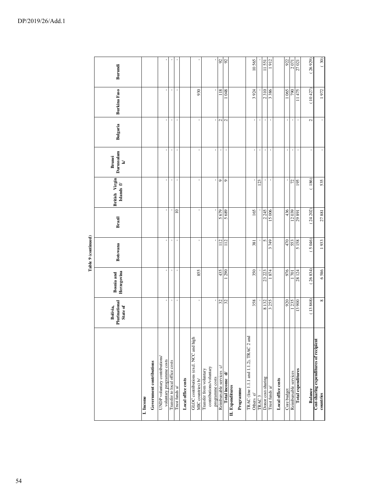|                                                             |                                       |                                  | Table 9 (continued) |             |                              |                                                        |                |                     |         |
|-------------------------------------------------------------|---------------------------------------|----------------------------------|---------------------|-------------|------------------------------|--------------------------------------------------------|----------------|---------------------|---------|
|                                                             | Plurinational<br>Bolivia,<br>State of | Herzegovina<br><b>Bosnia</b> and | <b>Botswana</b>     | Brazil      | British Virgin<br>Islands f/ | Darussalam<br><b>Brunei</b><br>$\overline{\mathbf{z}}$ | Bulgaria       | <b>Burkina Faso</b> | Burundi |
| I. Income                                                   |                                       |                                  |                     |             |                              |                                                        |                |                     |         |
| Government contributions                                    |                                       |                                  |                     |             |                              |                                                        |                |                     |         |
| UNDP voluntary contributions/<br>voluntary programme costs  | ı,                                    |                                  |                     |             |                              |                                                        |                |                     |         |
|                                                             |                                       |                                  |                     |             |                              |                                                        | ı              | ı                   |         |
| Transfer to local office costs                              | J.                                    |                                  |                     |             | J.                           | J.                                                     |                |                     |         |
| Trust funds $\mathbf{a}^{\prime}$                           | $\bar{1}$                             |                                  |                     | $\supseteq$ | ï                            | ï                                                      |                |                     |         |
| Local office costs                                          |                                       |                                  |                     |             |                              |                                                        |                |                     |         |
| GLOC contributions (excl. NCC and high<br>MIC countries) b/ | $\mathbf{I}$                          | 855                              |                     |             |                              |                                                        |                | 930                 |         |
| contributions/voluntary<br>Transfer from voluntary          |                                       |                                  |                     |             |                              |                                                        |                |                     |         |
| programme costs                                             |                                       |                                  |                     |             |                              |                                                        |                |                     |         |
| Reimbursable services c/                                    | $\mathfrak{L}$                        | 435                              | 112                 | 5679        | $\circ$                      | $\blacksquare$                                         | $\mathbf{C}$   | 118                 | 92      |
| Total income d/                                             | 32                                    | 290                              | $\frac{2}{11}$      | 5689        | o                            | J.                                                     | $\mathbf{C}$   | <b>980</b>          | 92      |
| II. Expenditures                                            |                                       |                                  |                     |             |                              |                                                        |                |                     |         |
| Programme                                                   |                                       |                                  |                     |             |                              |                                                        |                |                     |         |
| TRAC (line 1.1.1 and 1.1.2), TRAC 2 and<br>Others e/        | 358                                   | 350                              | 381                 | 165         |                              |                                                        |                | 3924                | 10565   |
| TRAC <sub>3</sub>                                           |                                       |                                  |                     |             | 123                          | ï                                                      |                |                     |         |
| Donor cost-sharing                                          | 8132                                  | 23 223                           | 5                   | 2245        |                              | $\,$                                                   |                | 2310                | 11551   |
| Trust funds a/                                              | 3255                                  | 1874                             | 3749                | 15006       |                              |                                                        |                | 3386                | 1912    |
| Local office costs                                          |                                       |                                  |                     |             |                              |                                                        |                |                     |         |
| Core budget                                                 | 920                                   | 976                              | 470                 | 436         |                              | $\blacksquare$                                         | J.             | 1065                | 922     |
| Reimbursable services                                       | 1235                                  | 701                              | 553                 | 12039       | 72                           |                                                        |                | <b>D6L</b>          | 2071    |
| <b>Total expenditures</b>                                   | 13 900                                | 28 124                           | 5158                | 29891       | 195                          |                                                        |                | 11475               | 27021   |
| <b>Balance</b>                                              | (13868)                               | (26834)                          | (5046)              | (24202)     | 186)                         |                                                        | $\mathbf{C}$   | (10427)             | 26929   |
| Cost-sharing expenditures of recipient<br>countries         | ${}^{\circ}$                          | 6586                             | 1933                | 27881       | 535                          |                                                        | $\blacksquare$ | 1972                | (30)    |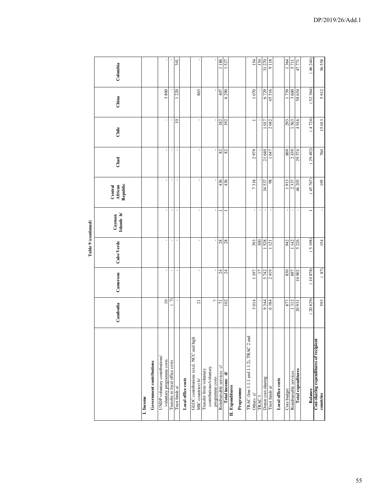|                     | Cambodia                       | Government contributions | UNDP voluntary contributions/ | $\approx$<br>voluntary programme costs | Ļ<br>Transfer to local office costs | $\mathbf{I}$   | Local office costs | $\overline{z}$<br>GLOC contributions (excl. NCC and high<br>MIC countries) b/ | contributions/voluntary<br>Transfer from voluntary | $\overline{ }$<br>programme costs | 17<br>Reimbursable services c/ | 102<br>Total income d/ |  | TRAC (line 1.1.1 and 1.1.2), TRAC 2 and | 3014 | 9344         | 6384<br>Donor cost-sharing | Local office costs | 877  | 1312<br>Reimbursable services | 20931<br><b>Total expenditures</b> | (20829) | Cost-sharing expenditures of recipient |
|---------------------|--------------------------------|--------------------------|-------------------------------|----------------------------------------|-------------------------------------|----------------|--------------------|-------------------------------------------------------------------------------|----------------------------------------------------|-----------------------------------|--------------------------------|------------------------|--|-----------------------------------------|------|--------------|----------------------------|--------------------|------|-------------------------------|------------------------------------|---------|----------------------------------------|
|                     | Cameroon                       |                          |                               |                                        |                                     | $\blacksquare$ |                    | $\mathbf{I}$                                                                  |                                                    |                                   | 24                             | 24                     |  |                                         | 1197 |              | 2419<br>5742               |                    | 830  | <b>L69</b>                    | 10902                              | (10878) | (87)                                   |
| Table 9 (continued) | Cabo Verde                     |                          |                               | $\,$                                   |                                     | $\blacksquare$ |                    | $\mathbf{r}$                                                                  |                                                    | ı.                                | 28                             | 28                     |  |                                         | 393  | 100          | 528<br>$\overline{5}$      |                    | 942  | 1142                          | 5226                               | (5198)  | 154                                    |
|                     | Islands h/<br>Cayman           |                          |                               |                                        |                                     |                |                    |                                                                               |                                                    | ı.                                |                                |                        |  |                                         |      |              |                            |                    |      |                               |                                    |         |                                        |
|                     | Central<br>African<br>Republic |                          |                               |                                        |                                     |                |                    |                                                                               |                                                    |                                   | 436                            | 436                    |  |                                         | 7318 |              | 98<br>34537                |                    | 1913 | 2337                          | 46 203                             | (45767) | 195                                    |
|                     | Chad                           |                          |                               |                                        |                                     | $\,$           |                    |                                                                               |                                                    |                                   | $82\,$                         | 82                     |  |                                         | 2979 |              | 21640<br>647               |                    | 869  | 2439                          | 29574                              | (29492) | 760                                    |
|                     | Chile                          |                          |                               | ı,                                     |                                     | $\approx$      |                    |                                                                               |                                                    |                                   | 182                            | 192                    |  |                                         |      | 1017         | 2042                       |                    | 293  | 1563                          | 916 +                              | (4724)  | 15013                                  |
|                     | China                          |                          |                               | 3800                                   |                                     | 1220           |                    | 863                                                                           |                                                    |                                   | 407                            | 6290                   |  |                                         | 1070 | 6729         | 45516                      |                    | 1739 | 3600                          | 58 654                             | 52364   | 5912                                   |
|                     | Colombia                       |                          |                               |                                        |                                     | 341            |                    |                                                                               |                                                    |                                   | 1186                           | 527                    |  |                                         | 154  | 154<br>31270 | 9118                       |                    | 1364 | 5711                          | 47771                              | 46 244) | 56558                                  |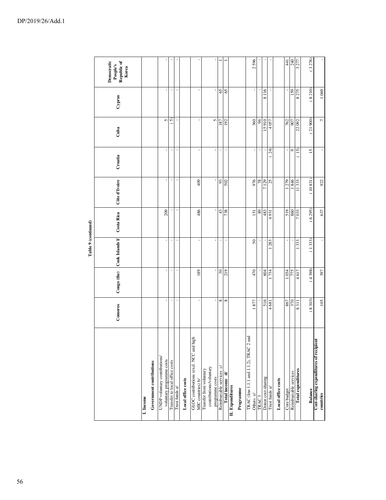|                                                                       |                           |             | Lable > (commed) |                 |               |                          |                |        |                                                |
|-----------------------------------------------------------------------|---------------------------|-------------|------------------|-----------------|---------------|--------------------------|----------------|--------|------------------------------------------------|
|                                                                       | Comoros                   | Congo (the) | Cook Islands I/  | Costa Rica      | Côte d'Ivoire | Croatia                  | Cuba           | Cyprus | Democratic<br>Republic of<br>Korea<br>People's |
| I. Income                                                             |                           |             |                  |                 |               |                          |                |        |                                                |
| Government contributions                                              |                           |             |                  |                 |               |                          |                |        |                                                |
| UNDP voluntary contributions/<br>voluntary programme costs            |                           |             |                  | 209             | í             | ï                        | 5              |        |                                                |
| Transfer to local office costs                                        |                           |             | ı                |                 | ı             | ı                        | ନ              | ı      |                                                |
| Trust funds a/                                                        |                           |             |                  |                 |               |                          |                |        |                                                |
| Local office costs                                                    |                           |             |                  |                 |               |                          |                |        |                                                |
| GLOC contributions (excl. NCC and high<br>MIC countries) b/           |                           | 189         |                  | 486             | 409           |                          |                |        |                                                |
| contributions/voluntary<br>Transfer from voluntary<br>programme costs |                           |             |                  |                 |               | $\blacksquare$           | $\mathbf{r}$   |        |                                                |
| Reimbursable services c/                                              | ${}^{\circ}$              | 30          | ı                | 43              | 93            | ï                        | 187            | 65     |                                                |
| Total income d/                                                       | ${}^{\circ}$              | 219         |                  | 738             | 502           | ï                        | 192            | 65     |                                                |
| II. Expenditures                                                      |                           |             |                  |                 |               |                          |                |        |                                                |
| Programme                                                             |                           |             |                  |                 |               |                          |                |        |                                                |
| TRAC (line 1.1.1 and 1.1.2), TRAC 2 and<br>Others e/                  | 877                       | 470         | 50               | $\overline{51}$ | 976           | ı                        | 360            |        | 2596                                           |
| TRAC <sub>3</sub>                                                     |                           |             |                  | 89              | 78            | ı                        | 96             |        |                                                |
| Donor cost-sharing                                                    | 516                       | 604         |                  | 483             | 129           |                          | 15910          | 8116   |                                                |
| Trust funds a/                                                        | 4681                      | 734         | 283              | 4931            | 25            | 24)                      | 4057           |        |                                                |
| Local office costs                                                    |                           |             |                  |                 |               |                          |                |        |                                                |
| Core budget                                                           | 867                       | 1034        |                  | 519             | 1279          | $\overline{\phantom{a}}$ | 762            |        | $\overline{4}$                                 |
| Reimbursable services                                                 | 370                       | 775         |                  | 860             | 846           | ç                        | 907            | 159    | 240                                            |
| <b>Total expenditures</b>                                             | $\overline{\frac{311}{}}$ | 4617        | 333              | 7033            | 11333         | 15)                      | 22092          | 8275   | 3277                                           |
| <b>Balance</b>                                                        | (8303)                    | (4398)      | (1333)           | (6295)          | (10831)       | 15                       | (21900)        | (8210) | (3276)                                         |
| Cost-sharing expenditures of recipient<br>countries                   | 105                       | 397         |                  | 637             | 922           | $\blacksquare$           | $\overline{ }$ | 1069   |                                                |

Table 9 (continued) **Table 9 (continued)**

DP/2019/26/Add.1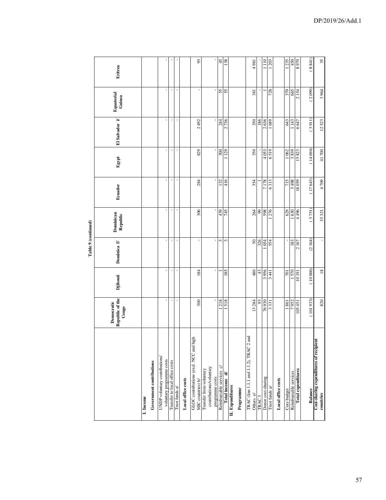|                                                                       |                                                    |                          | Table 9 (continued) |                       |         |            |                |                      |         |
|-----------------------------------------------------------------------|----------------------------------------------------|--------------------------|---------------------|-----------------------|---------|------------|----------------|----------------------|---------|
|                                                                       | Republic of the<br>Democratic<br>$_{\text{Congo}}$ | <b>Djibouti</b>          | Dominica f/         | Dominican<br>Republic | Ecuador | Egypt      | El Salvador i/ | Equatorial<br>Guinea | Eritrea |
| Government contributions<br>I. Income                                 |                                                    |                          |                     |                       |         |            |                |                      |         |
| UNDP voluntary contributions/<br>voluntary programme costs            |                                                    |                          |                     |                       |         |            |                |                      |         |
| Transfer to local office costs                                        |                                                    | J.                       |                     |                       |         | ×          | ×              |                      |         |
| Trust funds a/                                                        | ï                                                  | $\overline{\phantom{a}}$ |                     |                       |         |            | ï              |                      |         |
| Local office costs                                                    |                                                    |                          |                     |                       |         |            |                |                      |         |
| GLOC contributions (excl. NCC and high<br>MIC countries) b/           | 300                                                | 184                      |                     | 306                   | 284     | 829        | 2492           |                      | 93      |
| contributions/voluntary<br>Transfer from voluntary<br>programme costs |                                                    | $\,$                     |                     |                       |         |            |                |                      |         |
| Reimbursable services c/                                              | 218                                                |                          | 3                   | 439                   | 132     | 300        | 244            |                      | 45      |
| Total income d/                                                       | 1518                                               | 185                      | 3                   | 745                   | 416     | 1129       | 2736           | 55                   | 138     |
| II. Expenditures<br>Programme                                         |                                                    |                          |                     |                       |         |            |                |                      |         |
| TRAC (line 1.1.1 and 1.1.2), TRAC 2 and<br>Others e/                  | 13 284                                             | 480                      | 50                  | 264                   | 354     | 350        | 350            | 381                  | 4981    |
| TRAC <sub>3</sub>                                                     | 93                                                 | 43                       | 326                 | $^{99}$               |         |            | 186            |                      |         |
| Donor cost-sharing                                                    | 76930                                              | 3956                     | 1054                | 598                   | 7178    | 4053       | 2636           |                      | 1110    |
| Trust funds $\mathbf{a}^{\prime}$                                     | 3331                                               | 3441                     | 554                 | 1276                  | 6313    | 6519       | 1689           | 728                  | 1203    |
| Local office costs                                                    |                                                    |                          |                     |                       |         |            |                |                      |         |
| Core budget                                                           | 1861                                               | 1570                     |                     | 629                   | 715     | 1062       | 643            | 379                  | 1235    |
| Reimbursable services                                                 | 7952                                               |                          | 183                 | 1630                  | 867 8   | <b>688</b> | 1143           | 665                  | 450     |
| Total expenditures                                                    | 103451                                             | 10191                    | 2167                | 4496                  | 18059   | 15823      | 6647           | 2154                 | 8979    |
| <b>Balance</b>                                                        | (101933)                                           | (10006)                  | (2164)              | (3751)                | (17643) | (14694)    | (3911)         | (2099)               | (8841)  |
| Cost-sharing expenditures of recipient<br>countries                   | 820                                                | $\overline{18}$          |                     | 33 321                | 4709    | 41700      | 12523          | 3964                 | 35      |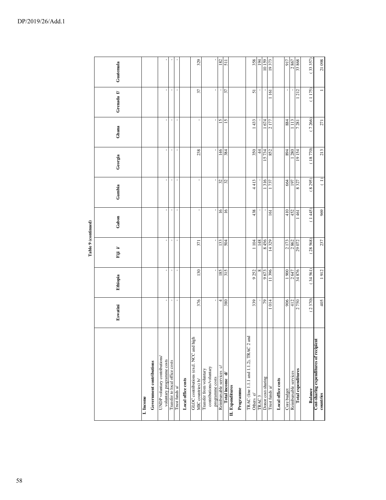|                                                                       |          |          | Table 9 (continued) |                 |                                   |               |                 |                |                  |
|-----------------------------------------------------------------------|----------|----------|---------------------|-----------------|-----------------------------------|---------------|-----------------|----------------|------------------|
|                                                                       | Eswatini | Ethiopia | Fiji i/             | Gabon           | Gambia                            | Georgia       | Ghana           | Grenada f      | Guatemala        |
| I. Income                                                             |          |          |                     |                 |                                   |               |                 |                |                  |
| Government contributions                                              |          |          |                     |                 |                                   |               |                 |                |                  |
| UNDP voluntary contributions/<br>voluntary programme costs            |          |          |                     |                 |                                   | ı             | ı               | ı              |                  |
| Transfer to local office costs                                        |          |          |                     | J.              | J.                                |               |                 |                |                  |
| Trust funds a/                                                        |          |          |                     | ï               | $\mathbf{I}$                      |               |                 | ï              |                  |
| Local office costs                                                    |          |          |                     |                 |                                   |               |                 |                |                  |
| GLOC contributions (excl. NCC and high<br>MIC countries) b/           | 376      | 130      | 371                 |                 |                                   | 238           |                 | 37             | 329              |
| contributions/voluntary<br>Transfer from voluntary<br>programme costs |          |          |                     |                 |                                   |               |                 | $\mathbf{r}$   |                  |
| Reimbursable services c/                                              | 4        | 185      | 133                 | $\overline{16}$ | 32                                | 146           | $\overline{5}$  | ı              | 182              |
| Total income d                                                        | 380      | 315      | 504                 | $\overline{6}$  | 32                                | 384           | $\overline{15}$ | 37             | $\overline{511}$ |
| II. Expenditures                                                      |          |          |                     |                 |                                   |               |                 |                |                  |
| Programme                                                             |          |          |                     |                 |                                   |               |                 |                |                  |
| TRAC (line 1.1.1 and 1.1.2), TRAC 2 and<br>Others e/                  | 339      | 9252     | 1104                | 438             | 4413                              | 350           | 1433            | 51             | 358              |
| TRAC <sub>3</sub>                                                     |          |          | 148                 |                 |                                   | $\frac{4}{4}$ |                 |                | 194              |
| Donor cost-sharing                                                    | 79       | 9673     | 8456                |                 | 316                               | 15734         | 1674            |                | 10159            |
| Trust funds a/                                                        | 014      | 11396    | 14329               | 161             | 737                               | 852           | 2177            | $\frac{16}{1}$ | 19373            |
| Local office costs                                                    |          |          |                     |                 |                                   |               |                 |                |                  |
| Core budget                                                           | 906      | 1900     | 2173                | 410             | 664                               | 894           | 884             | $\mathbf{I}$   | 917              |
| Reimbursable services                                                 | 412      | 2647     | 2862                | 452             | 197                               | 1280          | 1113            |                | 2867             |
| <b>Total expenditures</b>                                             | 2750     | 34876    | 29072               | 461             | 8327                              | 19154         | 7281            | 212            | 33868            |
| <b>Balance</b>                                                        | (2370)   | (34561)  | (28568)             | (1445)          | (8295)                            | (18770)       | (7266)          | (1175)         | 33 357)          |
| Cost-sharing expenditures of recipient<br>countries                   | 405      | 1912     | 237                 | 969             | $\begin{pmatrix} 1 \end{pmatrix}$ | 213           | 271             |                | 21098            |

DP/2019/26/Add.1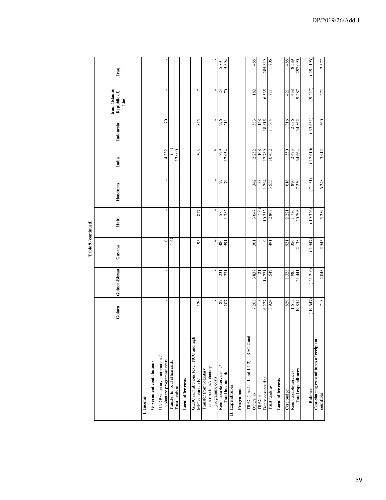|                                                                       |                |                | Table 9 (continued) |         |                |              |                 |                                              |              |
|-----------------------------------------------------------------------|----------------|----------------|---------------------|---------|----------------|--------------|-----------------|----------------------------------------------|--------------|
|                                                                       | Guinea         | Guinea-Bissau  | Guyana              | Haiti   | Honduras       | India        | Indonesia       | Iran, (Islamic<br>Republic of)<br>$^{(the)}$ | Iraq         |
| Government contributions<br>I. Income                                 |                |                |                     |         |                |              |                 |                                              |              |
| UNDP voluntary contributions/<br>voluntary programme costs            |                | $\,$           | $\supseteq$         |         |                | 4332         | $\overline{70}$ |                                              |              |
| Transfer to local office costs                                        |                |                |                     |         |                | $\triangleq$ |                 |                                              |              |
| Trust funds a/                                                        | $\blacksquare$ | $\blacksquare$ | ╤                   |         | $\blacksquare$ | 12000        | $\blacksquare$  |                                              |              |
| Local office costs                                                    |                |                |                     |         |                |              |                 |                                              |              |
| GLOC contributions (excl. NCC and high<br>MIC countries) b/           | 120            | $\mathbf{r}$   | 95                  | 847     |                | 393          | 845             | 47                                           |              |
| contributions/voluntary<br>Transfer from voluntary<br>programme costs |                | ı.             | 4                   |         |                | 4            |                 | ı                                            |              |
| $\tilde{\circ}$<br>Reimbursable services                              | $87\,$         | 231            | 486                 | 535     | 79             | 329          | 296             | 23                                           | 5894         |
| Total income d                                                        | 707            | 231            | 591                 | 382     | 97             | 17054        | $\overline{21}$ | $\sqrt{2}$                                   | <b>768 S</b> |
| II. Expenditures                                                      |                |                |                     |         |                |              |                 |                                              |              |
| Programme                                                             |                |                |                     |         |                |              |                 |                                              |              |
| TRAC (line 1.1.1 and 1.1.2), TRAC 2 and<br>Others e/                  | 7208           | 3837           | 361                 | 3647    | 342            | 2252         | 583             | 182                                          | 488          |
| TRAC <sub>3</sub>                                                     |                | ಸ              |                     | $\odot$ | 33             | 168          | 148             |                                              |              |
| Donor cost-sharing                                                    | 6277           | 14721          | $\circ$             | 10252   | 794            | 17789        | 18815           | 6535                                         | 285819       |
| Trust funds a/                                                        | 3924           | 549            | $\overline{16}$     | 2808    | 555            | 10432        | 364             | $\overline{11}$                              | 706          |
| Local office costs                                                    |                |                |                     |         |                |              |                 |                                              |              |
| Core budget                                                           | 829            | 1328           | 921                 | 2221    | 616            | 1550         | 1316            | 421                                          | 488          |
| Reimbursable services                                                 | 1613           | 985            | 356                 | 1786    | 068            | 2473         | 2636            | 1438                                         | 6858         |
| <b>Total expenditures</b>                                             | 19854          | 21 441         | 2138                | 20708   | 7230           | 34 664       | 34862           | 9287                                         | 297 090      |
| Balance                                                               | (19647)        | (21210)        | (1547)              | (19326) | (7151)         | (17610)      | (33651)         | (9217)                                       | 291196       |
| Cost-sharing expenditures of recipient<br>countries                   | 718            | $2.048$        | 2545                | 5289    | 6248           | 3912         | 560             | 272                                          | 2577         |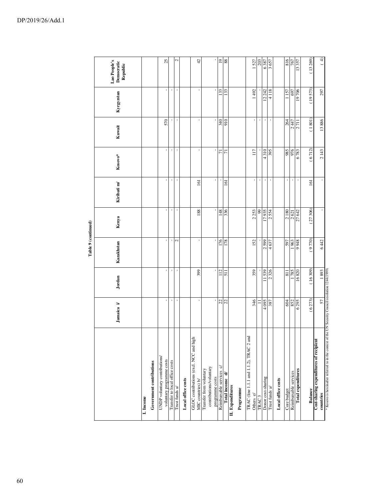|                                                                                                                  |            |                       | Table 9 (continued) |         |             |                |                |            |                                        |
|------------------------------------------------------------------------------------------------------------------|------------|-----------------------|---------------------|---------|-------------|----------------|----------------|------------|----------------------------------------|
|                                                                                                                  | Jamaica i/ | Jordan                | Kazakhstan          | Kenya   | Kiribati m/ | $Kosovo*$      | Kuwait         | Kyrgyzstan | Lao People's<br>Democratic<br>Republic |
| Government contributions<br>I. Income                                                                            |            |                       |                     |         |             |                |                |            |                                        |
| UNDP voluntary contributions/<br>voluntary programme costs                                                       |            |                       |                     |         |             | $\mathbf{I}$   | 570            |            | 25                                     |
| Transfer to local office costs                                                                                   |            | I                     | t                   |         | I           | J.             |                | t          |                                        |
| Trust funds a/                                                                                                   |            |                       | $\mathcal{L}$       |         |             | ı              |                |            | $\mathrel{\sim}$                       |
| Local office costs                                                                                               |            |                       |                     |         |             |                |                |            |                                        |
| GLOC contributions (excl. NCC and high<br>MIC countries) b/                                                      |            | 399                   |                     | 188     | 161         | ı              |                |            | 42                                     |
| contributions/voluntary<br>Transfer from voluntary<br>programme costs                                            |            |                       |                     |         |             |                |                |            |                                        |
| Reimbursable services c/                                                                                         |            | 112                   | 176                 | 148     |             | $\overline{7}$ | 340            | 133        | $\overline{0}$                         |
| Total income d/                                                                                                  | 22         | 511                   | 178                 | 336     | 161         | $\overline{7}$ | 910            | 133        | 88                                     |
| II. Expenditures<br>Programme                                                                                    |            |                       |                     |         |             |                |                |            |                                        |
|                                                                                                                  |            |                       |                     |         |             |                |                |            |                                        |
| TRAC (line 1.1.1 and 1.1.2), TRAC 2 and<br>Others e/                                                             | 346        | 359                   | 152                 | 2253    |             | 117            | t              | 1492       | 1527                                   |
| TRAC <sub>3</sub>                                                                                                | Ξ          |                       |                     | 99      | ٠           |                | $\blacksquare$ |            | 203                                    |
| Donor cost-sharing                                                                                               | 4095       | 11539                 | 2599                | 17935   |             | 4310           |                | 12 24 2    | 6387                                   |
| Trust funds $\mathbf{a}^{\prime}$                                                                                | 387        | 326<br>$\overline{c}$ | 4637                | 2554    |             | 395            |                | 4118       | 3657                                   |
| Local office costs                                                                                               |            |                       |                     |         |             |                |                |            |                                        |
| Core budget                                                                                                      | 604        | 811                   | 597                 | 2180    | J.          | 985            | 264            | 1157       | 816                                    |
| Reimbursable services                                                                                            | 852        | 1785                  | 963                 | 2621    |             | 976            | 2447           | 697        | 767                                    |
| <b>Total expenditures</b>                                                                                        | 6295       | 16820                 | 8766                | 27 642  |             | 6783           | 2711           | 19706      | 13357                                  |
| <b>Balance</b>                                                                                                   | (6273)     | (16309)               | (9770)              | (27306) | 161         | (6712)         | (1801)         | (19573)    | (13269)                                |
| Cost-sharing expenditures of recipient                                                                           |            |                       |                     |         |             |                |                |            |                                        |
| * Kosovo is hereinafter referred to in the context of the UN Security Council resolution 1244(1999)<br>countries | 57         | 1893                  | 6442                |         |             | 2143           | 13886          | 297        | (4)                                    |
|                                                                                                                  |            |                       |                     |         |             |                |                |            |                                        |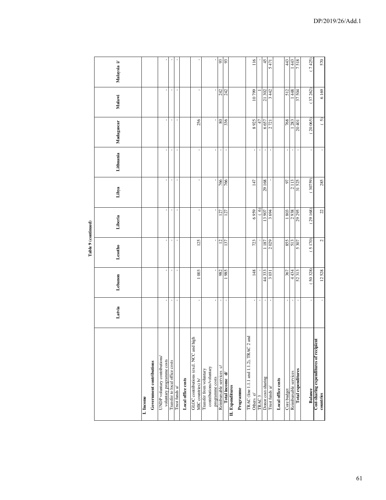$\epsilon$ ł.  $\bullet$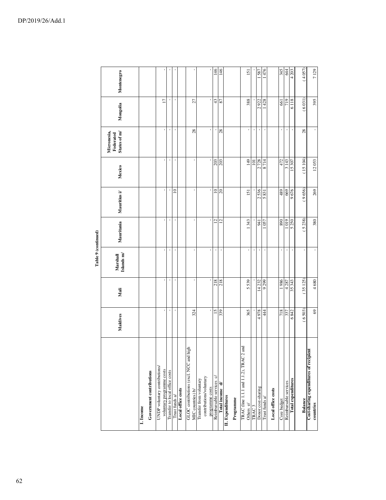|                     | Montenegro                               |                                       |                                                            |                                |                                   |                    | ı                                                           |                         |                                            | 146                      | 146             |                  |           | $\overline{5}$                                       |                   | 1587               | 476            |                    | 345         | 644                   | 4 203              | (4057)  | 7129                                                |
|---------------------|------------------------------------------|---------------------------------------|------------------------------------------------------------|--------------------------------|-----------------------------------|--------------------|-------------------------------------------------------------|-------------------------|--------------------------------------------|--------------------------|-----------------|------------------|-----------|------------------------------------------------------|-------------------|--------------------|----------------|--------------------|-------------|-----------------------|--------------------|---------|-----------------------------------------------------|
|                     | Mongolia                                 |                                       | $\overline{17}$                                            | $\,$                           |                                   |                    | 27                                                          |                         | J.                                         | 43                       | 78              |                  |           | 388                                                  |                   | 2922               | 1428           |                    | 661         | 719                   | 6118               | (6031)  | 395                                                 |
|                     | Micronesia,<br>States of m/<br>Federated |                                       | ı                                                          | $\,$                           | ×                                 |                    | 28                                                          |                         | ı                                          | $\blacksquare$           | 28              |                  |           | ı                                                    | ı                 | J.                 | ×              |                    | $\,$        |                       |                    | 28      | ı                                                   |
|                     | Mexico                                   |                                       |                                                            | $\,$                           |                                   |                    |                                                             |                         |                                            | $\frac{203}{203}$        |                 |                  |           | 149                                                  | 101               | 2728               | 8714           |                    | 472         | 3143                  | 15 307             | (15104) | 12053                                               |
|                     | Mauritius i/                             |                                       | J.                                                         | $\,$                           | $\approx$                         |                    | ı,                                                          |                         |                                            | $\supseteq$              | $\Omega$        |                  |           | 151                                                  |                   | 2536               | 5831           |                    | 489         | 669                   | 9676               | (9656)  | 269                                                 |
|                     | Mauritania                               |                                       |                                                            | $\,$                           |                                   |                    | ٠                                                           |                         |                                            | $\overline{c}$           | $\overline{c}$  |                  |           | 343                                                  |                   | 941                | 057            |                    | 068         | 1019                  | 5250               | (5238)  | 380                                                 |
| Table 9 (continued) | Islands m/<br>Marshall                   |                                       | ×                                                          | $\blacksquare$                 |                                   |                    | ı,                                                          |                         | ×                                          |                          |                 |                  |           | $\blacksquare$                                       |                   |                    | $\blacksquare$ |                    | ×           |                       |                    |         |                                                     |
|                     | Mali                                     |                                       |                                                            | $\blacksquare$                 |                                   |                    |                                                             |                         |                                            | 218                      | 218             |                  |           | 5539                                                 |                   | 14232              | 9299           |                    | 986 1       | 4287                  | 35 343             | (35125) | 4680                                                |
|                     | Maldives                                 |                                       |                                                            | $\,$                           |                                   |                    | 324                                                         |                         |                                            | $\overline{15}$          | 339             |                  |           | 365                                                  |                   | 4978               | 44             |                    | 718         | 337                   | 6842               | (6503)  | $\mathcal{S}^3$                                     |
|                     |                                          | Government contributions<br>I. Income | UNDP voluntary contributions/<br>voluntary programme costs | Transfer to local office costs | Trust funds $\mathbf{a}^{\prime}$ | Local office costs | GLOC contributions (excl. NCC and high<br>MIC countries) b/ | Transfer from voluntary | contributions/voluntary<br>programme costs | Reimbursable services c/ | Total income d/ | II. Expenditures | Programme | TRAC (line 1.1.1 and 1.1.2), TRAC 2 and<br>Others e/ | TRAC <sub>3</sub> | Donor cost-sharing | Trust funds a/ | Local office costs | Core budget | Reimbursable services | Total expenditures | Balance | Cost-sharing expenditures of recipient<br>countries |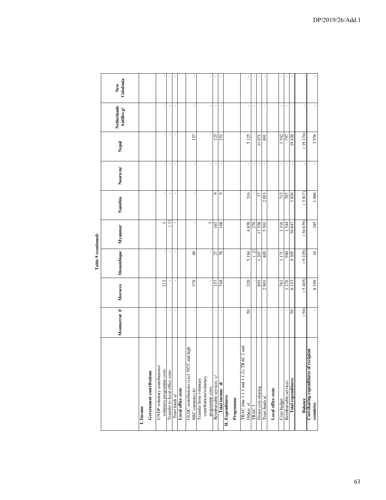|                                                                       |                 |              | Table 9 (continued) |               |                |                                       |                |                            |                  |
|-----------------------------------------------------------------------|-----------------|--------------|---------------------|---------------|----------------|---------------------------------------|----------------|----------------------------|------------------|
|                                                                       | Montserrat f/   | Morocco      | Mozambique          | Myanmar       | Namibia        | Nauru m/                              | Nepal          | Netherlands<br>Antilles g/ | Caledonia<br>New |
| Government contributions<br>I. Income                                 |                 |              |                     |               |                |                                       |                |                            |                  |
| UNDP voluntary contributions/<br>voluntary programme costs            |                 | 212          |                     |               | t.             | ï                                     |                |                            |                  |
| Transfer to local office costs                                        |                 |              |                     |               | $\blacksquare$ | $\blacksquare$                        | $\blacksquare$ |                            |                  |
| Trust funds a/                                                        | $\mathbf{I}$    | $\mathbf{I}$ |                     | $\,$          | $\blacksquare$ | $\blacksquare$                        | $\,$           | $\,$                       |                  |
| Local office costs                                                    |                 |              |                     |               |                |                                       |                |                            |                  |
| GLOC contributions (excl. NCC and high<br>MIC countries) b/           |                 | 379          | $\frac{49}{5}$      |               |                | ı                                     | 127            |                            |                  |
| contributions/voluntary<br>Transfer from voluntary<br>programme costs |                 |              |                     |               |                | $\mathbf{I}$                          |                |                            |                  |
| Reimbursable services c/                                              |                 | 157          |                     | 167           | Ò              | $\mathsf{I}\hspace{-1.5pt}\mathsf{I}$ | 125            | $\blacksquare$             |                  |
| Total income d/                                                       |                 | 748          | 27 %                | 168           | $\circ$        | ı                                     | 252            |                            |                  |
| II. Expenditures                                                      |                 |              |                     |               |                |                                       |                |                            |                  |
| Programme                                                             |                 |              |                     |               |                |                                       |                |                            |                  |
| $2$ and<br>TRAC (line 1.1.1 and 1.1.2), TRAC<br>Others e/             | $50\,$          | 320          | 5184                | 4658          | 316            | $\mathbf{I}$                          | 5125           |                            |                  |
| TRAC <sub>3</sub>                                                     |                 |              | $\binom{2}{ }$      | 270           |                | $\pmb{\cdot}$                         |                | ı                          |                  |
| Donor cost-sharing                                                    | ı,              | 895          | 1207                | 17558         | 37             | $\,$                                  | 11071          | $\blacksquare$             |                  |
| Trust funds a/                                                        |                 | 2901         | 805                 | 5501          | 2053           |                                       | 891            |                            |                  |
| Local office costs                                                    |                 |              |                     |               |                |                                       |                |                            |                  |
| Core budget                                                           |                 | 761          | 171                 | 1316          | 713            |                                       | 542            |                            |                  |
| Reimbursable services                                                 | $\mathbf{I}$    | 1276         | 940                 | 1544          | 707            | $\,$                                  | 797            | $\pmb{\cdot}$              |                  |
| Total expenditures                                                    | $\overline{50}$ | 6153         | 9305                | <b>78 087</b> | 3826           | ï                                     | 19426          | J.                         |                  |
| Balance                                                               | (50)            | (5405)       | (9229)              | (30679)       | (3817)         | $\blacksquare$                        | (19174)        | ï                          |                  |
| Cost-sharing expenditures of recipient<br>countries                   |                 | 8199         | $\frac{6}{2}$       | 285           | 1006           | $\blacksquare$                        | 3976           |                            |                  |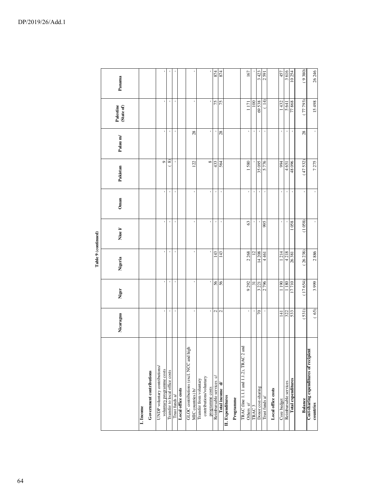|                                                             |                  |                |                | Table 9 (continued) |                |              |                |                                |        |
|-------------------------------------------------------------|------------------|----------------|----------------|---------------------|----------------|--------------|----------------|--------------------------------|--------|
|                                                             | Nicaragua        | Niger          | Nigeria        | Niue $V$            | Oman           | Pakistan     | Palau m/       | Palestine<br>(State of)        | Panama |
| Government contributions<br>I. Income                       |                  |                |                |                     |                |              |                |                                |        |
| UNDP voluntary contributions/<br>voluntary programme costs  |                  |                |                |                     | ı              | $\circ$      | ı              | ı                              |        |
| Transfer to local office costs                              | $\blacksquare$   | $\blacksquare$ | $\blacksquare$ | $\,$                | $\blacksquare$ | ଛ            | $\,$           | $\,$                           |        |
| Trust funds $\mathbf{a}^{\prime}$                           | ı                |                | J.             |                     | ×              |              | ×              | J.                             |        |
| Local office costs                                          |                  |                |                |                     |                |              |                |                                |        |
| GLOC contributions (excl. NCC and high<br>MIC countries) b/ | ı,               | ı,             |                |                     | ı              | 22           | 28             |                                |        |
| contributions/voluntary<br>Transfer from voluntary          |                  |                |                |                     |                | ${}^{\circ}$ |                |                                |        |
| Reimbursable services c/<br>programme costs                 | 2                | 56             | 143            |                     | ı<br>$\,$      | 433          | ı              | 75                             | 874    |
| Total income d/                                             | $\sim$           | 56             | 143            | $\blacksquare$      | ı              | 564          | $28$           | 75                             | 874    |
| II. Expenditures                                            |                  |                |                |                     |                |              |                |                                |        |
| Programme                                                   |                  |                |                |                     |                |              |                |                                |        |
| TRAC (line 1.1.1 and 1.1.2), TRAC 2 and<br>Others el        | ı                | 9292           | 2268           | 63                  | ı              | 1580         | $\,$           | 1171                           | 167    |
| TRAC <sub>3</sub>                                           | $\blacksquare$   | $\overline{5}$ | $\overline{c}$ |                     | ı              |              | ı              | 100                            |        |
| Donor cost-sharing                                          | $\approx$        | 3 2 2 1        | 14 208         |                     | $\mathbf{I}$   | 35095        | $\blacksquare$ | 69538                          | 3 423  |
| Trust funds a/                                              |                  | 2796           | 4461           | 995                 | t              | 5776         | ı              | (14)                           | 2591   |
| Local office costs                                          |                  |                |                |                     |                |              |                |                                |        |
| Core budget                                                 | $\overline{141}$ | 1190           | 1214           |                     | $\mathbf{I}$   | 994          | $\,$           | 1432                           | 457    |
| Reimbursable services                                       | 322              | 1180           | 4218           |                     | ı              | 4651         | $\,$           |                                | 3616   |
| Total expenditures                                          |                  | 17710          | 26381          | 1058                |                | 960 87       | J.             | $\frac{5}{77} \frac{641}{868}$ | 10254  |
| Balance                                                     | 531)             | (17654)        | (26238)        | (1058)              | ï              | (47532)      | 28             | 77 793)                        | (9380) |
| Cost-sharing expenditures of recipient<br>countries         | (65)             | 3999           | 2886           |                     | $\mathbf{r}$   | 7275         | $\mathbf{r}$   | 15 498                         | 26 246 |
|                                                             |                  |                |                |                     |                |              |                |                                |        |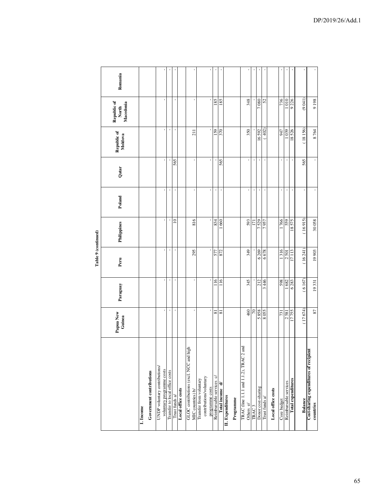|                                                             |                          |                | Lable 7 (collumed) |             |                     |                |                        |                                   |         |
|-------------------------------------------------------------|--------------------------|----------------|--------------------|-------------|---------------------|----------------|------------------------|-----------------------------------|---------|
|                                                             | Papua New<br>Guinea      | Paraguay       | Peru               | Philippines | Poland              | Qatar          | Republic of<br>Moldova | Republic of<br>Macedonia<br>North | Romania |
| I. Income                                                   |                          |                |                    |             |                     |                |                        |                                   |         |
| Government contributions                                    |                          |                |                    |             |                     |                |                        |                                   |         |
| UNDP voluntary contributions/                               |                          |                |                    |             |                     |                |                        |                                   |         |
| voluntary programme costs                                   |                          | $\mathbf{r}$   | $\mathbf{r}$       |             |                     |                |                        |                                   |         |
| Transfer to local office costs                              | ı                        | $\blacksquare$ | $\blacksquare$     |             |                     |                | $\,$                   |                                   |         |
| Trust funds $\mathbf{a}^{\prime}$                           | J.                       | $\blacksquare$ | ï                  | $\subseteq$ | $\blacksquare$      | 565            |                        |                                   |         |
| Local office costs                                          |                          |                |                    |             |                     |                |                        |                                   |         |
| GLOC contributions (excl. NCC and high<br>MIC countries) b/ |                          |                | 295                | 816         |                     |                | 211                    |                                   |         |
|                                                             |                          | $\mathbf{r}$   |                    |             | ı                   |                |                        |                                   |         |
| contributions/voluntary<br>Transfer from voluntary          |                          |                |                    |             |                     |                |                        |                                   |         |
| programme costs                                             | ï                        | $\mathbf{r}$   | ï                  |             | ı,                  | ×,             | ı                      |                                   | ı       |
| Reimbursable services c/                                    | $\overline{\phantom{0}}$ | $\leq$         | 577                | 834         | ı                   |                | <b>SSI</b>             | 185                               |         |
| Total income d/                                             | ವ                        | $\frac{8}{10}$ | 872                | 660         | $\,$                | 565            | 370                    | 185                               |         |
| II. Expenditures                                            |                          |                |                    |             |                     |                |                        |                                   |         |
| Programme                                                   |                          |                |                    |             |                     |                |                        |                                   |         |
| TRAC (line 1.1.1 and 1.1.2), TRAC 2 and                     |                          |                |                    |             |                     |                |                        |                                   |         |
| Others e/                                                   | 460                      | 345            | 349                | 593         | $\blacksquare$      | $\blacksquare$ | 350                    | 348                               |         |
| TRAC <sub>3</sub>                                           | $\approx$                |                |                    | Ξ           | $\,$                | $\mathbf{I}$   |                        |                                   |         |
| Donor cost-sharing                                          | 5888                     | 212            | 6269               | 7529        | ï                   | J.             | 16592                  | 7080                              |         |
| Trust funds a/                                              | 8055                     | 446            | 6678               | 7957        | ï                   |                | 402)                   | 52                                |         |
| Local office costs                                          |                          |                |                    |             |                     |                |                        |                                   |         |
| Core budget                                                 | 731                      | 598            | 1316               | 766         | $\blacksquare$      | J.             | <b>LF6</b>             | 736                               | ı       |
| Reimbursable services                                       | 2581                     | 1682           | 2501               | 559         |                     |                | 1 039                  | 1010                              |         |
| Total expenditures                                          | 17755                    | 6283           | 17113              | 18575       |                     |                | 18526                  | 9226                              |         |
| Balance                                                     | (17674)                  | (6167)         | (16241)            | (16915)     | ï                   | 565            | (18156)                | (9041)                            |         |
| Cost-sharing expenditures of recipient                      |                          |                |                    |             |                     |                |                        |                                   |         |
| countries                                                   | 87                       | 19331          | 19903              | 30058       | $\bar{\phantom{a}}$ | ı              | 8764                   | 9198                              |         |

Table 9 (continued) **Table 9 (continued)**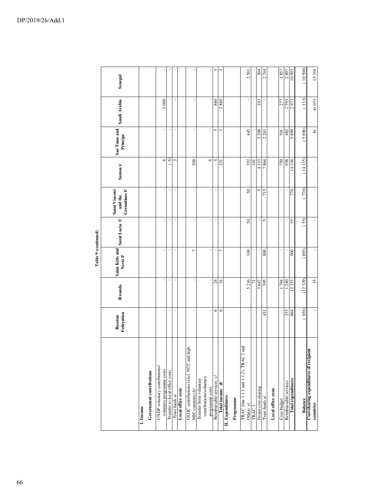|                                                             |                       |                  |                             | Table 9 (continued) |                                            |                    |                          |              |          |
|-------------------------------------------------------------|-----------------------|------------------|-----------------------------|---------------------|--------------------------------------------|--------------------|--------------------------|--------------|----------|
|                                                             | Federation<br>Russian | Rwanda           | Saint Kitts and<br>Nevis f/ | Saint Lucia f/      | Grenadines $f$<br>Saint Vincent<br>and the | Samoa $i$          | Sao Tome and<br>Principe | Saudi Arabia | Senegal  |
| Government contributions<br>I. Income                       |                       |                  |                             |                     |                                            |                    |                          |              |          |
| UNDP voluntary contributions/<br>voluntary programme costs  | ×                     |                  |                             |                     |                                            | $\circ$            |                          | 2000         |          |
| Transfer to local office costs                              | ı                     | $\blacksquare$   |                             | ï                   | $\blacksquare$                             | $\odot$            | ı                        |              |          |
| Trust funds $\mathbf{a}/$                                   | ï                     |                  |                             |                     |                                            | $\mathbf{\hat{c}}$ | ï                        | t            |          |
| Local office costs                                          |                       |                  |                             |                     |                                            |                    |                          |              |          |
| GLOC contributions (excl. NCC and high<br>MIC countries) b/ | J.                    |                  | Γ                           |                     |                                            | 209                |                          |              |          |
| contributions/voluntary<br>Transfer from voluntary          |                       |                  |                             |                     |                                            |                    |                          |              |          |
| Reimbursable services c/<br>programme costs                 | ı<br>0                | $\boldsymbol{z}$ |                             |                     |                                            | $\circ$<br>4       | 3                        | 860          | 3        |
| Total income d/                                             | $\circ$               | 24               | h                           |                     | J.                                         | 221                | 3                        | 2860         | 3        |
| II. Expenditures                                            |                       |                  |                             |                     |                                            |                    |                          |              |          |
| Programme                                                   |                       |                  |                             |                     |                                            |                    |                          |              |          |
| TRAC (line 1.1.1 and 1.1.2), TRAC 2 and<br>Others e/        |                       | 5216             | 100                         | 50                  | 50                                         | 352                | 45                       |              | 2501     |
| TRAC <sub>3</sub>                                           | $\blacksquare$<br>ï   | 급                |                             |                     |                                            | $\Xi$              |                          | ı            |          |
| Donor cost-sharing                                          | $\mathbf{I}$          | 3647             |                             | ı,                  | 5                                          | 4333               | 2 208                    | 103          | 504      |
| Trust funds a/                                              | 431                   | 395              | 800                         | 5                   | 715                                        | 7864               | 2263                     |              | 2744     |
| Local office costs                                          |                       |                  |                             |                     |                                            |                    |                          |              |          |
| Core budget                                                 |                       | 1784             |                             |                     |                                            | 750                | 501                      | 277          | 1857     |
| Reimbursable services                                       | 233                   | 1240             |                             |                     |                                            | 936                | 482                      | 2593         | 2897     |
| Total expenditures                                          | 664                   | 12353            | 900                         | 55                  | 770                                        | 14336              | 668 \$                   | 2973         | 10503    |
| Balance                                                     | (658)                 | (12329)          | (893)                       | 55                  | 770)                                       | (14115)            | (5896)                   | (113)        | (10,500) |
| Cost-sharing expenditures of recipient<br>countries         |                       | $\overline{15}$  |                             |                     |                                            |                    | $\overline{\bf 8}$       | 41053        | 15359    |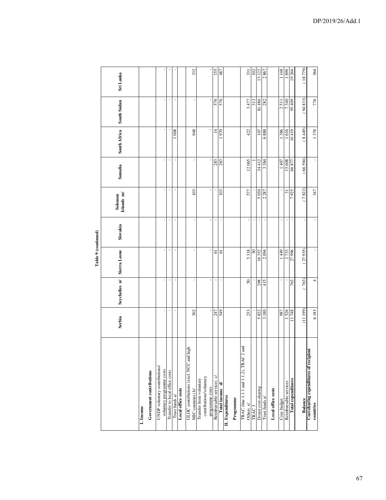|                                                             |                |               | Table 9 (continued) |                |                       |         |                    |                                       |           |
|-------------------------------------------------------------|----------------|---------------|---------------------|----------------|-----------------------|---------|--------------------|---------------------------------------|-----------|
|                                                             | Serbia         | Seychelles n/ | Sierra Leone        | Slovakia       | Islands m/<br>Solomon | Somalia | South Africa       | South Sudan                           | Sri Lanka |
| I. Income                                                   |                |               |                     |                |                       |         |                    |                                       |           |
| Government contributions                                    |                |               |                     |                |                       |         |                    |                                       |           |
| UNDP voluntary contributions/                               |                |               |                     |                |                       |         |                    |                                       |           |
| voluntary programme costs                                   | $\blacksquare$ |               |                     | $\,$           |                       |         |                    |                                       |           |
| Transfer to local office costs                              | $\mathbf{I}$   | $\,$          | $\,$                | $\,$           |                       | $\,$    |                    | $\mathsf{I}\hspace{-1.5pt}\mathsf{I}$ |           |
| Trust funds a/                                              |                |               |                     |                |                       |         | $\boldsymbol{008}$ |                                       |           |
| Local office costs                                          |                |               |                     |                |                       |         |                    |                                       |           |
| GLOC contributions (excl. NCC and high<br>MIC countries) b/ | 302            |               | ı,                  | ı              | 103                   |         | 948                |                                       | 332       |
| Transfer from voluntary                                     |                |               |                     |                |                       |         |                    |                                       |           |
| contributions/voluntary                                     |                |               |                     |                |                       |         |                    |                                       |           |
| programme costs                                             |                |               |                     |                |                       |         |                    |                                       |           |
| Reimbursable services c/                                    | 247            |               | 61                  |                |                       | 283     | $\overline{4}$     | 576                                   | 155       |
| Total income d/                                             | 549            |               | $\mathfrak{a}$      | ï              | 103                   |         | 0261               | 576                                   | 487       |
| II. Expenditures                                            |                |               |                     |                |                       |         |                    |                                       |           |
| Programme                                                   |                |               |                     |                |                       |         |                    |                                       |           |
| TRAC (line 1.1.1 and 1.1.2), TRAC 2 and                     |                |               |                     |                |                       |         |                    |                                       |           |
| Others e/                                                   | 233            | 50            | 5318                | ı              | 577                   | 12065   | 422                | 3477                                  | 331       |
| TRAC <sub>3</sub>                                           |                |               | $50\,$              | $\blacksquare$ |                       |         |                    | 313                                   | 102       |
| Donor cost-sharing                                          | 5822           | 298           | 16352               | ı              | 5030                  | 34412   | 107                | 81 486                                | 13 122    |
| Trust funds a/                                              | 3180           | 415           | 2094                |                | 2287                  | 3384    | 8889               | 282                                   | 2867      |
| Local office costs                                          |                |               |                     |                |                       |         |                    |                                       |           |
| Core budget                                                 | 987            |               | 1449                |                |                       | 1407    | 1386               | 2511                                  | 1 1 4 8   |
| Reimbursable services                                       | 526            |               | 2733                |                | $\overline{31}$       | 15608   | 1616               | 7340                                  | 1696      |
| Total expenditures                                          | 748            | 763           | 27996               |                | 7925                  | FT8 99  | 10419              | 607 56                                | 19266     |
| Balance                                                     | (11199)        | 763)          | 27935)              | ï              | (7822)                | (66594) | (8449)             | (94833)                               | (18779)   |
| Cost-sharing expenditures of recipient                      |                |               |                     |                |                       |         |                    |                                       |           |
| countries                                                   | 6183           | 4             |                     |                | 347                   |         | 1378               | 776                                   | 566       |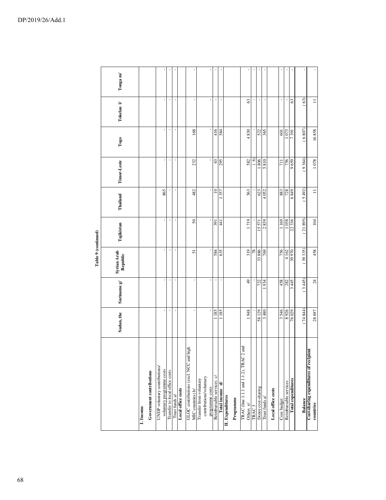|                     | Tonga m/                |                                       |                                                            | I                              |                                   |                    | ı,                                                          |                         | $\,$                    | $\blacksquare$                              |                 |                  |           |                                         | $\mathbf{I}$<br>$\mathcal{C}$  | $\,$               |                |                    | J.          |                       | 63                 | 63)     | $\equiv$                                            |
|---------------------|-------------------------|---------------------------------------|------------------------------------------------------------|--------------------------------|-----------------------------------|--------------------|-------------------------------------------------------------|-------------------------|-------------------------|---------------------------------------------|-----------------|------------------|-----------|-----------------------------------------|--------------------------------|--------------------|----------------|--------------------|-------------|-----------------------|--------------------|---------|-----------------------------------------------------|
|                     | Tokelau V               |                                       |                                                            |                                |                                   |                    |                                                             |                         |                         |                                             |                 |                  |           |                                         |                                |                    |                |                    |             |                       |                    |         |                                                     |
|                     | Togo                    |                                       |                                                            | $\blacksquare$                 |                                   |                    | 168                                                         |                         |                         | 416                                         | 584             |                  |           |                                         | 4830                           |                    | 522            |                    | 601         | 073                   | 1691               | (6807)  | 16858                                               |
|                     | Timor-Leste             |                                       |                                                            |                                |                                   |                    | 232                                                         |                         |                         | $\mathcal{C}$                               | 295             |                  |           |                                         | 582                            | $\odot$<br>1806    | 5810           |                    | 711         | 756                   | 9659               | (9364)  | 1078                                                |
|                     | Thailand                |                                       | 865                                                        |                                |                                   |                    | 482                                                         |                         |                         | $\supseteq$                                 | 357             |                  |           |                                         | 563                            | 623                | 4052           |                    | 883         | 728                   | 6849               | (5492)  | Ξ                                                   |
|                     | Tajikistan              |                                       | $\mathbf{I}$                                               |                                |                                   |                    | $50\,$                                                      |                         |                         | 391                                         | $\overline{41}$ |                  |           |                                         | 1719                           | 15571              | 2839           |                    | 1169        | 1038                  | 22336              | (21895) | 104                                                 |
| Table 9 (continued) | Syrian Arab<br>Republic |                                       | $\mathbf{I}$                                               |                                |                                   |                    | 51                                                          |                         |                         | 584                                         | 635             |                  |           |                                         | 319<br>78                      | 33886              | 769            |                    | 756         | 4162                  | 39970              | 39 335) | 458                                                 |
|                     | Suriname g/             |                                       |                                                            |                                |                                   |                    | ı                                                           |                         |                         |                                             |                 |                  |           |                                         | 49                             | 722                | 934            |                    | 458         | 282                   | 3445               | (3445)  | $\overline{\mathcal{L}}$                            |
|                     | Sudan, the              |                                       | $\mathbf{r}$                                               |                                |                                   |                    | $\blacksquare$                                              |                         |                         | 185                                         | 185             |                  |           |                                         | 1948                           | 58 129             | 3480           |                    | 3546        | 8926                  | 76029              | (74844) | 28697                                               |
|                     |                         | Government contributions<br>I. Income | UNDP voluntary contributions/<br>voluntary programme costs | Transfer to local office costs | Trust funds $\mathbf{a}^{\prime}$ | Local office costs | GLOC contributions (excl. NCC and high<br>MIC countries) b/ | Transfer from voluntary | contributions/voluntary | programme costs<br>Reimbursable services c/ | Total income d/ | II. Expenditures | Programme | TRAC (line 1.1.1 and 1.1.2), TRAC 2 and | Others e/<br>TRAC <sub>3</sub> | Donor cost-sharing | Trust funds a/ | Local office costs | Core budget | Reimbursable services | Total expenditures | Balance | Cost-sharing expenditures of recipient<br>countries |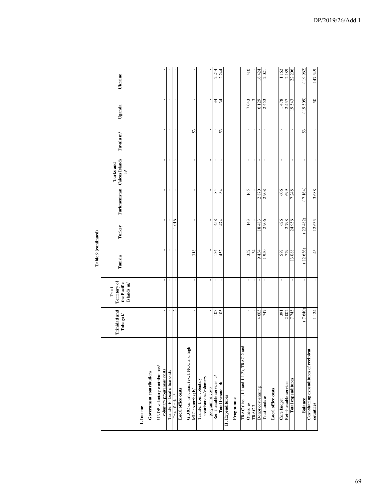|                                            |                                  |                                                           | 1 apre 7 (communed |         |                |                                                    |           |                |         |
|--------------------------------------------|----------------------------------|-----------------------------------------------------------|--------------------|---------|----------------|----------------------------------------------------|-----------|----------------|---------|
|                                            | <b>Trinidad</b> and<br>Tobago i/ | <b>Territory of</b><br>the Pacific<br>Islands m/<br>Trust | Tunisia            | Turkey  |                | Turkmenistan Caicos Islands<br>Turks and<br>$\geq$ | Tuvalu m/ | Uganda         | Ukraine |
| I. Income                                  |                                  |                                                           |                    |         |                |                                                    |           |                |         |
| Government contributions                   |                                  |                                                           |                    |         |                |                                                    |           |                |         |
| UNDP voluntary contributions/              |                                  |                                                           |                    |         |                |                                                    |           |                |         |
| voluntary programme costs                  | f,                               |                                                           |                    |         |                |                                                    |           |                |         |
| Transfer to local office costs             | $\blacksquare$                   | $\,$                                                      | $\blacksquare$     |         | $\blacksquare$ | $\pmb{\cdot}$                                      |           | $\blacksquare$ | $\,$    |
| Trust funds $\mathbf{a}^{\prime}$          | Z                                | ı                                                         |                    | 1016    | ı              | ï                                                  |           | ı              |         |
| Local office costs                         |                                  |                                                           |                    |         |                |                                                    |           |                |         |
| GLOC contributions (excl. NCC and high     |                                  |                                                           |                    |         |                |                                                    |           |                |         |
| MIC countries) b/                          | J.                               |                                                           | 318                | ×       |                | ı,                                                 | 53        |                |         |
| Transfer from voluntary                    |                                  |                                                           |                    |         |                |                                                    |           |                |         |
| contributions/voluntary<br>programme costs | ×,                               | ×,                                                        |                    | ı       | ٠              | ı                                                  |           |                |         |
| Reimbursable services c/                   | 103                              | $\blacksquare$                                            | 134                | 458     |                | ï                                                  |           | 34             | 2 244   |
| Total income d/                            | 105                              | J.                                                        | 452                | 474     | $\frac{4}{3}$  | ï                                                  | 53        | 34             | 2 244   |
| II. Expenditures                           |                                  |                                                           |                    |         |                |                                                    |           |                |         |
| Programme                                  |                                  |                                                           |                    |         |                |                                                    |           |                |         |
| TRAC (line 1.1.1 and 1.1.2), TRAC 2 and    |                                  |                                                           |                    |         |                |                                                    |           |                |         |
| Others e/                                  | $\blacksquare$                   | $\blacksquare$                                            | 352                | 143     | 165            | $\blacksquare$                                     |           | 7043           | 410     |
| TRAC <sub>3</sub>                          |                                  | $\mathbf{I}$                                              | 34                 |         |                | $\mathbf{I}$                                       |           |                |         |
| Donor cost-sharing                         | 4605                             | ı,                                                        | 9434               | 18483   | 2870           | $\,$                                               |           | 6 129          | 16424   |
| Trust funds a/                             | 747                              | ï                                                         | 950                | 2906    | 2908           |                                                    |           | 2453           | 2021    |
| Local office costs                         |                                  |                                                           |                    |         |                |                                                    |           |                |         |
| Core budget                                | 391                              | $\,$                                                      | 589                | 626     | 606            | ı                                                  | J.        | 1478           | 1162    |
| Reimbursable services                      | 2002                             | ï                                                         | 729                | 2798    | 699            |                                                    |           | 2437           | 2189    |
| Total expenditures                         | 7745                             |                                                           | 13088              | 24956   | 7248           |                                                    |           | 19543          | 22 206  |
| Balance                                    | (7640)                           | $\mathbf{r}$                                              | (12636)            | 23 482) | (7164)         | ı                                                  | 53        | (19509)        | (19962) |
| Cost-sharing expenditures of recipient     |                                  |                                                           |                    |         |                |                                                    |           |                |         |
| countries                                  | 1124                             |                                                           | 45                 | 12633   | 3688           |                                                    |           | 50             | 147349  |

Table 9 (continued) **Table 9 (continued)**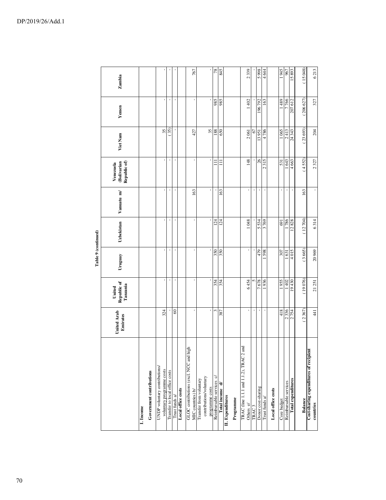|                                                             |                         |                                   | Table 9 (continued) |            |                |                                          |           |                          |         |
|-------------------------------------------------------------|-------------------------|-----------------------------------|---------------------|------------|----------------|------------------------------------------|-----------|--------------------------|---------|
|                                                             | United Arab<br>Emirates | United<br>Republic of<br>Tanzania | Uruguay             | Uzbekistan | Vanuatu m/     | Venezuela<br>(Bolivarian<br>Republic of) | Viet Nam  | Yemen                    | Zambia  |
| Government contributions<br>I. Income                       |                         |                                   |                     |            |                |                                          |           |                          |         |
| UNDP voluntary contributions/<br>voluntary programme costs  | 324                     |                                   |                     |            | J.             |                                          | 35        | J.                       |         |
| Transfer to local office costs                              |                         |                                   | $\blacksquare$      | $\,$       | $\,$           | $\,$                                     | (35)      | $\,$                     |         |
| Trust funds $\it a\rm$                                      | $\degree$               |                                   |                     |            |                |                                          |           | $\overline{\phantom{a}}$ |         |
| Local office costs                                          |                         |                                   |                     |            |                |                                          |           |                          |         |
| GLOC contributions (excl. NCC and high<br>MIC countries) b/ | ı                       |                                   | ı,                  |            | 163            |                                          | 427       | ı,                       | 767     |
| contributions/voluntary<br>Transfer from voluntary          |                         |                                   |                     |            |                |                                          |           |                          |         |
| Reimbursable services c/<br>programme costs                 | 3                       | 354                               | 350                 | 124        | J.             | Ξ                                        | 35<br>188 | 985                      | 78      |
| Total income d/                                             | 387                     | 354                               | 350                 | 124        | 163            | Ξ                                        | 650       | 985                      | 845     |
| II. Expenditures                                            |                         |                                   |                     |            |                |                                          |           |                          |         |
| Programme                                                   |                         |                                   |                     |            |                |                                          |           |                          |         |
| TRAC (line 1.1.1 and 1.1.2), TRAC 2 and<br>Others e/        |                         | 6454                              |                     | 1048       | $\,$           | 148                                      | 2061      | 1402                     | 2339    |
| TRAC <sub>3</sub>                                           |                         |                                   |                     |            | $\,$           |                                          | 67        |                          |         |
| Donor cost-sharing                                          |                         | 7678                              | 479                 | 5534       | $\blacksquare$ | $\delta$                                 | 13951     | 196792                   | 866 S   |
| Trust funds a/                                              | þ                       | 1936                              | 598                 | 3769       | $\blacksquare$ | 2315                                     | 4786      | 163                      | 4644    |
| Local office costs                                          |                         |                                   |                     |            |                |                                          |           |                          |         |
| Core budget                                                 | 418                     | 1955                              | 307                 | 691        | $\,$           | 531                                      | 1065      | 1 489                    | 1945    |
| Reimbursable services                                       | 2336                    | 1402                              | 1631                | 1786       |                | 1643                                     | 2413      | 7766                     | 967     |
| Total expenditures                                          | 2754                    | 19430                             | 4015                | 12828      | ×              | 4663                                     | 24 343    | 207612                   | 15893   |
| Balance                                                     | 2367                    | (19076)                           | (3665)              | (12704)    | 163            | (4552)                                   | (23693)   | (206627)                 | (15048) |
| Cost-sharing expenditures of recipient<br>countries         | 441                     | 21 251                            | 20969               | 6314       |                | 2327                                     | 204       | 327                      | 6213    |
|                                                             |                         |                                   |                     |            |                |                                          |           |                          |         |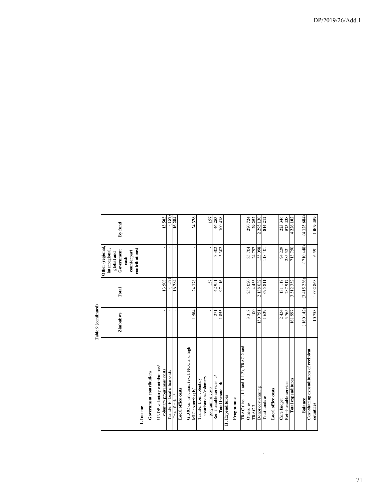|                                                     | Table 9 (continued) |           |                                                                                                            |           |
|-----------------------------------------------------|---------------------|-----------|------------------------------------------------------------------------------------------------------------|-----------|
|                                                     | Zimbabwe            | Total     | Other (regional,<br>contributions)<br>interregional,<br>Government<br>counterpart<br>global and<br>$\cosh$ | By fund   |
| I. Income                                           |                     |           |                                                                                                            |           |
| Government contributions                            |                     |           |                                                                                                            |           |
| UNDP voluntary contributions/                       |                     |           |                                                                                                            |           |
| voluntary programme costs                           | ï                   | 13503     |                                                                                                            | 13503     |
| Transfer to local office costs                      | $\mathbf{I}$        | (157)     |                                                                                                            | (157)     |
| Trust funds a/                                      |                     | 16284     |                                                                                                            | 16284     |
| Local office costs                                  |                     |           |                                                                                                            |           |
| GLOC contributions (excl. NCC and high              |                     |           |                                                                                                            |           |
| MIC countries) b/                                   | 1584                | 24378     |                                                                                                            | 24378     |
| Transfer from voluntary                             |                     |           |                                                                                                            |           |
| contributions/voluntary                             |                     |           |                                                                                                            |           |
| programme costs                                     | ı                   | 157       |                                                                                                            | 157       |
| Reimbursable services c/                            | 271                 | 42951     | 3302                                                                                                       | 46253     |
| Total income d/                                     | 1855                | 97116     | 3302                                                                                                       | 100418    |
| II. Expenditures                                    |                     |           |                                                                                                            |           |
| Programme                                           |                     |           |                                                                                                            |           |
| TRAC (line 1.1.1 and 1.1.2), TRAC 2 and             |                     |           |                                                                                                            |           |
| Others e/                                           | 3318                | 255 020   | 35704                                                                                                      | 290724    |
| TRAC <sub>3</sub>                                   | 100                 | 4455      | 24 797<br>155 098                                                                                          | 29 252    |
| Donor cost-sharing                                  | 150751              | 2138032   |                                                                                                            | 2 293 130 |
| Trust funds a/                                      | 639                 | 695811    | 107811                                                                                                     | 814212    |
| Local office costs                                  |                     |           |                                                                                                            |           |
| Core budget                                         | 2424                | 131 117   | 94 229                                                                                                     | 225346    |
| Reimbursable services                               | 3765                | 287917    | 285 521                                                                                                    | 573438    |
| Total expenditures                                  | 161997              | 3512352   | 713750                                                                                                     | 4226 102  |
| Balance                                             | (160142)            | (3415236) | (710448)                                                                                                   | (4125684) |
| Cost-sharing expenditures of recipient<br>countries | 10758               | 1002868   | 6591                                                                                                       | 1 009 459 |

 $\overline{\phantom{a}}$ 

 $\mathcal{L}(\mathcal{L})$ 

ਵੇ Table 9 (cc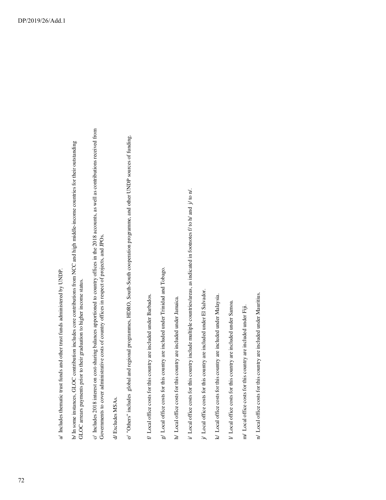b/ In some instances, GLOC contribution includes core contributions from NCC and high middle-income countries for their outstanding b/ In some instances, GLOC contribution includes core contributions from NCC and high middle-income countries for their outstanding GLOC arrears payments prior to their graduation to higher income status. GLOC arrears payments prior to their graduation to higher income status. c/ Includes 2018 interest on cost-sharing balances apportioned to country offices in the 2018 accounts, as well as contributions received from c/ Includes 2018 interest on cost-sharing balances apportioned to country offices in the 2018 accounts, as well as contributions received from Governments to cover administrative costs of country offices in respect of projects, and JPOs. Governments to cover administrative costs of country offices in respect of projects, and JPOs.

d/Excludes MSAs. d/ Excludes MSAs.

- e/ "Others" includes global and regional programmes, HDRO, South-South cooperation programme, and other UNDP sources of funding. e/ "Others" includes global and regional programmes, HDRO, South-South cooperation programme, and other UNDP sources of funding.
- f/ Local office costs for this country are included under Barbados. f/ Local office costs for this country are included under Barbados.
- g/ Local office costs for this country are included under Trinidad and Tobago. g/ Local office costs for this country are included under Trinidad and Tobago.
- h/ Local office costs for this country are included under Jamaica. h/ Local office costs for this country are included under Jamaica.
- i/ Local office costs for this country include multiple countries/areas, as indicated in footnotes f/ to h/ and j/ to n/. i/ Local office costs for this country include multiple countries/areas, as indicated in footnotes  $f/$  to  $h/$  and  $j/$  to  $n/$ .
- j/ Local office costs for this country are included under El Salvador. j/ Local office costs for this country are included under El Salvador.
- k/ Local office costs for this country are included under Malaysia. k/ Local office costs for this country are included under Malaysia.
- V Local office costs for this country are included under Samoa. l/ Local office costs for this country are included under Samoa.
- m/ Local office costs for this country are included under Fiji. m/ Local office costs for this country are included under Fiji.
- n/ Local office costs for this country are included under Mauritius. n/ Local office costs for this country are included under Mauritius.